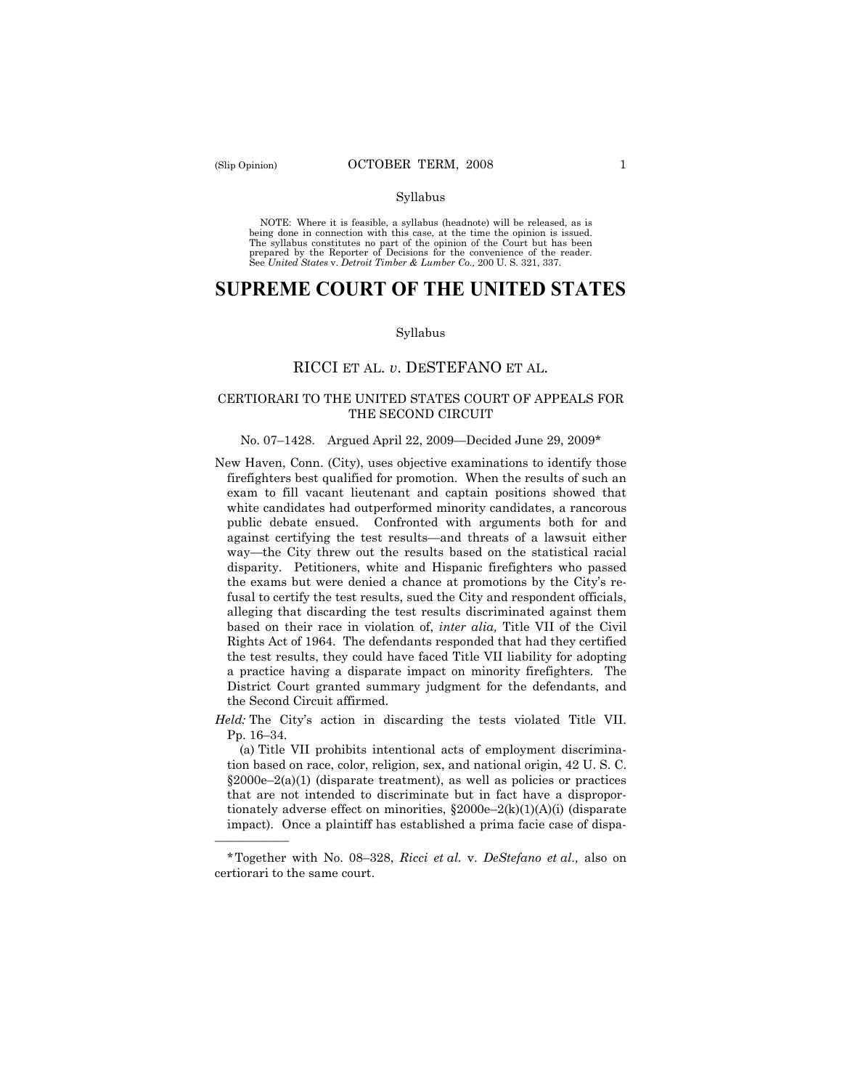——————

#### Syllabus

NOTE: Where it is feasible, a syllabus (headnote) will be released, as is being done in connection with this case, at the time the opinion is issued. The syllabus constitutes no part of the opinion of the Court but has been<br>prepared by the Reporter of Decisions for the convenience of the reader.<br>See United States v. Detroit Timber & Lumber Co., 200 U. S. 321, 337.

# **SUPREME COURT OF THE UNITED STATES**

#### Syllabus

### RICCI ET AL. *v*. DESTEFANO ET AL.

### CERTIORARI TO THE UNITED STATES COURT OF APPEALS FOR THE SECOND CIRCUIT

#### No. 07–1428. Argued April 22, 2009—Decided June 29, 2009\*

New Haven, Conn. (City), uses objective examinations to identify those firefighters best qualified for promotion. When the results of such an exam to fill vacant lieutenant and captain positions showed that white candidates had outperformed minority candidates, a rancorous public debate ensued. Confronted with arguments both for and against certifying the test results—and threats of a lawsuit either way—the City threw out the results based on the statistical racial disparity. Petitioners, white and Hispanic firefighters who passed the exams but were denied a chance at promotions by the City's refusal to certify the test results, sued the City and respondent officials, alleging that discarding the test results discriminated against them based on their race in violation of, *inter alia,* Title VII of the Civil Rights Act of 1964. The defendants responded that had they certified the test results, they could have faced Title VII liability for adopting a practice having a disparate impact on minority firefighters. The District Court granted summary judgment for the defendants, and the Second Circuit affirmed.

*Held:* The City's action in discarding the tests violated Title VII. Pp. 16–34.

(a) Title VII prohibits intentional acts of employment discrimination based on race, color, religion, sex, and national origin, 42 U. S. C.  $§2000e-2(a)(1)$  (disparate treatment), as well as policies or practices that are not intended to discriminate but in fact have a disproportionately adverse effect on minorities,  $$2000e-2(k)(1)(A)(i)$  (disparate impact). Once a plaintiff has established a prima facie case of dispa-

<sup>\*</sup>Together with No. 08–328, *Ricci et al.* v. *DeStefano et al.,* also on certiorari to the same court.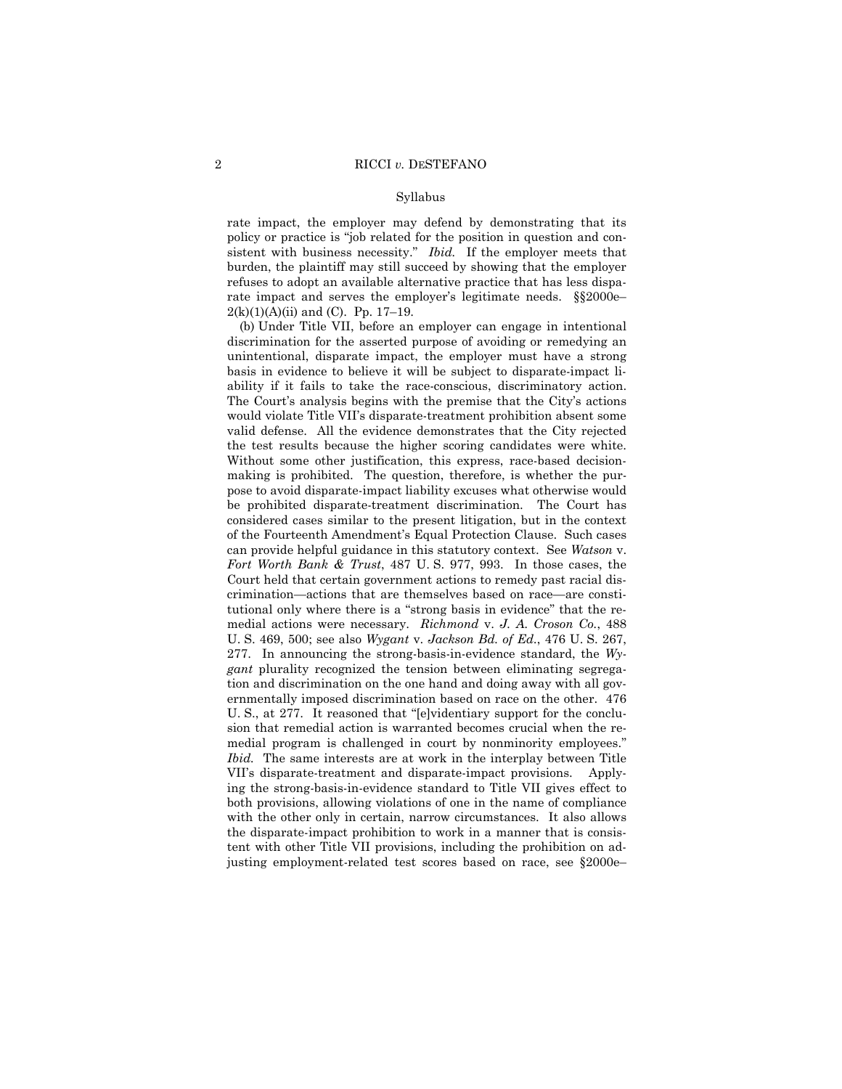#### Syllabus

rate impact, the employer may defend by demonstrating that its policy or practice is "job related for the position in question and consistent with business necessity." *Ibid.* If the employer meets that burden, the plaintiff may still succeed by showing that the employer refuses to adopt an available alternative practice that has less disparate impact and serves the employer's legitimate needs. §§2000e–  $2(k)(1)(A)(ii)$  and (C). Pp. 17–19.

(b) Under Title VII, before an employer can engage in intentional discrimination for the asserted purpose of avoiding or remedying an unintentional, disparate impact, the employer must have a strong basis in evidence to believe it will be subject to disparate-impact liability if it fails to take the race-conscious, discriminatory action. The Court's analysis begins with the premise that the City's actions would violate Title VII's disparate-treatment prohibition absent some valid defense. All the evidence demonstrates that the City rejected the test results because the higher scoring candidates were white. Without some other justification, this express, race-based decisionmaking is prohibited. The question, therefore, is whether the purpose to avoid disparate-impact liability excuses what otherwise would be prohibited disparate-treatment discrimination. The Court has considered cases similar to the present litigation, but in the context of the Fourteenth Amendment's Equal Protection Clause. Such cases can provide helpful guidance in this statutory context. See *Watson* v. *Fort Worth Bank & Trust*, 487 U. S. 977, 993. In those cases, the Court held that certain government actions to remedy past racial discrimination—actions that are themselves based on race—are constitutional only where there is a "strong basis in evidence" that the remedial actions were necessary. *Richmond* v. *J. A. Croson Co.*, 488 U. S. 469, 500; see also *Wygant* v. *Jackson Bd. of Ed.*, 476 U. S. 267, 277. In announcing the strong-basis-in-evidence standard, the *Wygant* plurality recognized the tension between eliminating segregation and discrimination on the one hand and doing away with all governmentally imposed discrimination based on race on the other. 476 U. S., at 277. It reasoned that "[e]videntiary support for the conclusion that remedial action is warranted becomes crucial when the remedial program is challenged in court by nonminority employees." *Ibid.* The same interests are at work in the interplay between Title VII's disparate-treatment and disparate-impact provisions. Applying the strong-basis-in-evidence standard to Title VII gives effect to both provisions, allowing violations of one in the name of compliance with the other only in certain, narrow circumstances. It also allows the disparate-impact prohibition to work in a manner that is consistent with other Title VII provisions, including the prohibition on adjusting employment-related test scores based on race, see §2000e–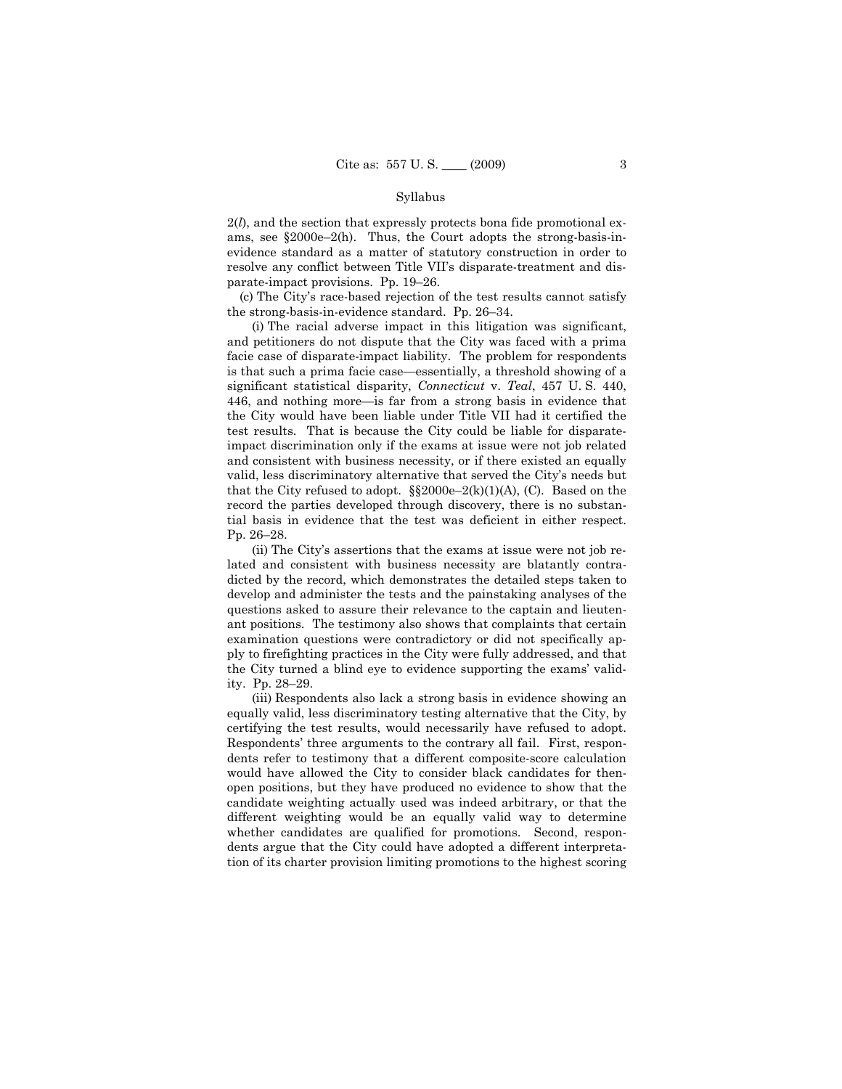#### Syllabus

2(*l*), and the section that expressly protects bona fide promotional exams, see §2000e–2(h). Thus, the Court adopts the strong-basis-inevidence standard as a matter of statutory construction in order to resolve any conflict between Title VII's disparate-treatment and disparate-impact provisions. Pp. 19–26.

(c) The City's race-based rejection of the test results cannot satisfy the strong-basis-in-evidence standard. Pp. 26–34.

(i) The racial adverse impact in this litigation was significant, and petitioners do not dispute that the City was faced with a prima facie case of disparate-impact liability. The problem for respondents is that such a prima facie case—essentially, a threshold showing of a significant statistical disparity, *Connecticut* v. *Teal*, 457 U. S. 440, 446, and nothing more—is far from a strong basis in evidence that the City would have been liable under Title VII had it certified the test results. That is because the City could be liable for disparateimpact discrimination only if the exams at issue were not job related and consistent with business necessity, or if there existed an equally valid, less discriminatory alternative that served the City's needs but that the City refused to adopt.  $\S$ 2000e–2(k)(1)(A), (C). Based on the record the parties developed through discovery, there is no substantial basis in evidence that the test was deficient in either respect. Pp. 26–28.

(ii) The City's assertions that the exams at issue were not job related and consistent with business necessity are blatantly contradicted by the record, which demonstrates the detailed steps taken to develop and administer the tests and the painstaking analyses of the questions asked to assure their relevance to the captain and lieutenant positions. The testimony also shows that complaints that certain examination questions were contradictory or did not specifically apply to firefighting practices in the City were fully addressed, and that the City turned a blind eye to evidence supporting the exams' validity. Pp. 28–29.

(iii) Respondents also lack a strong basis in evidence showing an equally valid, less discriminatory testing alternative that the City, by certifying the test results, would necessarily have refused to adopt. Respondents' three arguments to the contrary all fail. First, respondents refer to testimony that a different composite-score calculation would have allowed the City to consider black candidates for thenopen positions, but they have produced no evidence to show that the candidate weighting actually used was indeed arbitrary, or that the different weighting would be an equally valid way to determine whether candidates are qualified for promotions. Second, respondents argue that the City could have adopted a different interpretation of its charter provision limiting promotions to the highest scoring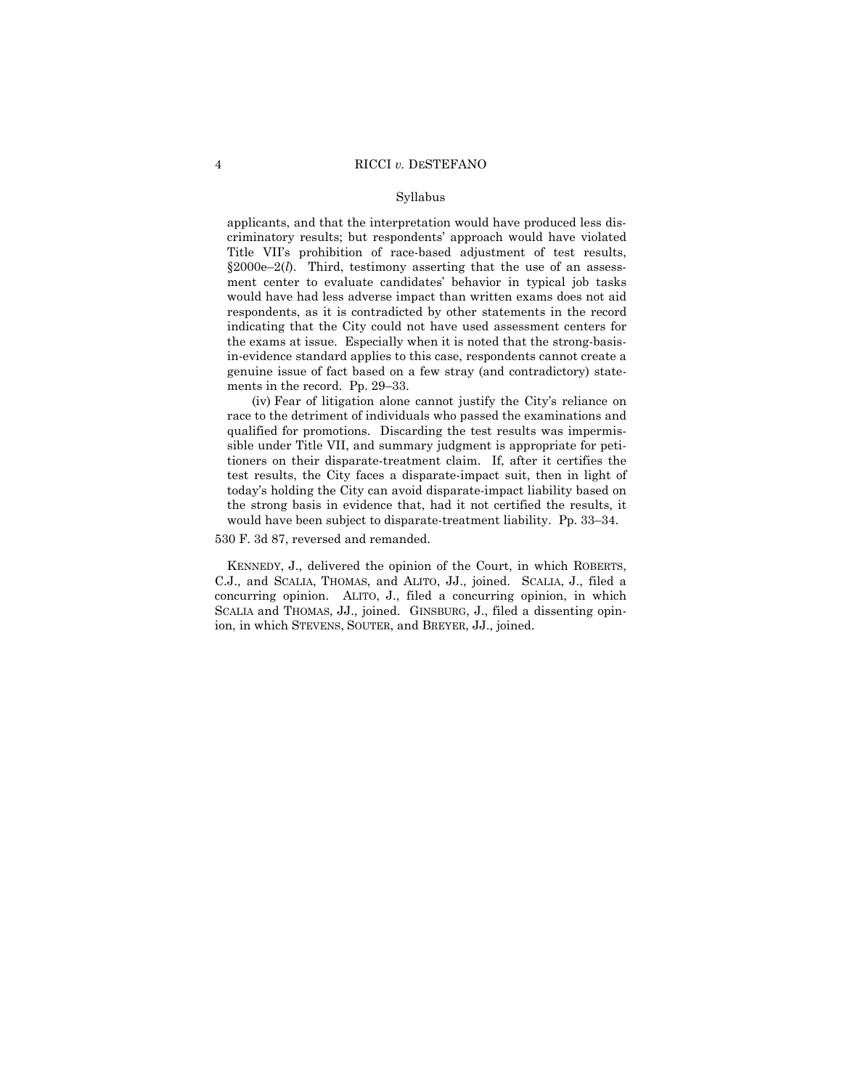#### Syllabus

applicants, and that the interpretation would have produced less discriminatory results; but respondents' approach would have violated Title VII's prohibition of race-based adjustment of test results, §2000e–2(*l*). Third, testimony asserting that the use of an assessment center to evaluate candidates' behavior in typical job tasks would have had less adverse impact than written exams does not aid respondents, as it is contradicted by other statements in the record indicating that the City could not have used assessment centers for the exams at issue. Especially when it is noted that the strong-basisin-evidence standard applies to this case, respondents cannot create a genuine issue of fact based on a few stray (and contradictory) statements in the record. Pp. 29–33.

(iv) Fear of litigation alone cannot justify the City's reliance on race to the detriment of individuals who passed the examinations and qualified for promotions. Discarding the test results was impermissible under Title VII, and summary judgment is appropriate for petitioners on their disparate-treatment claim. If, after it certifies the test results, the City faces a disparate-impact suit, then in light of today's holding the City can avoid disparate-impact liability based on the strong basis in evidence that, had it not certified the results, it would have been subject to disparate-treatment liability. Pp. 33–34.

530 F. 3d 87, reversed and remanded.

KENNEDY, J., delivered the opinion of the Court, in which ROBERTS, C.J., and SCALIA, THOMAS, and ALITO, JJ., joined. SCALIA, J., filed a concurring opinion. ALITO, J., filed a concurring opinion, in which SCALIA and THOMAS, JJ., joined. GINSBURG, J., filed a dissenting opinion, in which STEVENS, SOUTER, and BREYER, JJ., joined.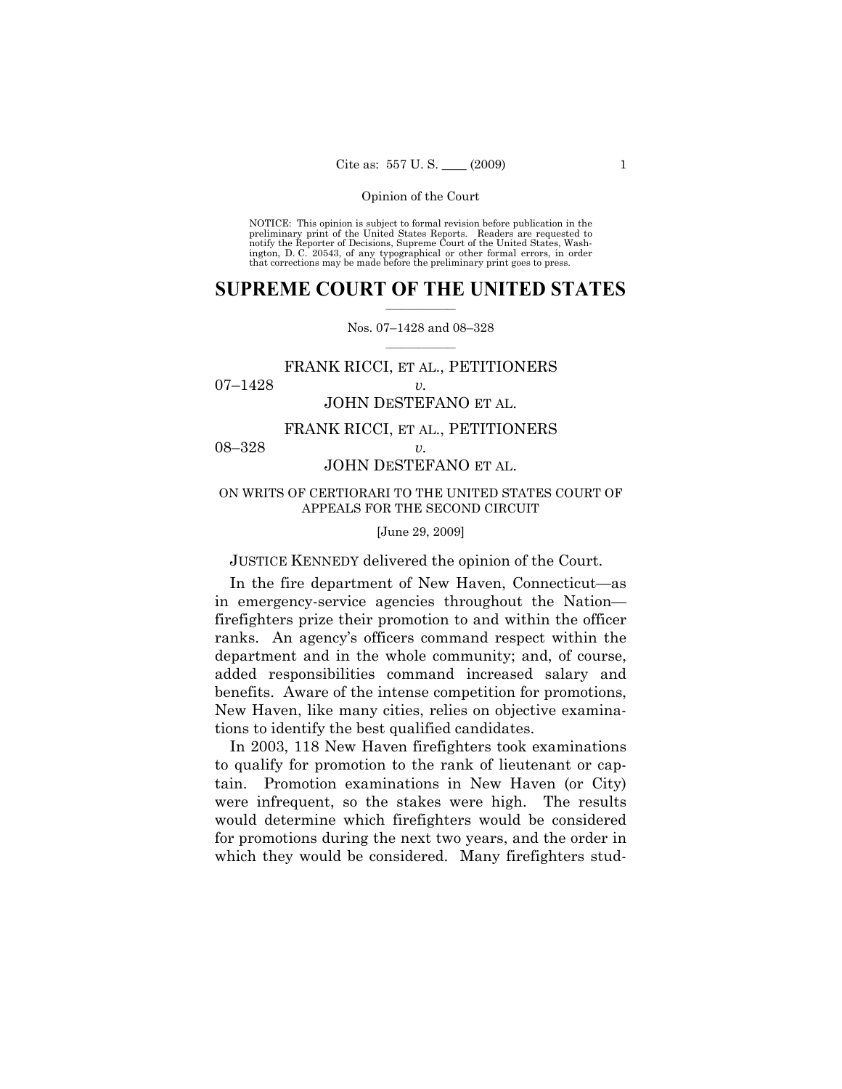NOTICE: This opinion is subject to formal revision before publication in the preliminary print of the United States Reports. Readers are requested to notify the Reporter of Decisions, Supreme Court of the United States, Washington, D. C. 20543, of any typographical or other formal errors, in order that corrections may be made before the preliminary print goes to press.

### $\frac{1}{2}$  ,  $\frac{1}{2}$  ,  $\frac{1}{2}$  ,  $\frac{1}{2}$  ,  $\frac{1}{2}$  ,  $\frac{1}{2}$  ,  $\frac{1}{2}$ **SUPREME COURT OF THE UNITED STATES**

### $\frac{1}{2}$  ,  $\frac{1}{2}$  ,  $\frac{1}{2}$  ,  $\frac{1}{2}$  ,  $\frac{1}{2}$  ,  $\frac{1}{2}$ Nos. 07–1428 and 08–328

### FRANK RICCI, ET AL., PETITIONERS 07–1428 *v.*

# JOHN DESTEFANO ET AL.

# FRANK RICCI, ET AL., PETITIONERS

08–328 *v.*  JOHN DESTEFANO ET AL.

### ON WRITS OF CERTIORARI TO THE UNITED STATES COURT OF APPEALS FOR THE SECOND CIRCUIT

### [June 29, 2009]

JUSTICE KENNEDY delivered the opinion of the Court.

In the fire department of New Haven, Connecticut—as in emergency-service agencies throughout the Nation firefighters prize their promotion to and within the officer ranks. An agency's officers command respect within the department and in the whole community; and, of course, added responsibilities command increased salary and benefits. Aware of the intense competition for promotions, New Haven, like many cities, relies on objective examinations to identify the best qualified candidates.

In 2003, 118 New Haven firefighters took examinations to qualify for promotion to the rank of lieutenant or captain. Promotion examinations in New Haven (or City) were infrequent, so the stakes were high. The results would determine which firefighters would be considered for promotions during the next two years, and the order in which they would be considered. Many firefighters stud-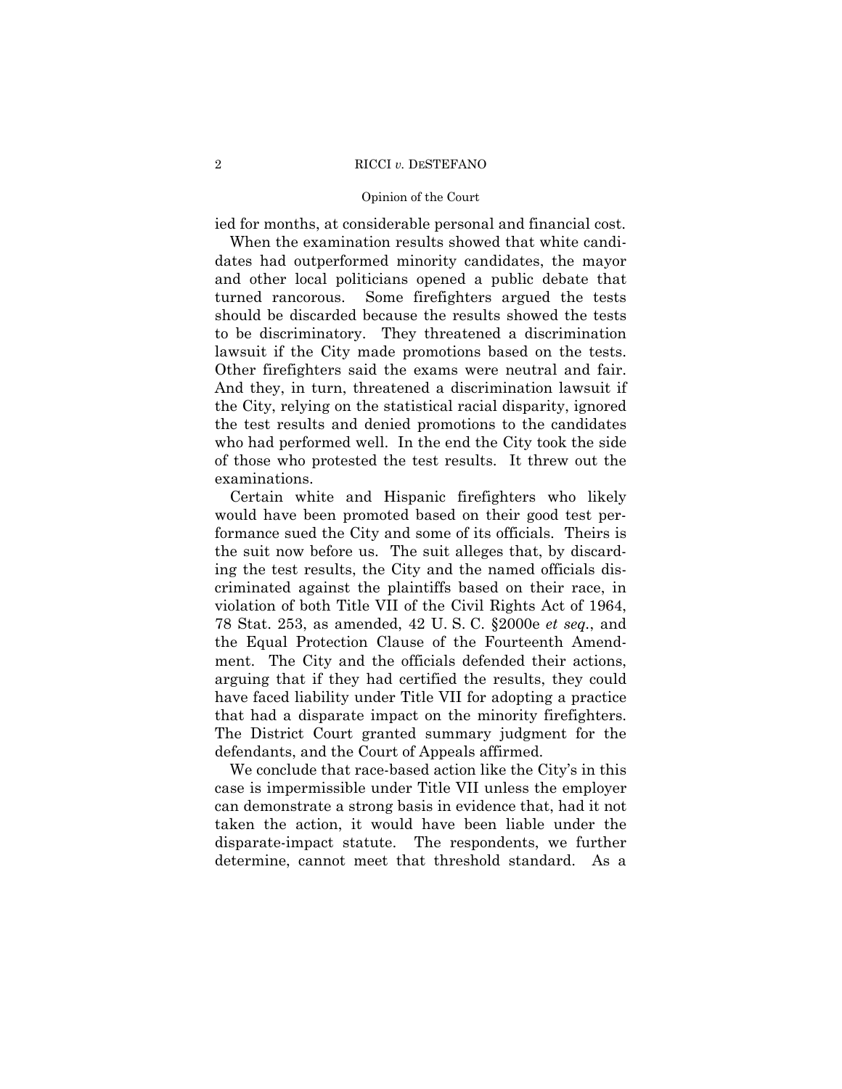### Opinion of the Court

ied for months, at considerable personal and financial cost.

When the examination results showed that white candidates had outperformed minority candidates, the mayor and other local politicians opened a public debate that turned rancorous. Some firefighters argued the tests should be discarded because the results showed the tests to be discriminatory. They threatened a discrimination lawsuit if the City made promotions based on the tests. Other firefighters said the exams were neutral and fair. And they, in turn, threatened a discrimination lawsuit if the City, relying on the statistical racial disparity, ignored the test results and denied promotions to the candidates who had performed well. In the end the City took the side of those who protested the test results. It threw out the examinations.

Certain white and Hispanic firefighters who likely would have been promoted based on their good test performance sued the City and some of its officials. Theirs is the suit now before us. The suit alleges that, by discarding the test results, the City and the named officials discriminated against the plaintiffs based on their race, in violation of both Title VII of the Civil Rights Act of 1964, 78 Stat. 253, as amended, 42 U. S. C. §2000e *et seq.*, and the Equal Protection Clause of the Fourteenth Amendment. The City and the officials defended their actions, arguing that if they had certified the results, they could have faced liability under Title VII for adopting a practice that had a disparate impact on the minority firefighters. The District Court granted summary judgment for the defendants, and the Court of Appeals affirmed.

We conclude that race-based action like the City's in this case is impermissible under Title VII unless the employer can demonstrate a strong basis in evidence that, had it not taken the action, it would have been liable under the disparate-impact statute. The respondents, we further determine, cannot meet that threshold standard. As a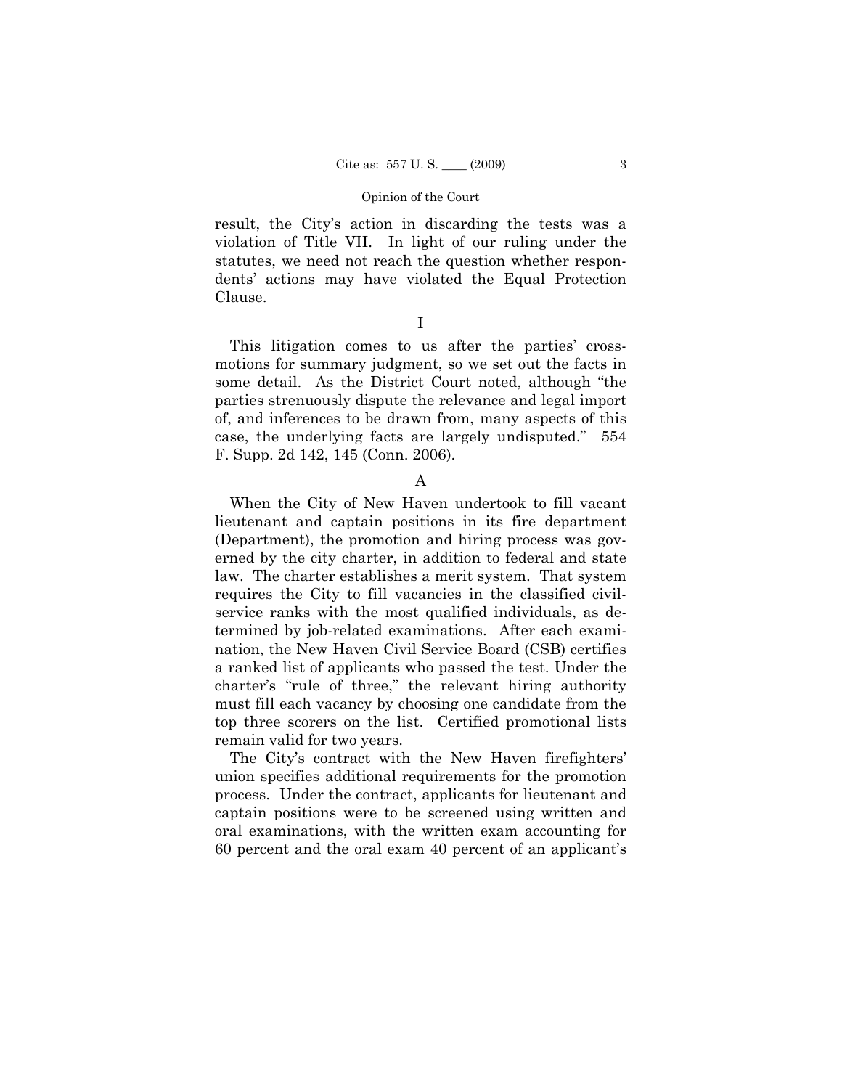result, the City's action in discarding the tests was a violation of Title VII. In light of our ruling under the statutes, we need not reach the question whether respondents' actions may have violated the Equal Protection Clause.

I

This litigation comes to us after the parties' crossmotions for summary judgment, so we set out the facts in some detail. As the District Court noted, although "the parties strenuously dispute the relevance and legal import of, and inferences to be drawn from, many aspects of this case, the underlying facts are largely undisputed." 554 F. Supp. 2d 142, 145 (Conn. 2006).

### A

When the City of New Haven undertook to fill vacant lieutenant and captain positions in its fire department (Department), the promotion and hiring process was governed by the city charter, in addition to federal and state law. The charter establishes a merit system. That system requires the City to fill vacancies in the classified civilservice ranks with the most qualified individuals, as determined by job-related examinations. After each examination, the New Haven Civil Service Board (CSB) certifies a ranked list of applicants who passed the test. Under the charter's "rule of three," the relevant hiring authority must fill each vacancy by choosing one candidate from the top three scorers on the list. Certified promotional lists remain valid for two years.

The City's contract with the New Haven firefighters' union specifies additional requirements for the promotion process. Under the contract, applicants for lieutenant and captain positions were to be screened using written and oral examinations, with the written exam accounting for 60 percent and the oral exam 40 percent of an applicant's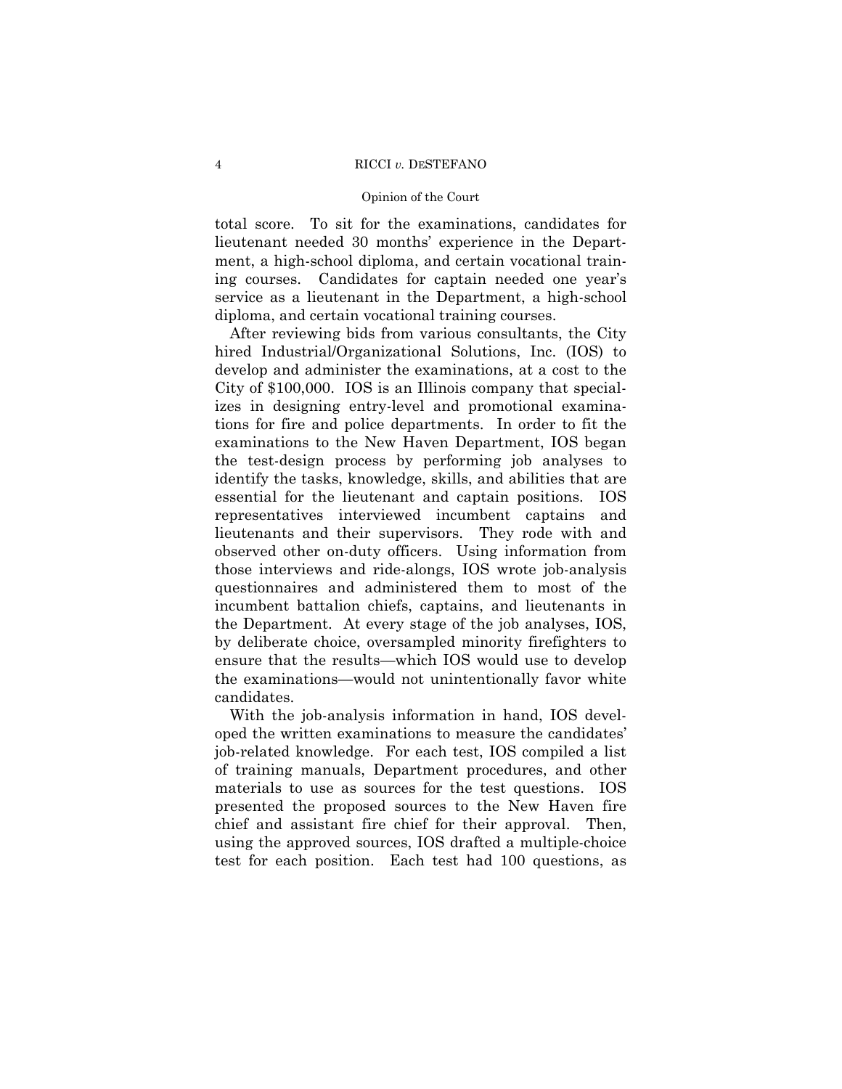### Opinion of the Court

total score. To sit for the examinations, candidates for lieutenant needed 30 months' experience in the Department, a high-school diploma, and certain vocational training courses. Candidates for captain needed one year's service as a lieutenant in the Department, a high-school diploma, and certain vocational training courses.

After reviewing bids from various consultants, the City hired Industrial/Organizational Solutions, Inc. (IOS) to develop and administer the examinations, at a cost to the City of \$100,000. IOS is an Illinois company that specializes in designing entry-level and promotional examinations for fire and police departments. In order to fit the examinations to the New Haven Department, IOS began the test-design process by performing job analyses to identify the tasks, knowledge, skills, and abilities that are essential for the lieutenant and captain positions. IOS representatives interviewed incumbent captains and lieutenants and their supervisors. They rode with and observed other on-duty officers. Using information from those interviews and ride-alongs, IOS wrote job-analysis questionnaires and administered them to most of the incumbent battalion chiefs, captains, and lieutenants in the Department. At every stage of the job analyses, IOS, by deliberate choice, oversampled minority firefighters to ensure that the results—which IOS would use to develop the examinations—would not unintentionally favor white candidates.

With the job-analysis information in hand, IOS developed the written examinations to measure the candidates' job-related knowledge. For each test, IOS compiled a list of training manuals, Department procedures, and other materials to use as sources for the test questions. IOS presented the proposed sources to the New Haven fire chief and assistant fire chief for their approval. Then, using the approved sources, IOS drafted a multiple-choice test for each position. Each test had 100 questions, as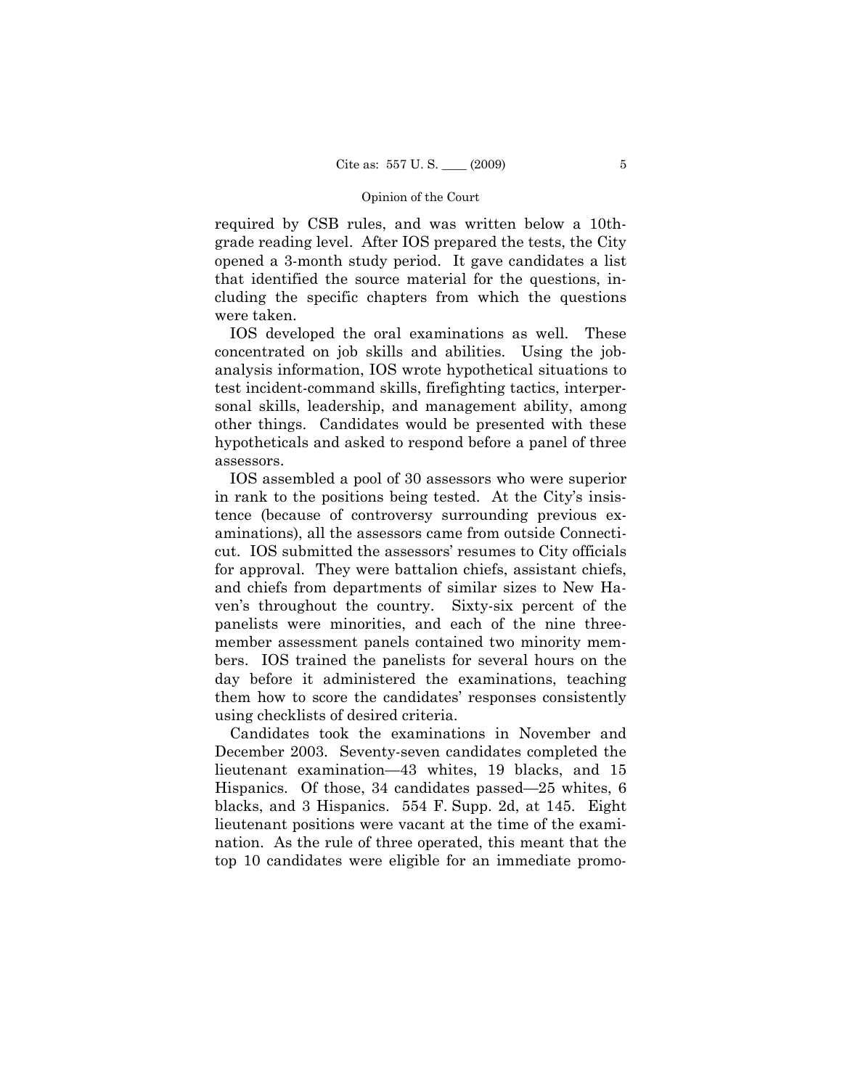required by CSB rules, and was written below a 10thgrade reading level. After IOS prepared the tests, the City opened a 3-month study period. It gave candidates a list that identified the source material for the questions, including the specific chapters from which the questions were taken.

IOS developed the oral examinations as well. These concentrated on job skills and abilities. Using the jobanalysis information, IOS wrote hypothetical situations to test incident-command skills, firefighting tactics, interpersonal skills, leadership, and management ability, among other things. Candidates would be presented with these hypotheticals and asked to respond before a panel of three assessors.

IOS assembled a pool of 30 assessors who were superior in rank to the positions being tested. At the City's insistence (because of controversy surrounding previous examinations), all the assessors came from outside Connecticut. IOS submitted the assessors' resumes to City officials for approval. They were battalion chiefs, assistant chiefs, and chiefs from departments of similar sizes to New Haven's throughout the country. Sixty-six percent of the panelists were minorities, and each of the nine threemember assessment panels contained two minority members. IOS trained the panelists for several hours on the day before it administered the examinations, teaching them how to score the candidates' responses consistently using checklists of desired criteria.

Candidates took the examinations in November and December 2003. Seventy-seven candidates completed the lieutenant examination—43 whites, 19 blacks, and 15 Hispanics. Of those, 34 candidates passed—25 whites, 6 blacks, and 3 Hispanics. 554 F. Supp. 2d, at 145. Eight lieutenant positions were vacant at the time of the examination. As the rule of three operated, this meant that the top 10 candidates were eligible for an immediate promo-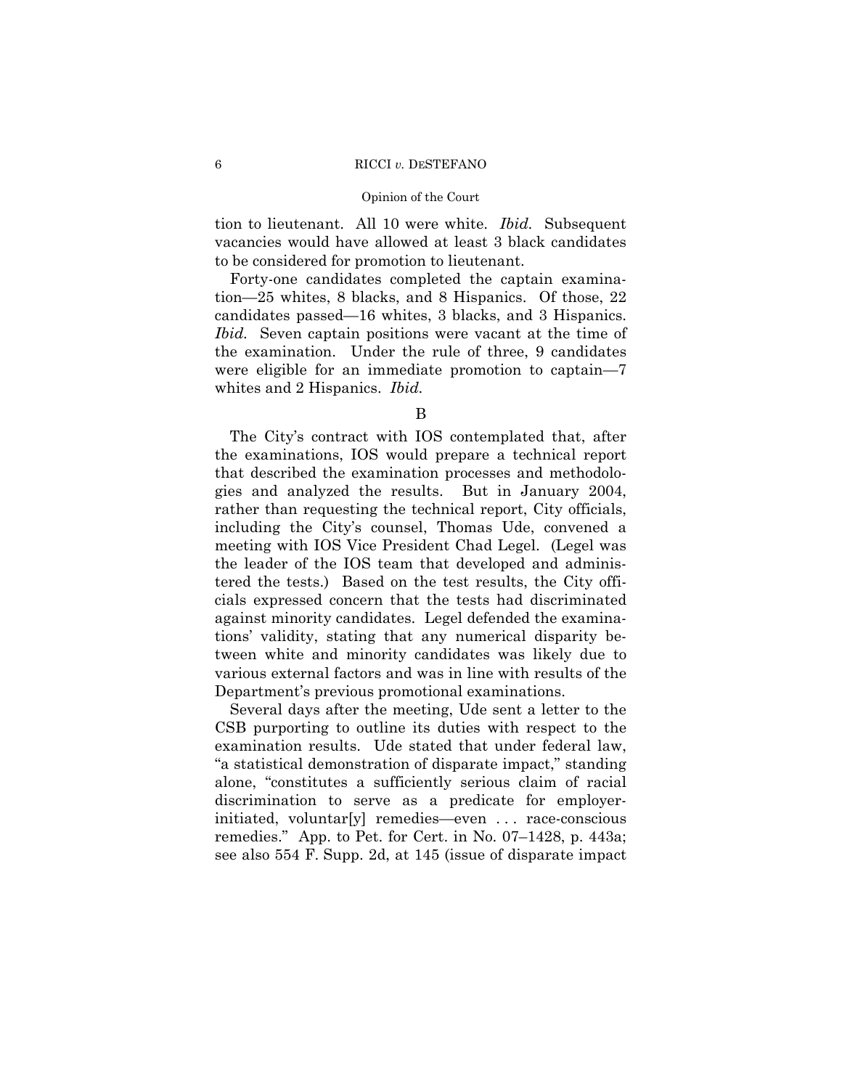tion to lieutenant. All 10 were white. *Ibid.* Subsequent vacancies would have allowed at least 3 black candidates to be considered for promotion to lieutenant.

Forty-one candidates completed the captain examination—25 whites, 8 blacks, and 8 Hispanics. Of those, 22 candidates passed—16 whites, 3 blacks, and 3 Hispanics. *Ibid.* Seven captain positions were vacant at the time of the examination. Under the rule of three, 9 candidates were eligible for an immediate promotion to captain—7 whites and 2 Hispanics. *Ibid.* 

The City's contract with IOS contemplated that, after the examinations, IOS would prepare a technical report that described the examination processes and methodologies and analyzed the results. But in January 2004, rather than requesting the technical report, City officials, including the City's counsel, Thomas Ude, convened a meeting with IOS Vice President Chad Legel. (Legel was the leader of the IOS team that developed and administered the tests.) Based on the test results, the City officials expressed concern that the tests had discriminated against minority candidates. Legel defended the examinations' validity, stating that any numerical disparity between white and minority candidates was likely due to various external factors and was in line with results of the Department's previous promotional examinations.

Several days after the meeting, Ude sent a letter to the CSB purporting to outline its duties with respect to the examination results. Ude stated that under federal law, "a statistical demonstration of disparate impact," standing alone, "constitutes a sufficiently serious claim of racial discrimination to serve as a predicate for employerinitiated, voluntar[y] remedies—even . . . race-conscious remedies." App. to Pet. for Cert. in No. 07–1428, p. 443a; see also 554 F. Supp. 2d, at 145 (issue of disparate impact

B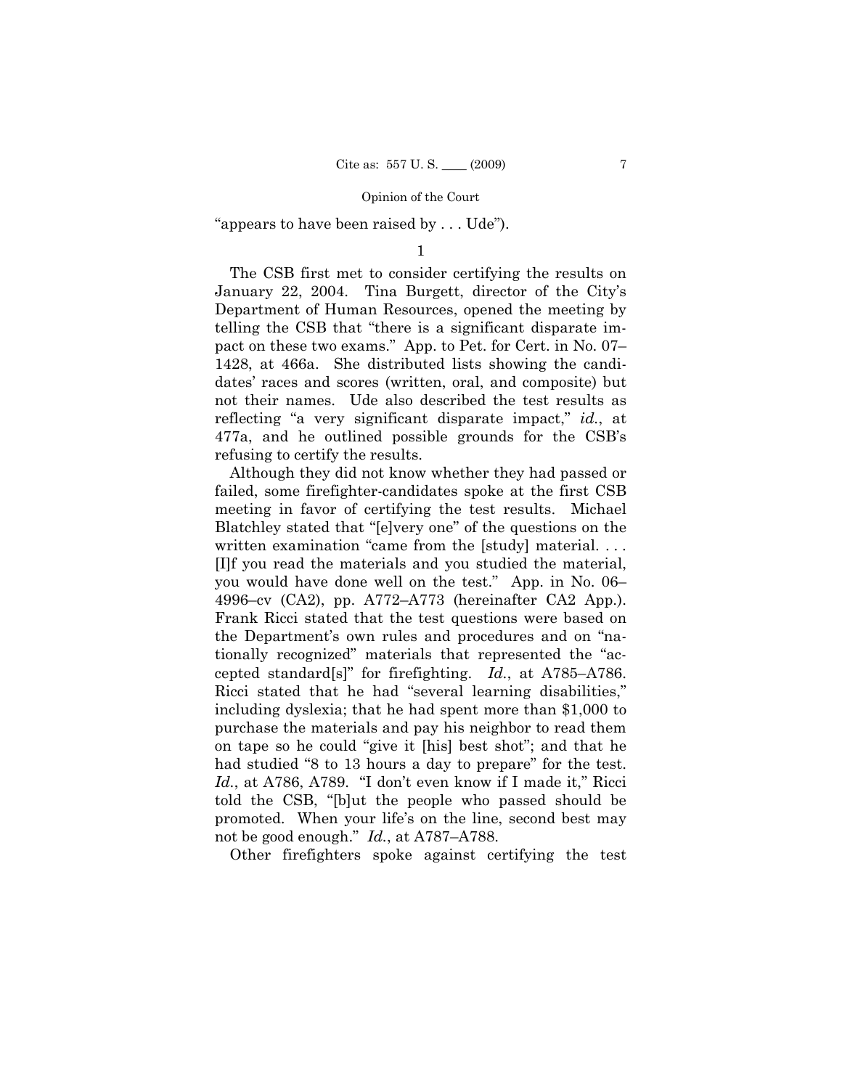"appears to have been raised by . . . Ude").

1

The CSB first met to consider certifying the results on January 22, 2004. Tina Burgett, director of the City's Department of Human Resources, opened the meeting by telling the CSB that "there is a significant disparate impact on these two exams." App. to Pet. for Cert. in No. 07– 1428, at 466a. She distributed lists showing the candidates' races and scores (written, oral, and composite) but not their names. Ude also described the test results as reflecting "a very significant disparate impact," *id.*, at 477a, and he outlined possible grounds for the CSB's refusing to certify the results.

Although they did not know whether they had passed or failed, some firefighter-candidates spoke at the first CSB meeting in favor of certifying the test results. Michael Blatchley stated that "[e]very one" of the questions on the written examination "came from the [study] material... [I]f you read the materials and you studied the material, you would have done well on the test." App. in No. 06– 4996–cv (CA2), pp. A772–A773 (hereinafter CA2 App.). Frank Ricci stated that the test questions were based on the Department's own rules and procedures and on "nationally recognized" materials that represented the "accepted standard[s]" for firefighting. *Id.*, at A785–A786. Ricci stated that he had "several learning disabilities," including dyslexia; that he had spent more than \$1,000 to purchase the materials and pay his neighbor to read them on tape so he could "give it [his] best shot"; and that he had studied "8 to 13 hours a day to prepare" for the test. *Id.*, at A786, A789. "I don't even know if I made it," Ricci told the CSB, "[b]ut the people who passed should be promoted. When your life's on the line, second best may not be good enough." *Id.*, at A787–A788.

Other firefighters spoke against certifying the test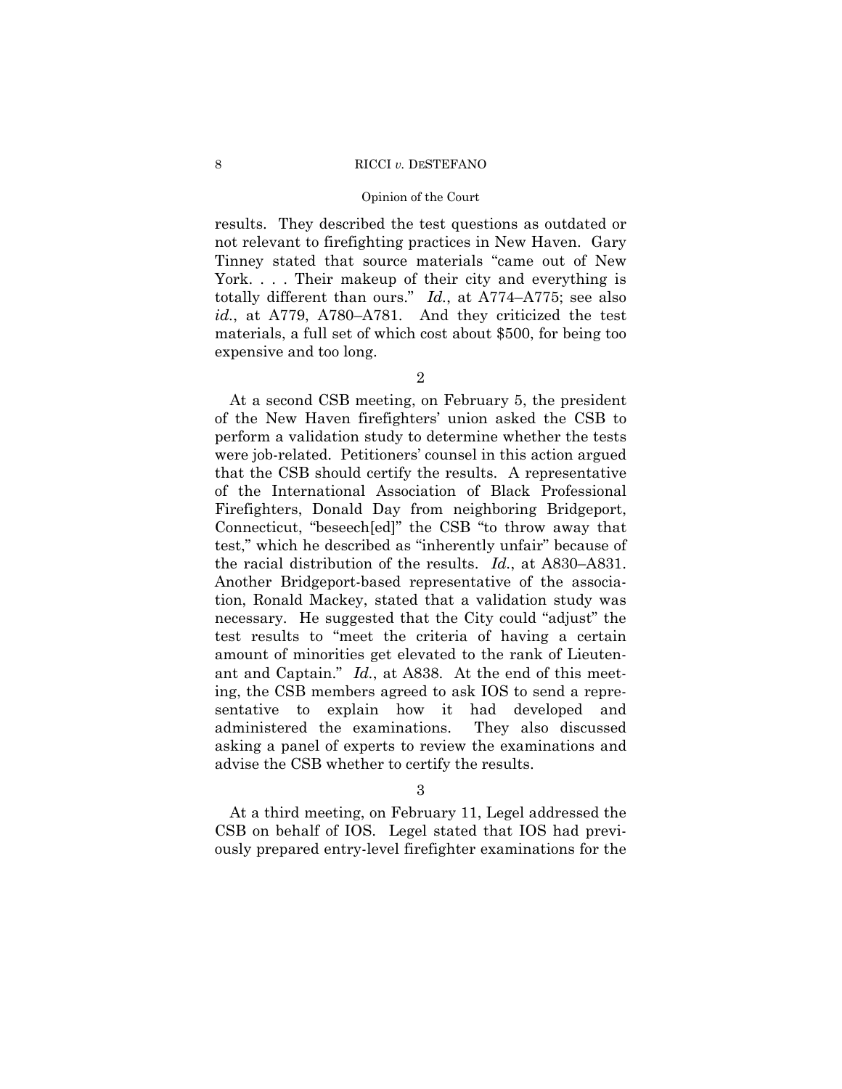### Opinion of the Court

results. They described the test questions as outdated or not relevant to firefighting practices in New Haven. Gary Tinney stated that source materials "came out of New York. . . . Their makeup of their city and everything is totally different than ours." *Id.*, at A774–A775; see also *id.*, at A779, A780–A781. And they criticized the test materials, a full set of which cost about \$500, for being too expensive and too long.

2

At a second CSB meeting, on February 5, the president of the New Haven firefighters' union asked the CSB to perform a validation study to determine whether the tests were job-related. Petitioners' counsel in this action argued that the CSB should certify the results. A representative of the International Association of Black Professional Firefighters, Donald Day from neighboring Bridgeport, Connecticut, "beseech[ed]" the CSB "to throw away that test," which he described as "inherently unfair" because of the racial distribution of the results. *Id.*, at A830–A831. Another Bridgeport-based representative of the association, Ronald Mackey, stated that a validation study was necessary. He suggested that the City could "adjust" the test results to "meet the criteria of having a certain amount of minorities get elevated to the rank of Lieutenant and Captain." *Id.*, at A838. At the end of this meeting, the CSB members agreed to ask IOS to send a representative to explain how it had developed and administered the examinations. They also discussed asking a panel of experts to review the examinations and advise the CSB whether to certify the results.

3

At a third meeting, on February 11, Legel addressed the CSB on behalf of IOS. Legel stated that IOS had previously prepared entry-level firefighter examinations for the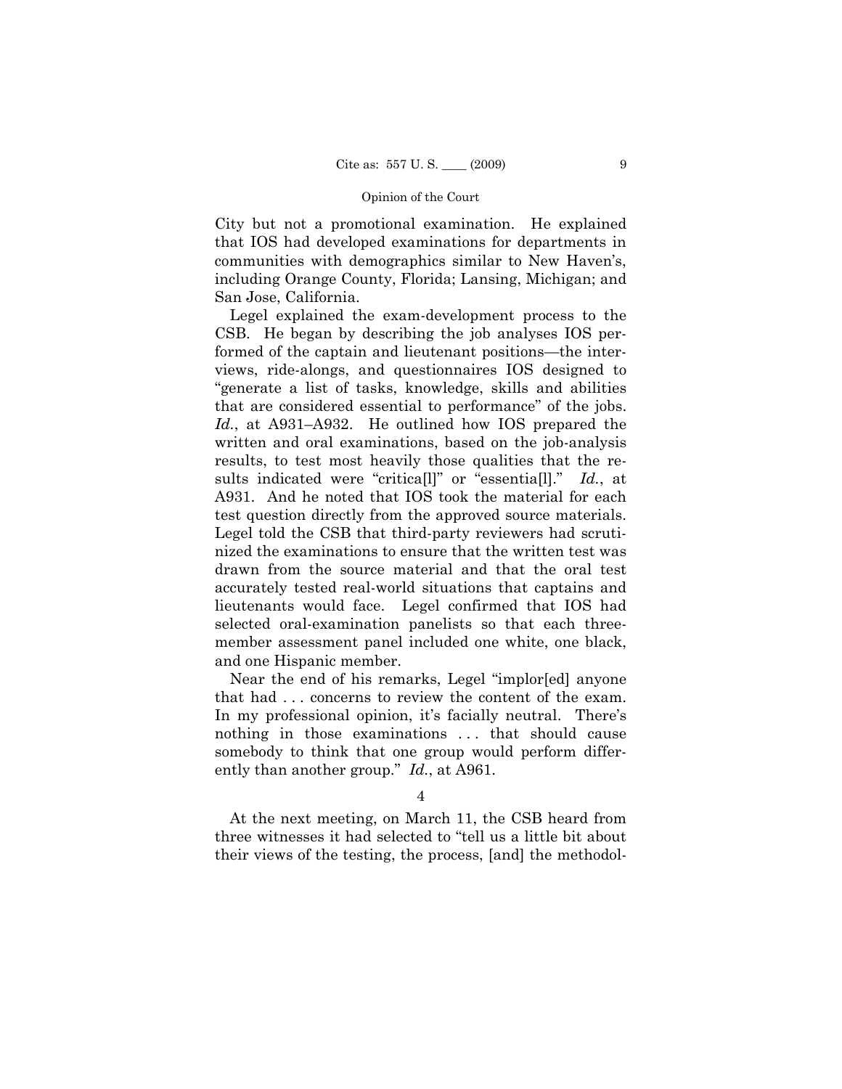City but not a promotional examination. He explained that IOS had developed examinations for departments in communities with demographics similar to New Haven's, including Orange County, Florida; Lansing, Michigan; and San Jose, California.

Legel explained the exam-development process to the CSB. He began by describing the job analyses IOS performed of the captain and lieutenant positions—the interviews, ride-alongs, and questionnaires IOS designed to "generate a list of tasks, knowledge, skills and abilities that are considered essential to performance" of the jobs. *Id.*, at A931–A932. He outlined how IOS prepared the written and oral examinations, based on the job-analysis results, to test most heavily those qualities that the results indicated were "critica[l]" or "essentia[l]." *Id.*, at A931. And he noted that IOS took the material for each test question directly from the approved source materials. Legel told the CSB that third-party reviewers had scrutinized the examinations to ensure that the written test was drawn from the source material and that the oral test accurately tested real-world situations that captains and lieutenants would face. Legel confirmed that IOS had selected oral-examination panelists so that each threemember assessment panel included one white, one black, and one Hispanic member.

Near the end of his remarks, Legel "implor[ed] anyone that had . . . concerns to review the content of the exam. In my professional opinion, it's facially neutral. There's nothing in those examinations . . . that should cause somebody to think that one group would perform differently than another group." *Id.*, at A961.

4

At the next meeting, on March 11, the CSB heard from three witnesses it had selected to "tell us a little bit about their views of the testing, the process, [and] the methodol-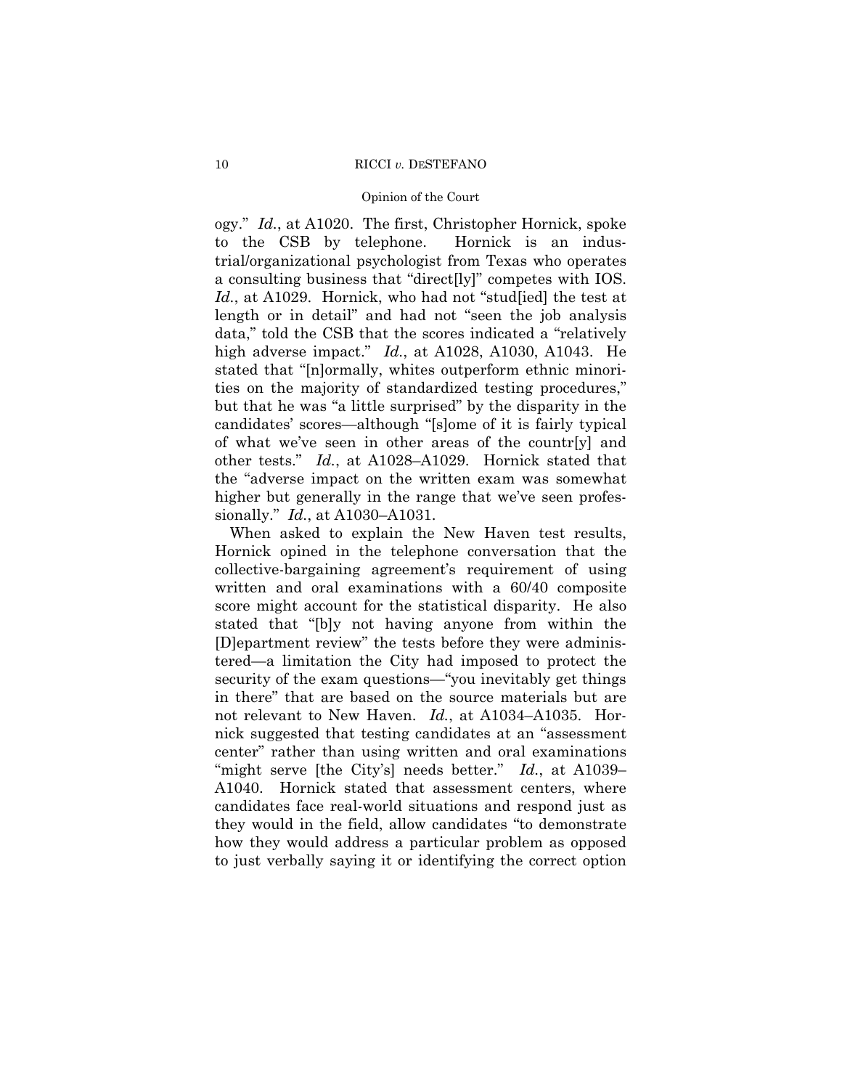### Opinion of the Court

ogy." *Id.*, at A1020. The first, Christopher Hornick, spoke to the CSB by telephone. Hornick is an industrial/organizational psychologist from Texas who operates a consulting business that "direct[ly]" competes with IOS. Id., at A1029. Hornick, who had not "stud [ied] the test at length or in detail" and had not "seen the job analysis data," told the CSB that the scores indicated a "relatively high adverse impact." *Id.*, at A1028, A1030, A1043. He stated that "[n]ormally, whites outperform ethnic minorities on the majority of standardized testing procedures," but that he was "a little surprised" by the disparity in the candidates' scores—although "[s]ome of it is fairly typical of what we've seen in other areas of the countr[y] and other tests." *Id.*, at A1028–A1029. Hornick stated that the "adverse impact on the written exam was somewhat higher but generally in the range that we've seen professionally." *Id.*, at A1030–A1031.

When asked to explain the New Haven test results, Hornick opined in the telephone conversation that the collective-bargaining agreement's requirement of using written and oral examinations with a 60/40 composite score might account for the statistical disparity. He also stated that "[b]y not having anyone from within the [D]epartment review" the tests before they were administered—a limitation the City had imposed to protect the security of the exam questions—"you inevitably get things in there" that are based on the source materials but are not relevant to New Haven. *Id.*, at A1034–A1035. Hornick suggested that testing candidates at an "assessment center" rather than using written and oral examinations "might serve [the City's] needs better." *Id.*, at A1039-A1040. Hornick stated that assessment centers, where candidates face real-world situations and respond just as they would in the field, allow candidates "to demonstrate how they would address a particular problem as opposed to just verbally saying it or identifying the correct option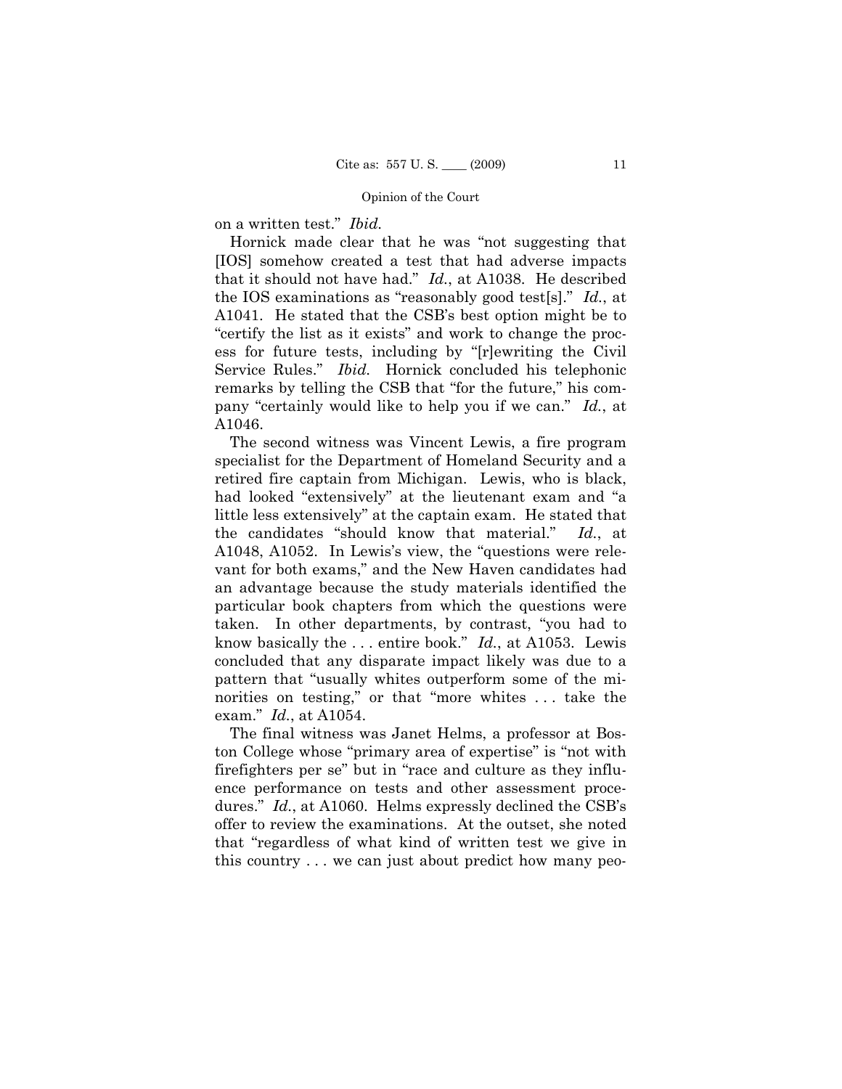on a written test." *Ibid.* 

Hornick made clear that he was "not suggesting that [IOS] somehow created a test that had adverse impacts that it should not have had." *Id.*, at A1038. He described the IOS examinations as "reasonably good test[s]." *Id.*, at A1041. He stated that the CSB's best option might be to "certify the list as it exists" and work to change the process for future tests, including by "[r]ewriting the Civil Service Rules." *Ibid.* Hornick concluded his telephonic remarks by telling the CSB that "for the future," his company "certainly would like to help you if we can." *Id.*, at A1046.

The second witness was Vincent Lewis, a fire program specialist for the Department of Homeland Security and a retired fire captain from Michigan. Lewis, who is black, had looked "extensively" at the lieutenant exam and "a little less extensively" at the captain exam. He stated that the candidates "should know that material." *Id.*, at A1048, A1052. In Lewis's view, the "questions were relevant for both exams," and the New Haven candidates had an advantage because the study materials identified the particular book chapters from which the questions were taken. In other departments, by contrast, "you had to know basically the . . . entire book." *Id.*, at A1053. Lewis concluded that any disparate impact likely was due to a pattern that "usually whites outperform some of the minorities on testing," or that "more whites . . . take the exam." *Id.*, at A1054.

The final witness was Janet Helms, a professor at Boston College whose "primary area of expertise" is "not with firefighters per se" but in "race and culture as they influence performance on tests and other assessment procedures." *Id.*, at A1060. Helms expressly declined the CSB's offer to review the examinations. At the outset, she noted that "regardless of what kind of written test we give in this country . . . we can just about predict how many peo-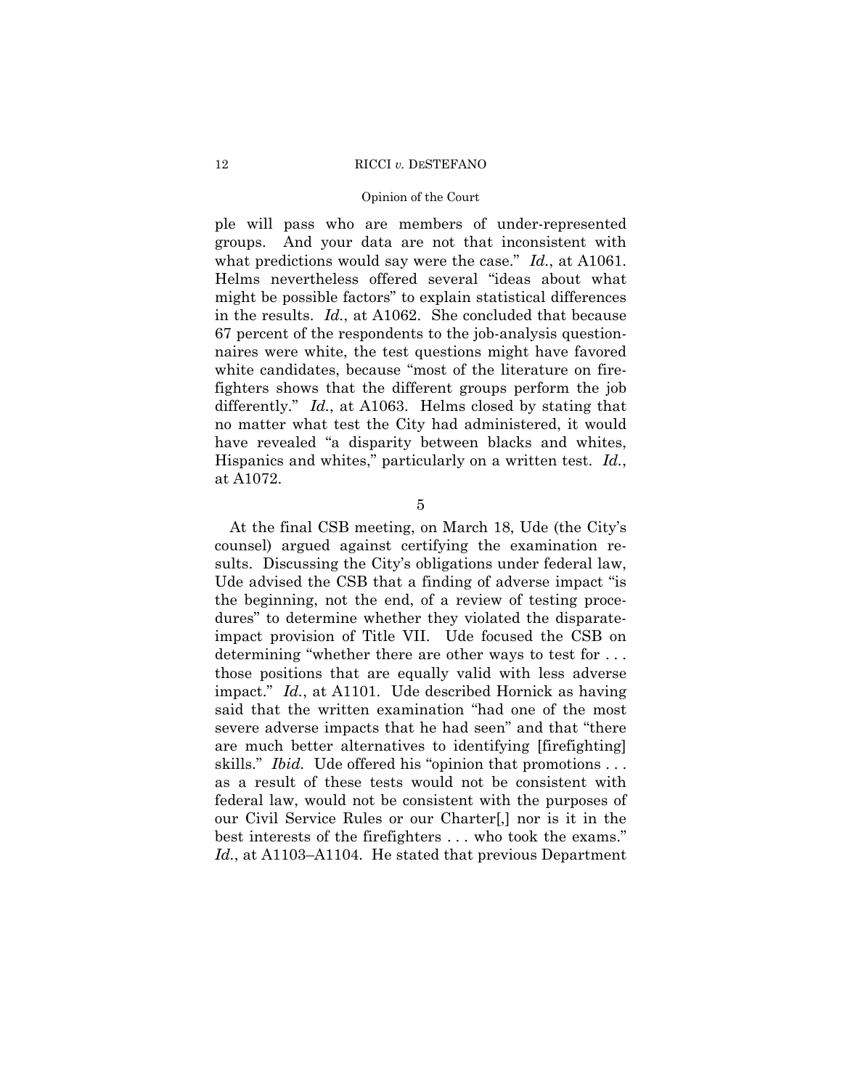### Opinion of the Court

ple will pass who are members of under-represented groups. And your data are not that inconsistent with what predictions would say were the case." *Id.*, at A1061. Helms nevertheless offered several "ideas about what might be possible factors" to explain statistical differences in the results. *Id.*, at A1062. She concluded that because 67 percent of the respondents to the job-analysis questionnaires were white, the test questions might have favored white candidates, because "most of the literature on firefighters shows that the different groups perform the job differently." *Id.*, at A1063. Helms closed by stating that no matter what test the City had administered, it would have revealed "a disparity between blacks and whites, Hispanics and whites," particularly on a written test. *Id.*, at A1072.

5

At the final CSB meeting, on March 18, Ude (the City's counsel) argued against certifying the examination results. Discussing the City's obligations under federal law, Ude advised the CSB that a finding of adverse impact "is the beginning, not the end, of a review of testing procedures" to determine whether they violated the disparateimpact provision of Title VII. Ude focused the CSB on determining "whether there are other ways to test for . . . those positions that are equally valid with less adverse impact." *Id.*, at A1101. Ude described Hornick as having said that the written examination "had one of the most severe adverse impacts that he had seen" and that "there are much better alternatives to identifying [firefighting] skills." *Ibid.* Ude offered his "opinion that promotions . . . as a result of these tests would not be consistent with federal law, would not be consistent with the purposes of our Civil Service Rules or our Charter[,] nor is it in the best interests of the firefighters . . . who took the exams." *Id.*, at A1103–A1104. He stated that previous Department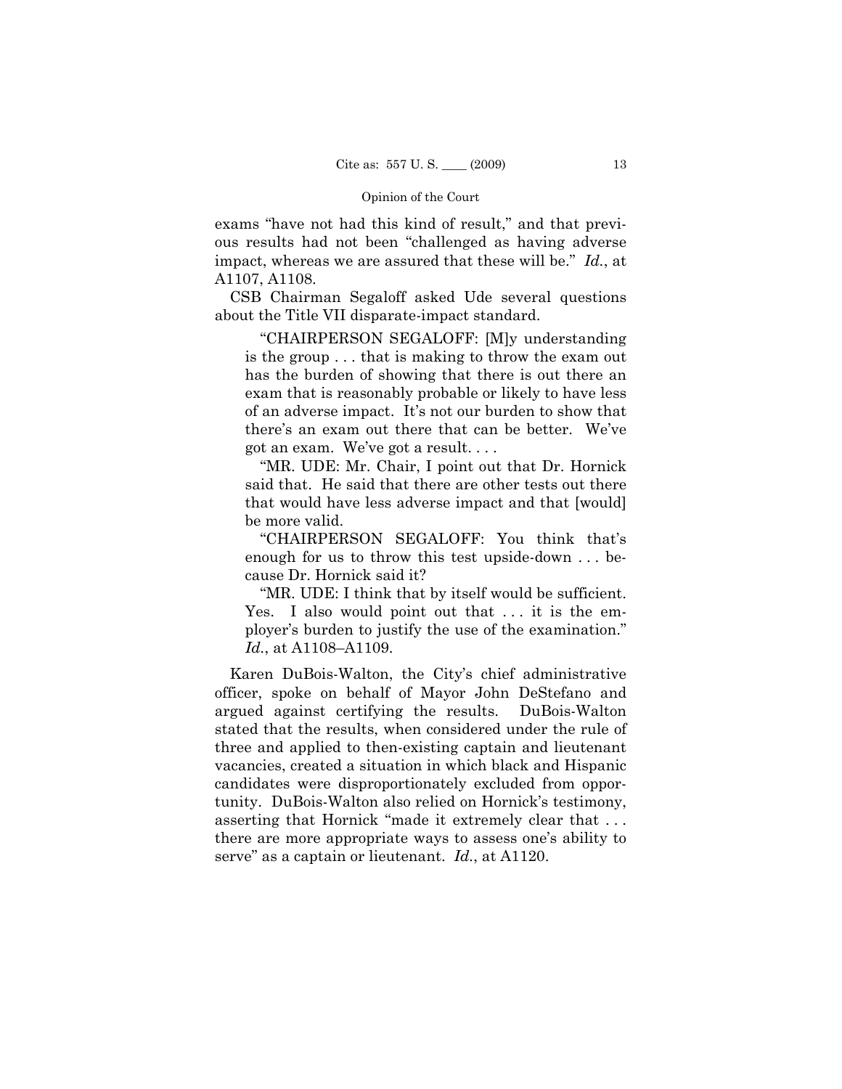exams "have not had this kind of result," and that previous results had not been "challenged as having adverse impact, whereas we are assured that these will be." *Id.*, at A1107, A1108.

CSB Chairman Segaloff asked Ude several questions about the Title VII disparate-impact standard.

"CHAIRPERSON SEGALOFF: [M]y understanding is the group . . . that is making to throw the exam out has the burden of showing that there is out there an exam that is reasonably probable or likely to have less of an adverse impact. It's not our burden to show that there's an exam out there that can be better. We've got an exam. We've got a result. . . .

"MR. UDE: Mr. Chair, I point out that Dr. Hornick said that. He said that there are other tests out there that would have less adverse impact and that [would] be more valid.

"CHAIRPERSON SEGALOFF: You think that's enough for us to throw this test upside-down . . . because Dr. Hornick said it?

"MR. UDE: I think that by itself would be sufficient. Yes. I also would point out that ... it is the employer's burden to justify the use of the examination." *Id.*, at A1108–A1109.

Karen DuBois-Walton, the City's chief administrative officer, spoke on behalf of Mayor John DeStefano and argued against certifying the results. DuBois-Walton stated that the results, when considered under the rule of three and applied to then-existing captain and lieutenant vacancies, created a situation in which black and Hispanic candidates were disproportionately excluded from opportunity. DuBois-Walton also relied on Hornick's testimony, asserting that Hornick "made it extremely clear that . . . there are more appropriate ways to assess one's ability to serve" as a captain or lieutenant. *Id.*, at A1120.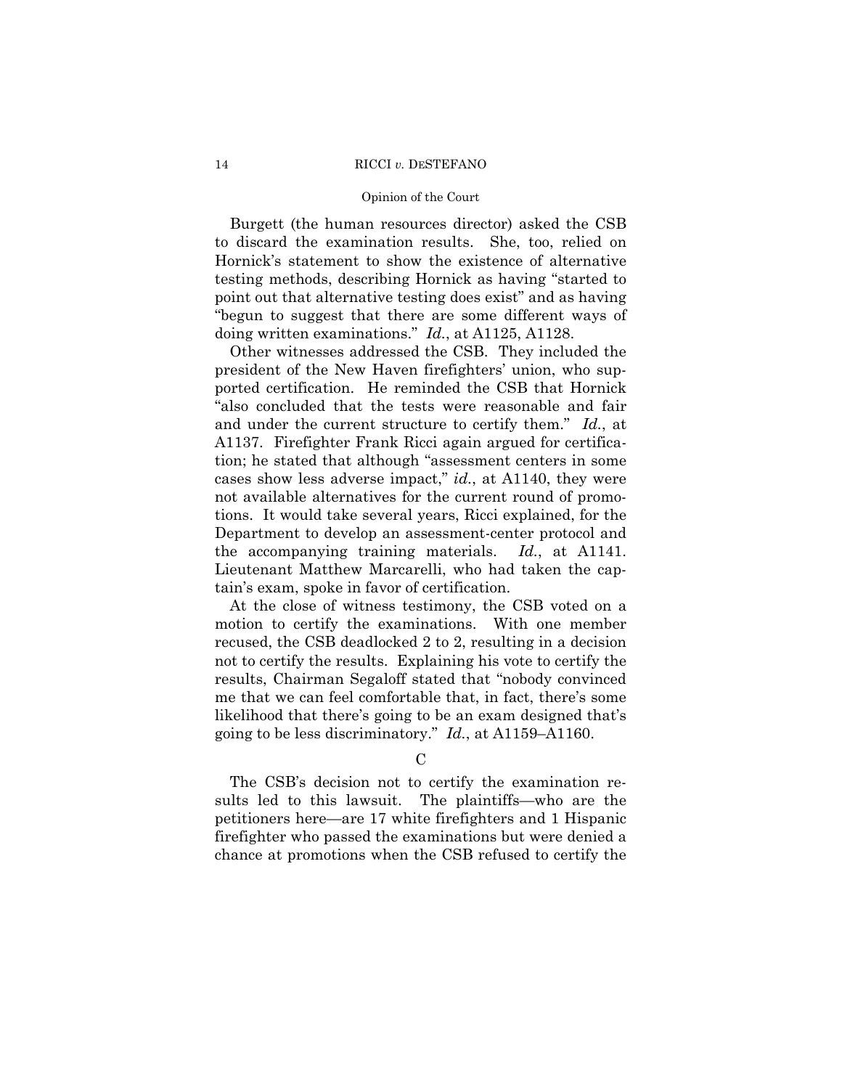### Opinion of the Court

Burgett (the human resources director) asked the CSB to discard the examination results. She, too, relied on Hornick's statement to show the existence of alternative testing methods, describing Hornick as having "started to point out that alternative testing does exist" and as having "begun to suggest that there are some different ways of doing written examinations." *Id.*, at A1125, A1128.

Other witnesses addressed the CSB. They included the president of the New Haven firefighters' union, who supported certification. He reminded the CSB that Hornick "also concluded that the tests were reasonable and fair and under the current structure to certify them." *Id.*, at A1137. Firefighter Frank Ricci again argued for certification; he stated that although "assessment centers in some cases show less adverse impact," *id.*, at A1140, they were not available alternatives for the current round of promotions. It would take several years, Ricci explained, for the Department to develop an assessment-center protocol and the accompanying training materials. *Id.*, at A1141. Lieutenant Matthew Marcarelli, who had taken the captain's exam, spoke in favor of certification.

At the close of witness testimony, the CSB voted on a motion to certify the examinations. With one member recused, the CSB deadlocked 2 to 2, resulting in a decision not to certify the results. Explaining his vote to certify the results, Chairman Segaloff stated that "nobody convinced me that we can feel comfortable that, in fact, there's some likelihood that there's going to be an exam designed that's going to be less discriminatory." *Id.*, at A1159–A1160.

 $\mathcal{C}$ 

The CSB's decision not to certify the examination results led to this lawsuit. The plaintiffs—who are the petitioners here—are 17 white firefighters and 1 Hispanic firefighter who passed the examinations but were denied a chance at promotions when the CSB refused to certify the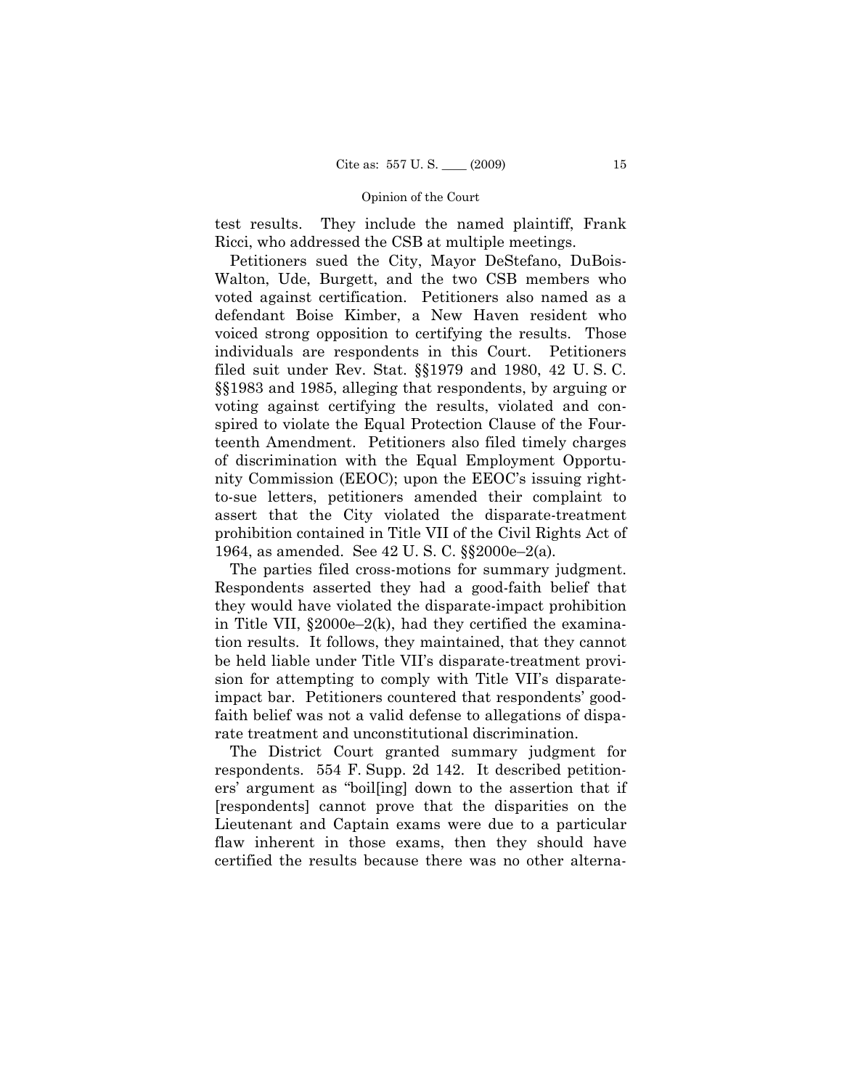test results. They include the named plaintiff, Frank Ricci, who addressed the CSB at multiple meetings.

Petitioners sued the City, Mayor DeStefano, DuBois-Walton, Ude, Burgett, and the two CSB members who voted against certification. Petitioners also named as a defendant Boise Kimber, a New Haven resident who voiced strong opposition to certifying the results. Those individuals are respondents in this Court. Petitioners filed suit under Rev. Stat. §§1979 and 1980, 42 U. S. C. §§1983 and 1985, alleging that respondents, by arguing or voting against certifying the results, violated and conspired to violate the Equal Protection Clause of the Fourteenth Amendment. Petitioners also filed timely charges of discrimination with the Equal Employment Opportunity Commission (EEOC); upon the EEOC's issuing rightto-sue letters, petitioners amended their complaint to assert that the City violated the disparate-treatment prohibition contained in Title VII of the Civil Rights Act of 1964, as amended. See 42 U. S. C. §§2000e–2(a)*.* 

The parties filed cross-motions for summary judgment. Respondents asserted they had a good-faith belief that they would have violated the disparate-impact prohibition in Title VII, §2000e–2(k), had they certified the examination results. It follows, they maintained, that they cannot be held liable under Title VII's disparate-treatment provision for attempting to comply with Title VII's disparateimpact bar. Petitioners countered that respondents' goodfaith belief was not a valid defense to allegations of disparate treatment and unconstitutional discrimination.

The District Court granted summary judgment for respondents. 554 F. Supp. 2d 142. It described petitioners' argument as "boil[ing] down to the assertion that if [respondents] cannot prove that the disparities on the Lieutenant and Captain exams were due to a particular flaw inherent in those exams, then they should have certified the results because there was no other alterna-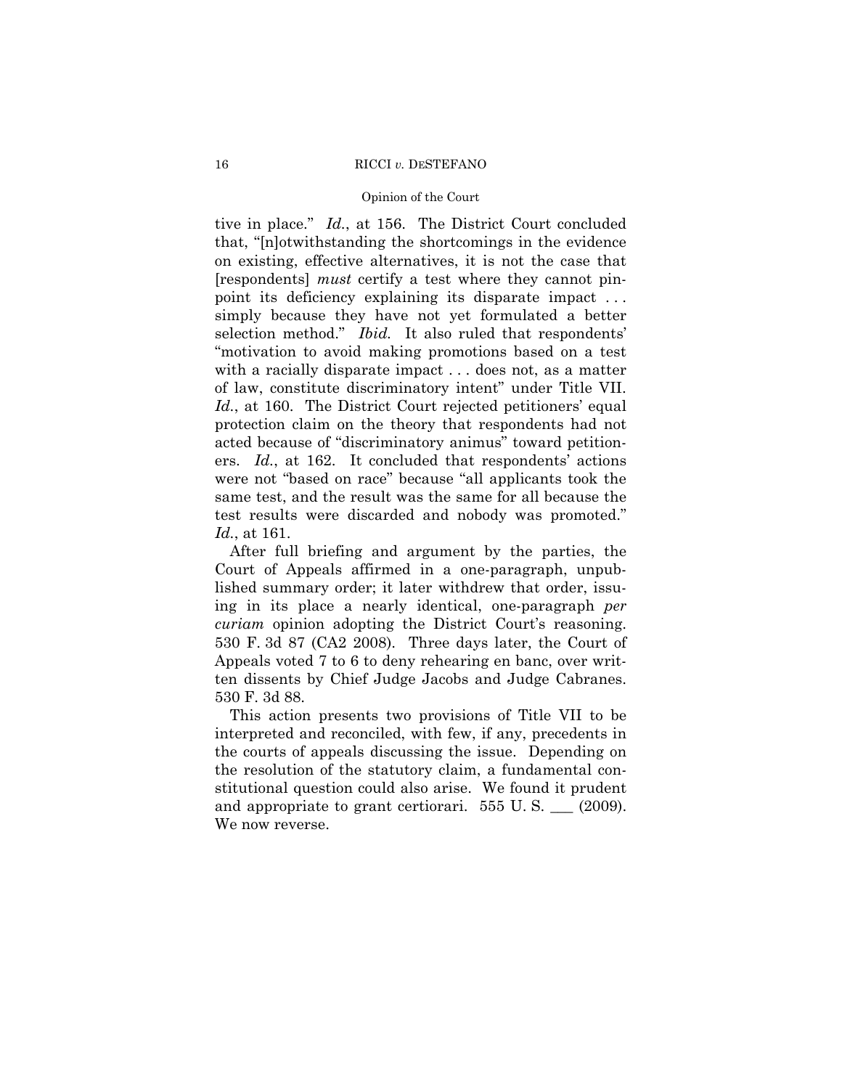### Opinion of the Court

tive in place." *Id.*, at 156. The District Court concluded that, "[n]otwithstanding the shortcomings in the evidence on existing, effective alternatives, it is not the case that [respondents] *must* certify a test where they cannot pinpoint its deficiency explaining its disparate impact . . . simply because they have not yet formulated a better selection method." *Ibid.* It also ruled that respondents' "motivation to avoid making promotions based on a test with a racially disparate impact ... does not, as a matter of law, constitute discriminatory intent" under Title VII. *Id.*, at 160. The District Court rejected petitioners' equal protection claim on the theory that respondents had not acted because of "discriminatory animus" toward petitioners. *Id.*, at 162. It concluded that respondents' actions were not "based on race" because "all applicants took the same test, and the result was the same for all because the test results were discarded and nobody was promoted." *Id.*, at 161.

After full briefing and argument by the parties, the Court of Appeals affirmed in a one-paragraph, unpublished summary order; it later withdrew that order, issuing in its place a nearly identical, one-paragraph *per curiam* opinion adopting the District Court's reasoning. 530 F. 3d 87 (CA2 2008). Three days later, the Court of Appeals voted 7 to 6 to deny rehearing en banc, over written dissents by Chief Judge Jacobs and Judge Cabranes. 530 F. 3d 88.

This action presents two provisions of Title VII to be interpreted and reconciled, with few, if any, precedents in the courts of appeals discussing the issue. Depending on the resolution of the statutory claim, a fundamental constitutional question could also arise. We found it prudent and appropriate to grant certiorari.  $555$  U.S.  $\_\_$  (2009). We now reverse.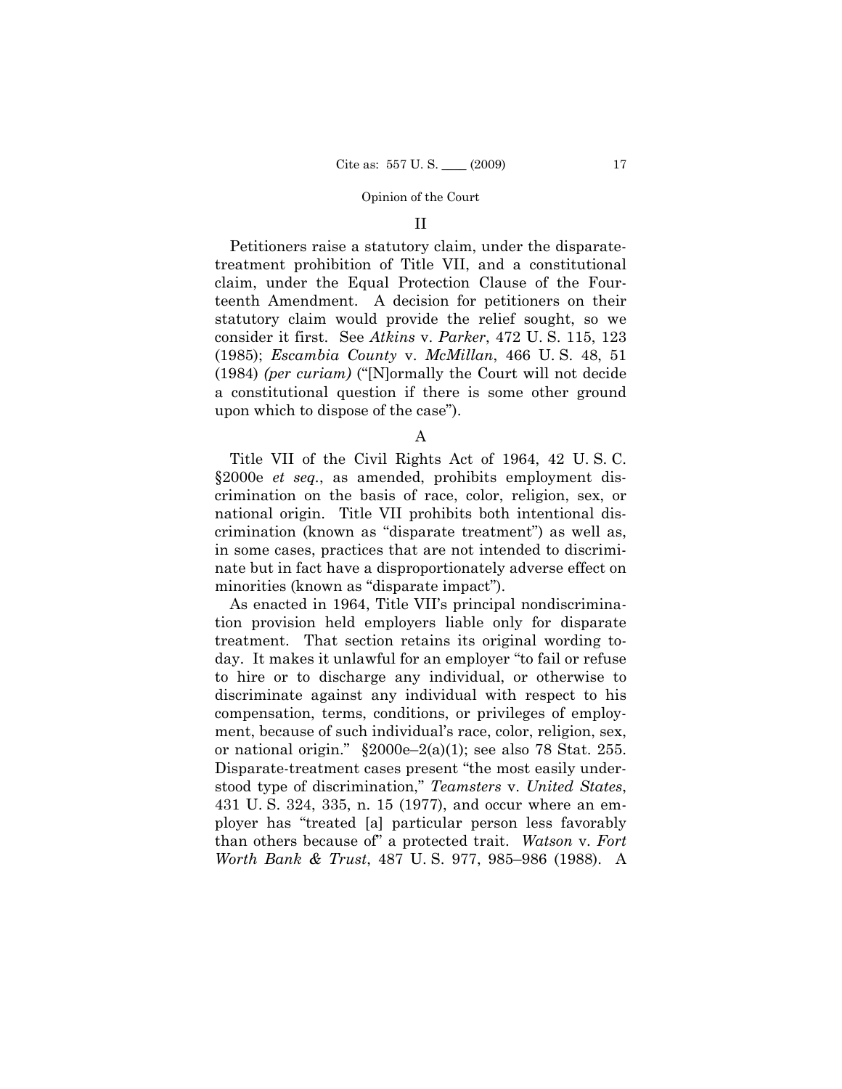### II

Petitioners raise a statutory claim, under the disparatetreatment prohibition of Title VII, and a constitutional claim, under the Equal Protection Clause of the Fourteenth Amendment. A decision for petitioners on their statutory claim would provide the relief sought, so we consider it first. See *Atkins* v. *Parker*, 472 U. S. 115, 123 (1985); *Escambia County* v. *McMillan*, 466 U. S. 48, 51 (1984) *(per curiam)* ("[N]ormally the Court will not decide a constitutional question if there is some other ground upon which to dispose of the case").

Title VII of the Civil Rights Act of 1964, 42 U. S. C. §2000e *et seq.*, as amended, prohibits employment discrimination on the basis of race, color, religion, sex, or national origin. Title VII prohibits both intentional discrimination (known as "disparate treatment") as well as, in some cases, practices that are not intended to discriminate but in fact have a disproportionately adverse effect on minorities (known as "disparate impact").

As enacted in 1964, Title VII's principal nondiscrimination provision held employers liable only for disparate treatment. That section retains its original wording today. It makes it unlawful for an employer "to fail or refuse to hire or to discharge any individual, or otherwise to discriminate against any individual with respect to his compensation, terms, conditions, or privileges of employment, because of such individual's race, color, religion, sex, or national origin."  $§2000e-2(a)(1)$ ; see also 78 Stat. 255. Disparate-treatment cases present "the most easily understood type of discrimination," *Teamsters* v. *United States*, 431 U. S. 324, 335, n. 15 (1977), and occur where an employer has "treated [a] particular person less favorably than others because of" a protected trait. *Watson* v. *Fort Worth Bank & Trust*, 487 U. S. 977, 985–986 (1988). A

A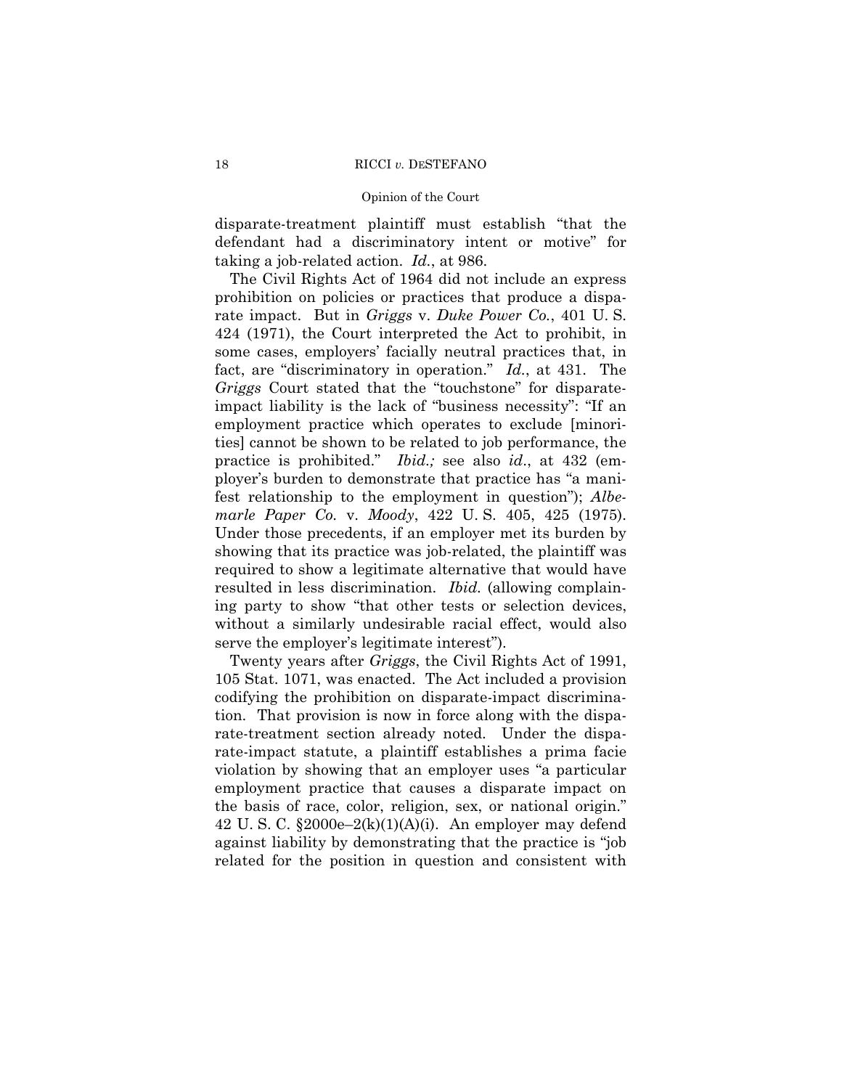disparate-treatment plaintiff must establish "that the defendant had a discriminatory intent or motive" for taking a job-related action. *Id.*, at 986.

The Civil Rights Act of 1964 did not include an express prohibition on policies or practices that produce a disparate impact. But in *Griggs* v. *Duke Power Co.*, 401 U. S. 424 (1971), the Court interpreted the Act to prohibit, in some cases, employers' facially neutral practices that, in fact, are "discriminatory in operation." *Id.*, at 431. The *Griggs* Court stated that the "touchstone" for disparateimpact liability is the lack of "business necessity": "If an employment practice which operates to exclude [minorities] cannot be shown to be related to job performance, the practice is prohibited." *Ibid.;* see also *id*., at 432 (employer's burden to demonstrate that practice has "a manifest relationship to the employment in question"); *Albemarle Paper Co.* v. *Moody*, 422 U. S. 405, 425 (1975). Under those precedents, if an employer met its burden by showing that its practice was job-related, the plaintiff was required to show a legitimate alternative that would have resulted in less discrimination. *Ibid.* (allowing complaining party to show "that other tests or selection devices, without a similarly undesirable racial effect, would also serve the employer's legitimate interest").

 Twenty years after *Griggs*, the Civil Rights Act of 1991, 105 Stat. 1071, was enacted. The Act included a provision codifying the prohibition on disparate-impact discrimination. That provision is now in force along with the disparate-treatment section already noted. Under the disparate-impact statute, a plaintiff establishes a prima facie violation by showing that an employer uses "a particular employment practice that causes a disparate impact on the basis of race, color, religion, sex, or national origin." 42 U.S.C.  $$2000e-2(k)(1)(A)(i)$ . An employer may defend against liability by demonstrating that the practice is "job related for the position in question and consistent with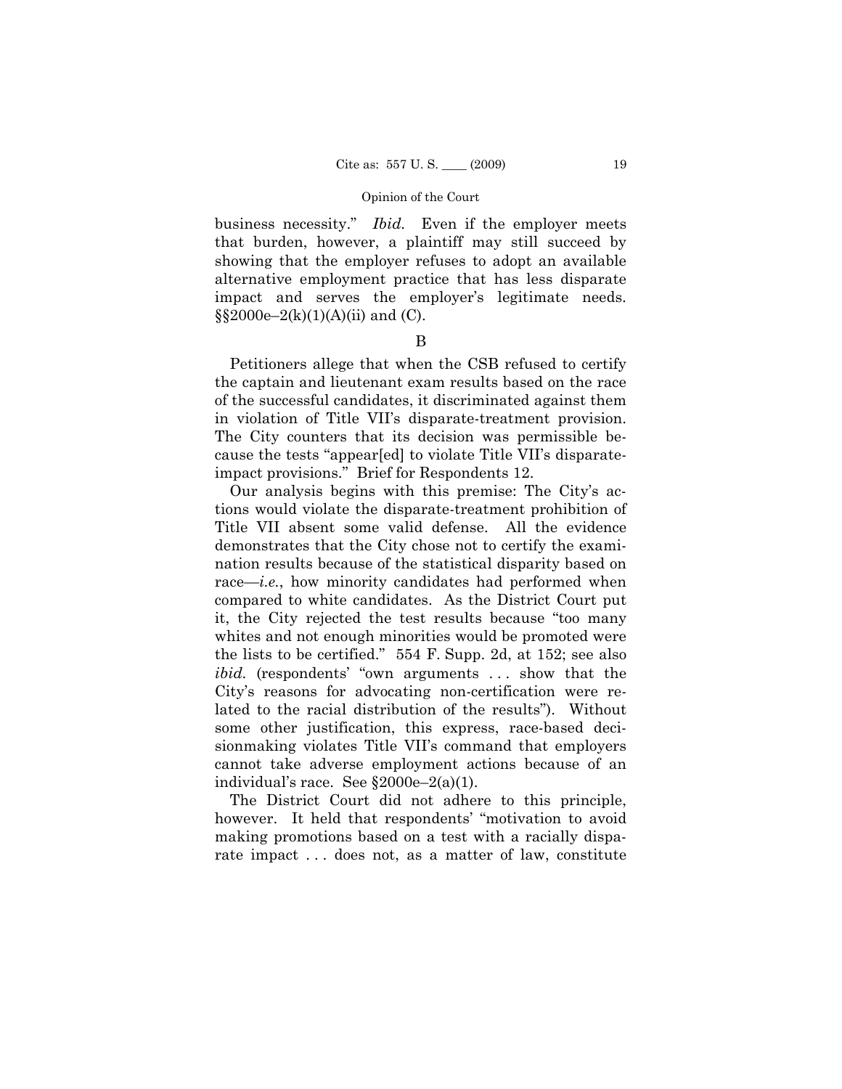business necessity." *Ibid.* Even if the employer meets that burden, however, a plaintiff may still succeed by showing that the employer refuses to adopt an available alternative employment practice that has less disparate impact and serves the employer's legitimate needs.  $\S$ \$2000e–2(k)(1)(A)(ii) and (C).

B

Petitioners allege that when the CSB refused to certify the captain and lieutenant exam results based on the race of the successful candidates, it discriminated against them in violation of Title VII's disparate-treatment provision. The City counters that its decision was permissible because the tests "appear[ed] to violate Title VII's disparateimpact provisions." Brief for Respondents 12.

Our analysis begins with this premise: The City's actions would violate the disparate-treatment prohibition of Title VII absent some valid defense. All the evidence demonstrates that the City chose not to certify the examination results because of the statistical disparity based on race—*i.e.*, how minority candidates had performed when compared to white candidates. As the District Court put it, the City rejected the test results because "too many whites and not enough minorities would be promoted were the lists to be certified." 554 F. Supp. 2d, at 152; see also *ibid.* (respondents' "own arguments ... show that the City's reasons for advocating non-certification were related to the racial distribution of the results"). Without some other justification, this express, race-based decisionmaking violates Title VII's command that employers cannot take adverse employment actions because of an individual's race. See  $§2000e-2(a)(1)$ .

The District Court did not adhere to this principle, however. It held that respondents' "motivation to avoid making promotions based on a test with a racially disparate impact . . . does not, as a matter of law, constitute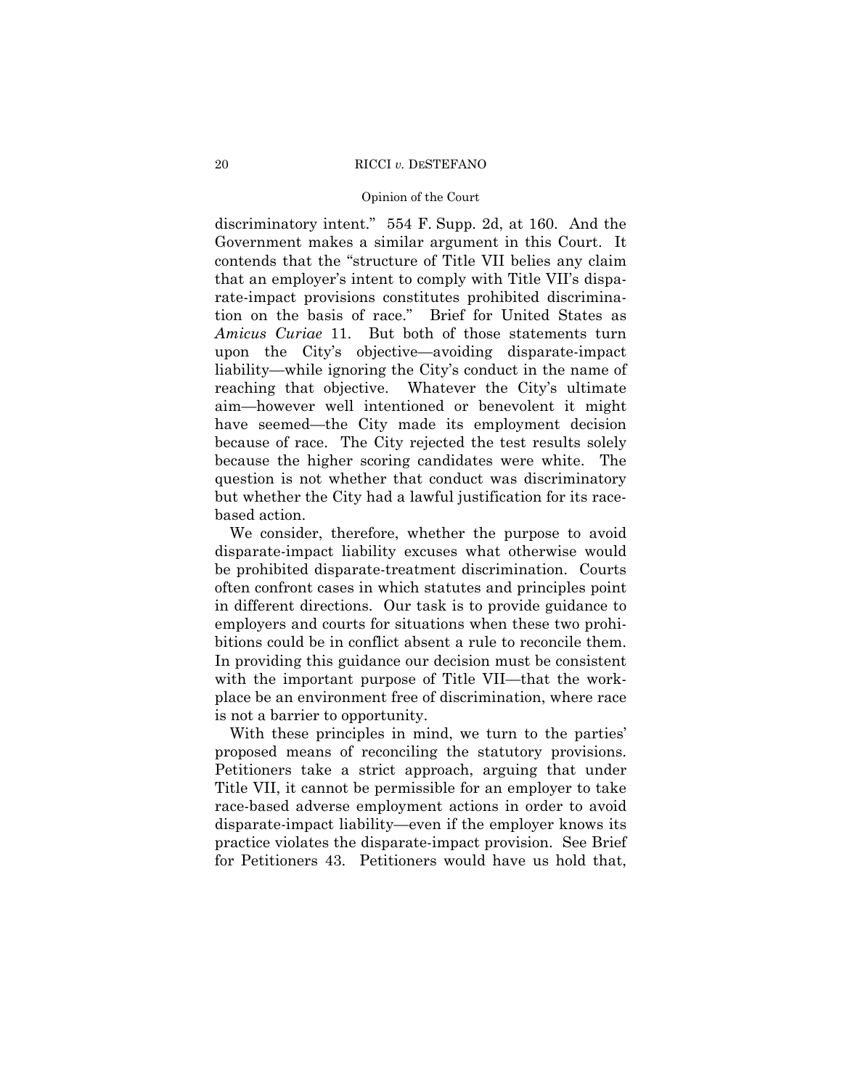### Opinion of the Court

discriminatory intent." 554 F. Supp. 2d, at 160. And the Government makes a similar argument in this Court. It contends that the "structure of Title VII belies any claim that an employer's intent to comply with Title VII's disparate-impact provisions constitutes prohibited discrimination on the basis of race." Brief for United States as *Amicus Curiae* 11. But both of those statements turn upon the City's objective—avoiding disparate-impact liability—while ignoring the City's conduct in the name of reaching that objective. Whatever the City's ultimate aim—however well intentioned or benevolent it might have seemed—the City made its employment decision because of race. The City rejected the test results solely because the higher scoring candidates were white. The question is not whether that conduct was discriminatory but whether the City had a lawful justification for its racebased action.

We consider, therefore, whether the purpose to avoid disparate-impact liability excuses what otherwise would be prohibited disparate-treatment discrimination. Courts often confront cases in which statutes and principles point in different directions. Our task is to provide guidance to employers and courts for situations when these two prohibitions could be in conflict absent a rule to reconcile them. In providing this guidance our decision must be consistent with the important purpose of Title VII—that the workplace be an environment free of discrimination, where race is not a barrier to opportunity.

With these principles in mind, we turn to the parties' proposed means of reconciling the statutory provisions. Petitioners take a strict approach, arguing that under Title VII, it cannot be permissible for an employer to take race-based adverse employment actions in order to avoid disparate-impact liability—even if the employer knows its practice violates the disparate-impact provision. See Brief for Petitioners 43. Petitioners would have us hold that,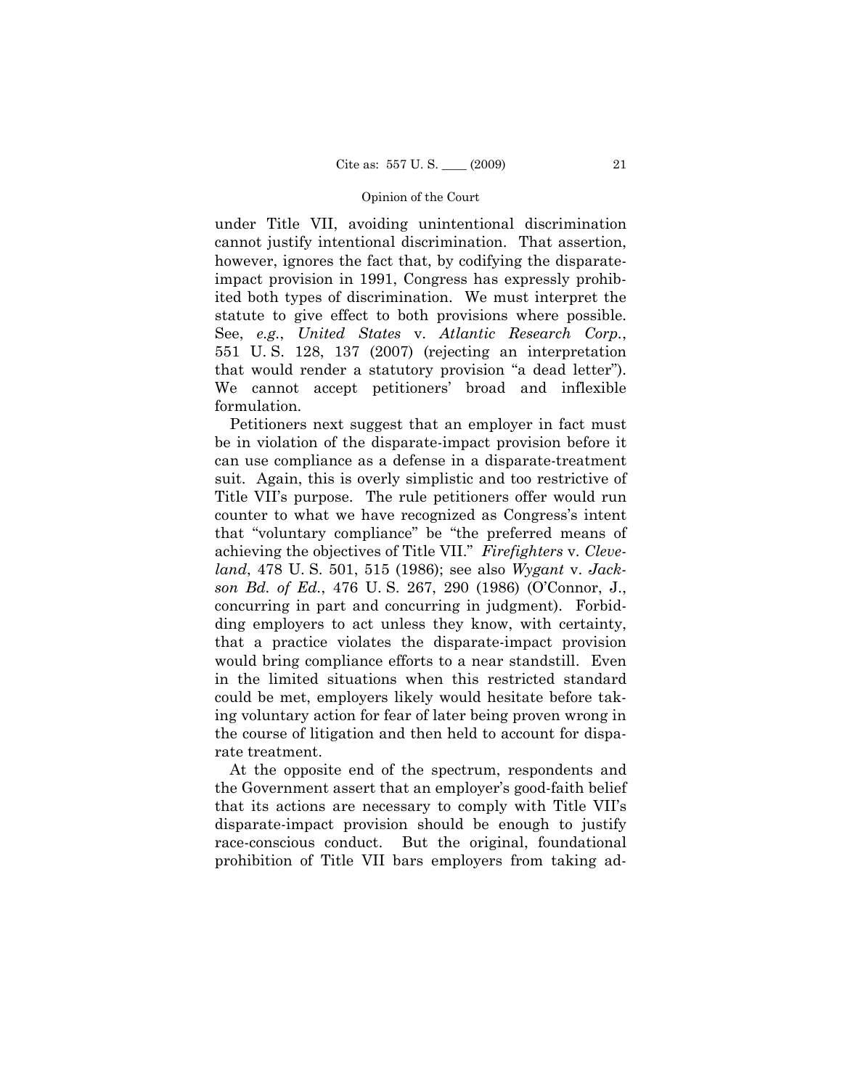under Title VII, avoiding unintentional discrimination cannot justify intentional discrimination. That assertion, however, ignores the fact that, by codifying the disparateimpact provision in 1991, Congress has expressly prohibited both types of discrimination. We must interpret the statute to give effect to both provisions where possible. See, *e.g.*, *United States* v. *Atlantic Research Corp.*, 551 U. S. 128, 137 (2007) (rejecting an interpretation that would render a statutory provision "a dead letter"). We cannot accept petitioners' broad and inflexible formulation.

Petitioners next suggest that an employer in fact must be in violation of the disparate-impact provision before it can use compliance as a defense in a disparate-treatment suit. Again, this is overly simplistic and too restrictive of Title VII's purpose. The rule petitioners offer would run counter to what we have recognized as Congress's intent that "voluntary compliance" be "the preferred means of achieving the objectives of Title VII." *Firefighters* v. *Cleveland*, 478 U. S. 501, 515 (1986); see also *Wygant* v. *Jackson Bd. of Ed.*, 476 U. S. 267, 290 (1986) (O'Connor, J., concurring in part and concurring in judgment). Forbidding employers to act unless they know, with certainty, that a practice violates the disparate-impact provision would bring compliance efforts to a near standstill. Even in the limited situations when this restricted standard could be met, employers likely would hesitate before taking voluntary action for fear of later being proven wrong in the course of litigation and then held to account for disparate treatment.

At the opposite end of the spectrum, respondents and the Government assert that an employer's good-faith belief that its actions are necessary to comply with Title VII's disparate-impact provision should be enough to justify race-conscious conduct. But the original, foundational prohibition of Title VII bars employers from taking ad-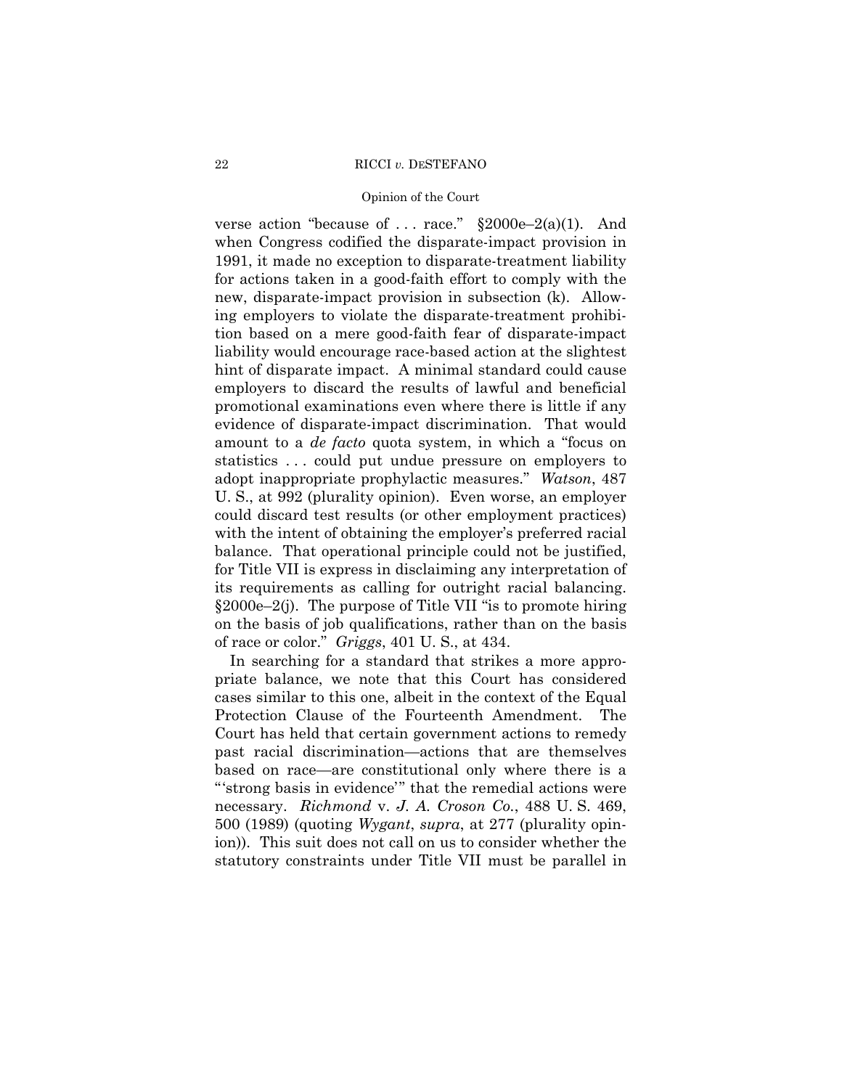### Opinion of the Court

verse action "because of ... race."  $\S2000e-2(a)(1)$ . And when Congress codified the disparate-impact provision in 1991, it made no exception to disparate-treatment liability for actions taken in a good-faith effort to comply with the new, disparate-impact provision in subsection (k). Allowing employers to violate the disparate-treatment prohibition based on a mere good-faith fear of disparate-impact liability would encourage race-based action at the slightest hint of disparate impact. A minimal standard could cause employers to discard the results of lawful and beneficial promotional examinations even where there is little if any evidence of disparate-impact discrimination. That would amount to a *de facto* quota system, in which a "focus on statistics . . . could put undue pressure on employers to adopt inappropriate prophylactic measures." *Watson*, 487 U. S., at 992 (plurality opinion). Even worse, an employer could discard test results (or other employment practices) with the intent of obtaining the employer's preferred racial balance. That operational principle could not be justified, for Title VII is express in disclaiming any interpretation of its requirements as calling for outright racial balancing. §2000e–2(j). The purpose of Title VII "is to promote hiring on the basis of job qualifications, rather than on the basis of race or color." *Griggs*, 401 U. S., at 434.

In searching for a standard that strikes a more appropriate balance, we note that this Court has considered cases similar to this one, albeit in the context of the Equal Protection Clause of the Fourteenth Amendment. The Court has held that certain government actions to remedy past racial discrimination—actions that are themselves based on race—are constitutional only where there is a "'strong basis in evidence'" that the remedial actions were necessary. *Richmond* v. *J. A. Croson Co.*, 488 U. S. 469, 500 (1989) (quoting *Wygant*, *supra*, at 277 (plurality opinion)). This suit does not call on us to consider whether the statutory constraints under Title VII must be parallel in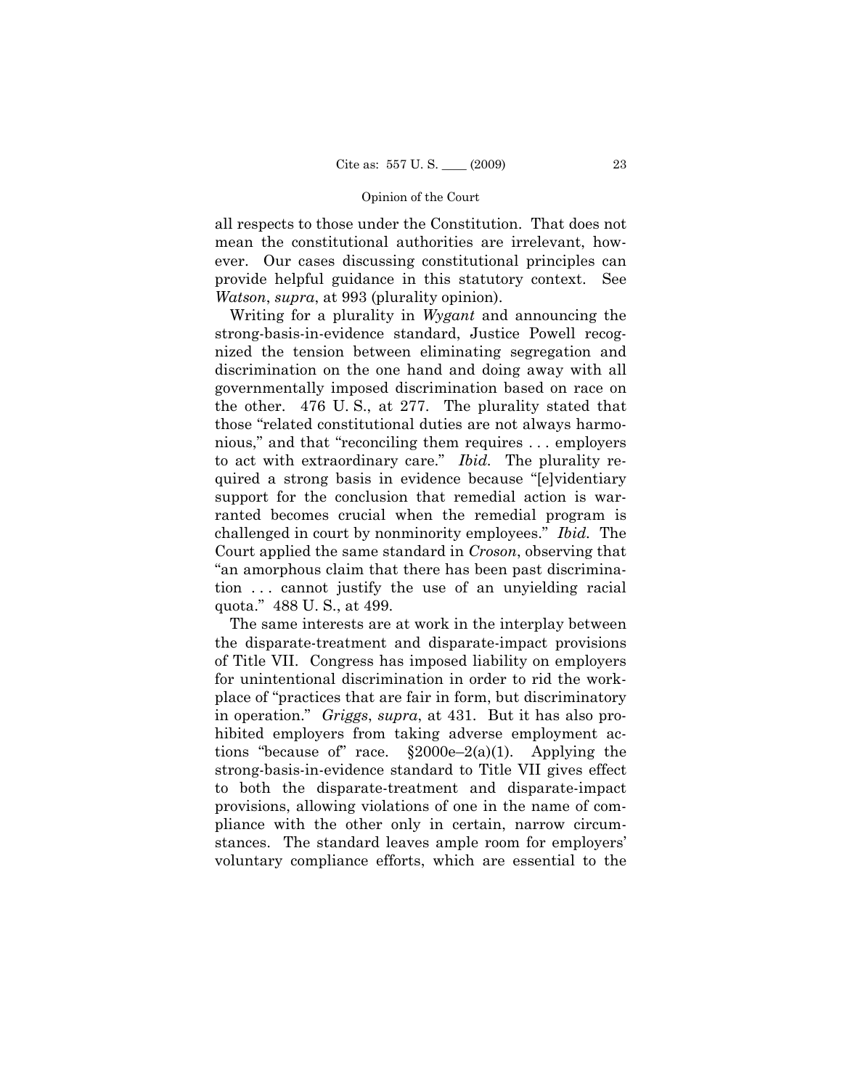all respects to those under the Constitution. That does not mean the constitutional authorities are irrelevant, however. Our cases discussing constitutional principles can provide helpful guidance in this statutory context. See *Watson*, *supra*, at 993 (plurality opinion).

Writing for a plurality in *Wygant* and announcing the strong-basis-in-evidence standard, Justice Powell recognized the tension between eliminating segregation and discrimination on the one hand and doing away with all governmentally imposed discrimination based on race on the other. 476 U. S., at 277. The plurality stated that those "related constitutional duties are not always harmonious," and that "reconciling them requires . . . employers to act with extraordinary care." *Ibid.* The plurality required a strong basis in evidence because "[e]videntiary support for the conclusion that remedial action is warranted becomes crucial when the remedial program is challenged in court by nonminority employees." *Ibid.* The Court applied the same standard in *Croson*, observing that "an amorphous claim that there has been past discrimination . . . cannot justify the use of an unyielding racial quota." 488 U. S., at 499.

The same interests are at work in the interplay between the disparate-treatment and disparate-impact provisions of Title VII. Congress has imposed liability on employers for unintentional discrimination in order to rid the workplace of "practices that are fair in form, but discriminatory in operation." *Griggs*, *supra*, at 431. But it has also prohibited employers from taking adverse employment actions "because of" race.  $$2000e-2(a)(1)$ . Applying the strong-basis-in-evidence standard to Title VII gives effect to both the disparate-treatment and disparate-impact provisions, allowing violations of one in the name of compliance with the other only in certain, narrow circumstances. The standard leaves ample room for employers' voluntary compliance efforts, which are essential to the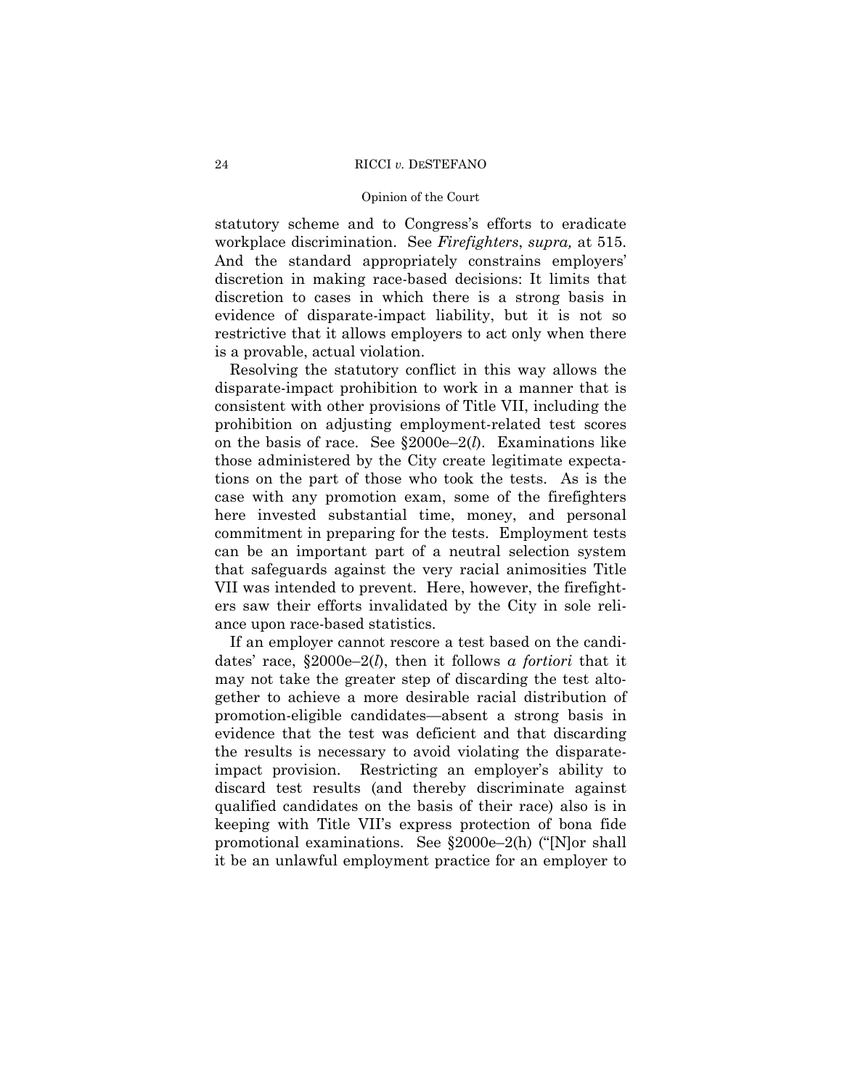### Opinion of the Court

statutory scheme and to Congress's efforts to eradicate workplace discrimination. See *Firefighters*, *supra,* at 515. And the standard appropriately constrains employers' discretion in making race-based decisions: It limits that discretion to cases in which there is a strong basis in evidence of disparate-impact liability, but it is not so restrictive that it allows employers to act only when there is a provable, actual violation.

Resolving the statutory conflict in this way allows the disparate-impact prohibition to work in a manner that is consistent with other provisions of Title VII, including the prohibition on adjusting employment-related test scores on the basis of race. See §2000e–2(*l*). Examinations like those administered by the City create legitimate expectations on the part of those who took the tests. As is the case with any promotion exam, some of the firefighters here invested substantial time, money, and personal commitment in preparing for the tests. Employment tests can be an important part of a neutral selection system that safeguards against the very racial animosities Title VII was intended to prevent. Here, however, the firefighters saw their efforts invalidated by the City in sole reliance upon race-based statistics.

If an employer cannot rescore a test based on the candidates' race, §2000e–2(*l*), then it follows *a fortiori* that it may not take the greater step of discarding the test altogether to achieve a more desirable racial distribution of promotion-eligible candidates—absent a strong basis in evidence that the test was deficient and that discarding the results is necessary to avoid violating the disparateimpact provision. Restricting an employer's ability to discard test results (and thereby discriminate against qualified candidates on the basis of their race) also is in keeping with Title VII's express protection of bona fide promotional examinations. See §2000e–2(h) ("[N]or shall it be an unlawful employment practice for an employer to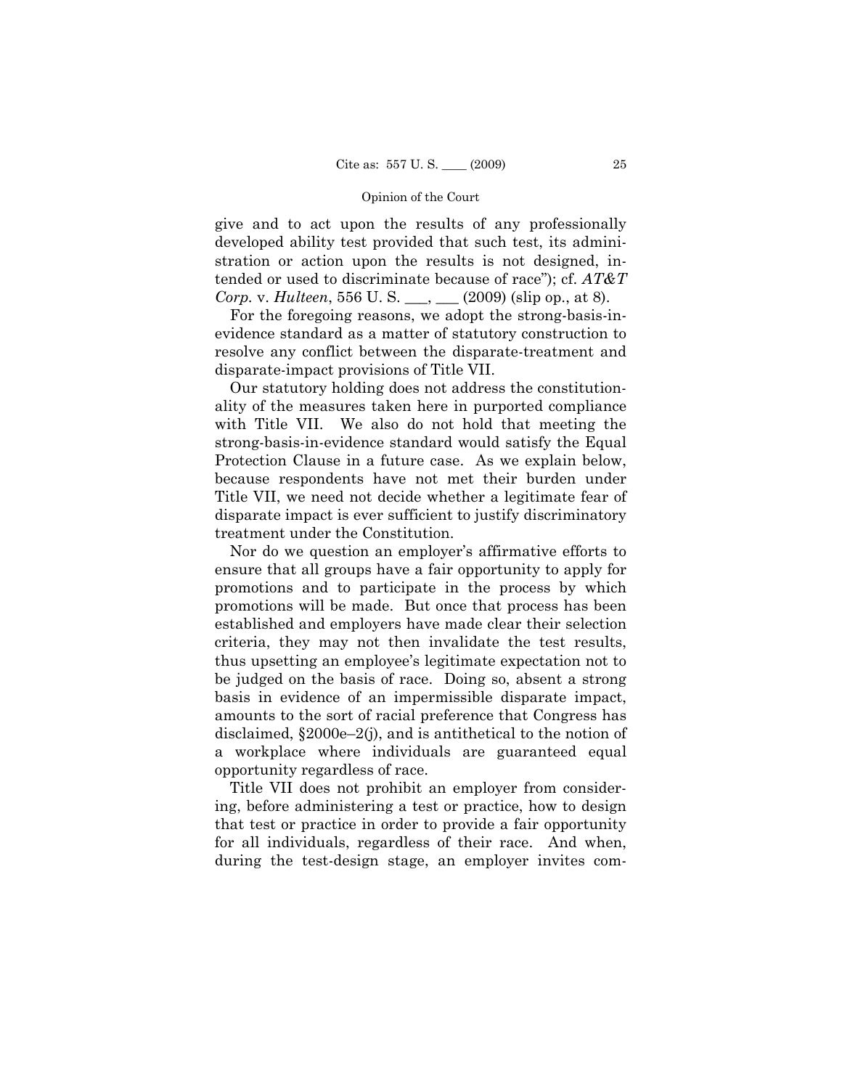give and to act upon the results of any professionally developed ability test provided that such test, its administration or action upon the results is not designed, intended or used to discriminate because of race"); cf. *AT&T Corp.* v. *Hulteen*, 556 U. S. \_\_\_, \_\_\_ (2009) (slip op., at 8).

For the foregoing reasons, we adopt the strong-basis-inevidence standard as a matter of statutory construction to resolve any conflict between the disparate-treatment and disparate-impact provisions of Title VII.

Our statutory holding does not address the constitutionality of the measures taken here in purported compliance with Title VII. We also do not hold that meeting the strong-basis-in-evidence standard would satisfy the Equal Protection Clause in a future case. As we explain below, because respondents have not met their burden under Title VII, we need not decide whether a legitimate fear of disparate impact is ever sufficient to justify discriminatory treatment under the Constitution.

Nor do we question an employer's affirmative efforts to ensure that all groups have a fair opportunity to apply for promotions and to participate in the process by which promotions will be made. But once that process has been established and employers have made clear their selection criteria, they may not then invalidate the test results, thus upsetting an employee's legitimate expectation not to be judged on the basis of race. Doing so, absent a strong basis in evidence of an impermissible disparate impact, amounts to the sort of racial preference that Congress has disclaimed, §2000e–2(j), and is antithetical to the notion of a workplace where individuals are guaranteed equal opportunity regardless of race.

Title VII does not prohibit an employer from considering, before administering a test or practice, how to design that test or practice in order to provide a fair opportunity for all individuals, regardless of their race. And when, during the test-design stage, an employer invites com-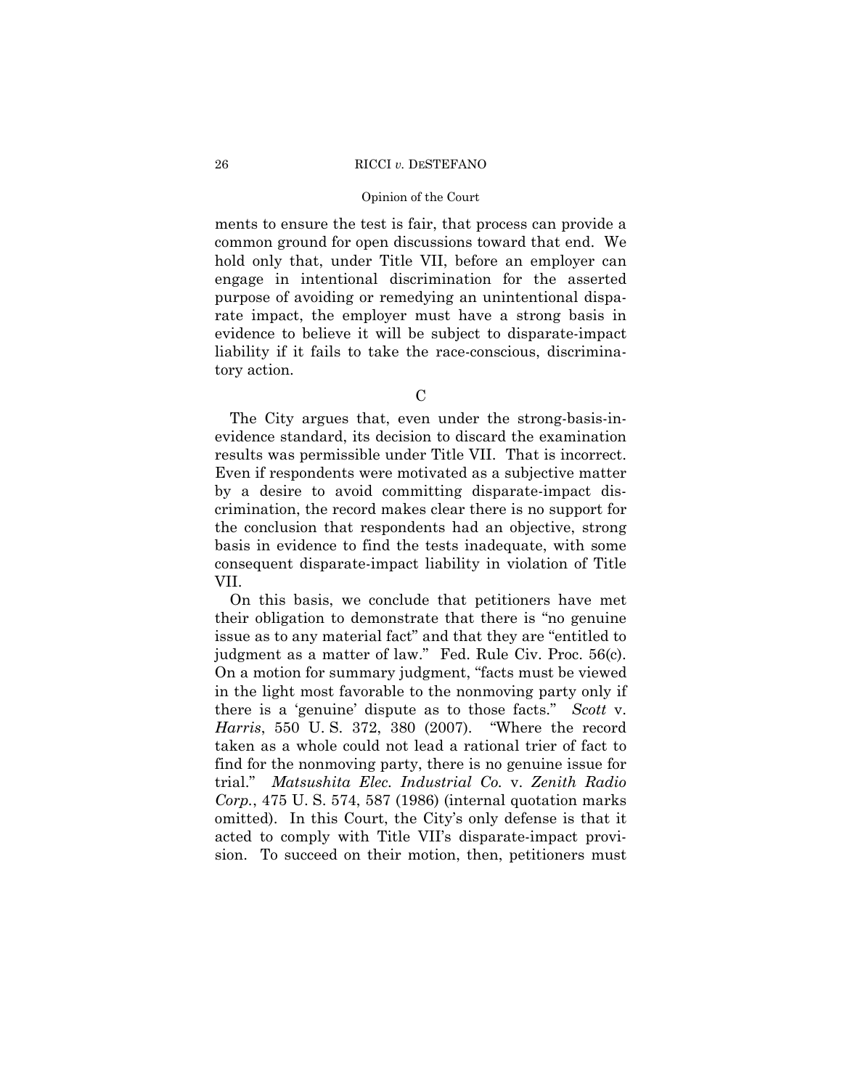### Opinion of the Court

ments to ensure the test is fair, that process can provide a common ground for open discussions toward that end. We hold only that, under Title VII, before an employer can engage in intentional discrimination for the asserted purpose of avoiding or remedying an unintentional disparate impact, the employer must have a strong basis in evidence to believe it will be subject to disparate-impact liability if it fails to take the race-conscious, discriminatory action.

 $\mathcal{C}$ 

The City argues that, even under the strong-basis-inevidence standard, its decision to discard the examination results was permissible under Title VII. That is incorrect. Even if respondents were motivated as a subjective matter by a desire to avoid committing disparate-impact discrimination, the record makes clear there is no support for the conclusion that respondents had an objective, strong basis in evidence to find the tests inadequate, with some consequent disparate-impact liability in violation of Title VII.

On this basis, we conclude that petitioners have met their obligation to demonstrate that there is "no genuine issue as to any material fact" and that they are "entitled to judgment as a matter of law." Fed. Rule Civ. Proc. 56(c). On a motion for summary judgment, "facts must be viewed in the light most favorable to the nonmoving party only if there is a 'genuine' dispute as to those facts." *Scott* v. *Harris*, 550 U. S. 372, 380 (2007). "Where the record taken as a whole could not lead a rational trier of fact to find for the nonmoving party, there is no genuine issue for trial." *Matsushita Elec. Industrial Co.* v. *Zenith Radio Corp.*, 475 U. S. 574, 587 (1986) (internal quotation marks omitted). In this Court, the City's only defense is that it acted to comply with Title VII's disparate-impact provision. To succeed on their motion, then, petitioners must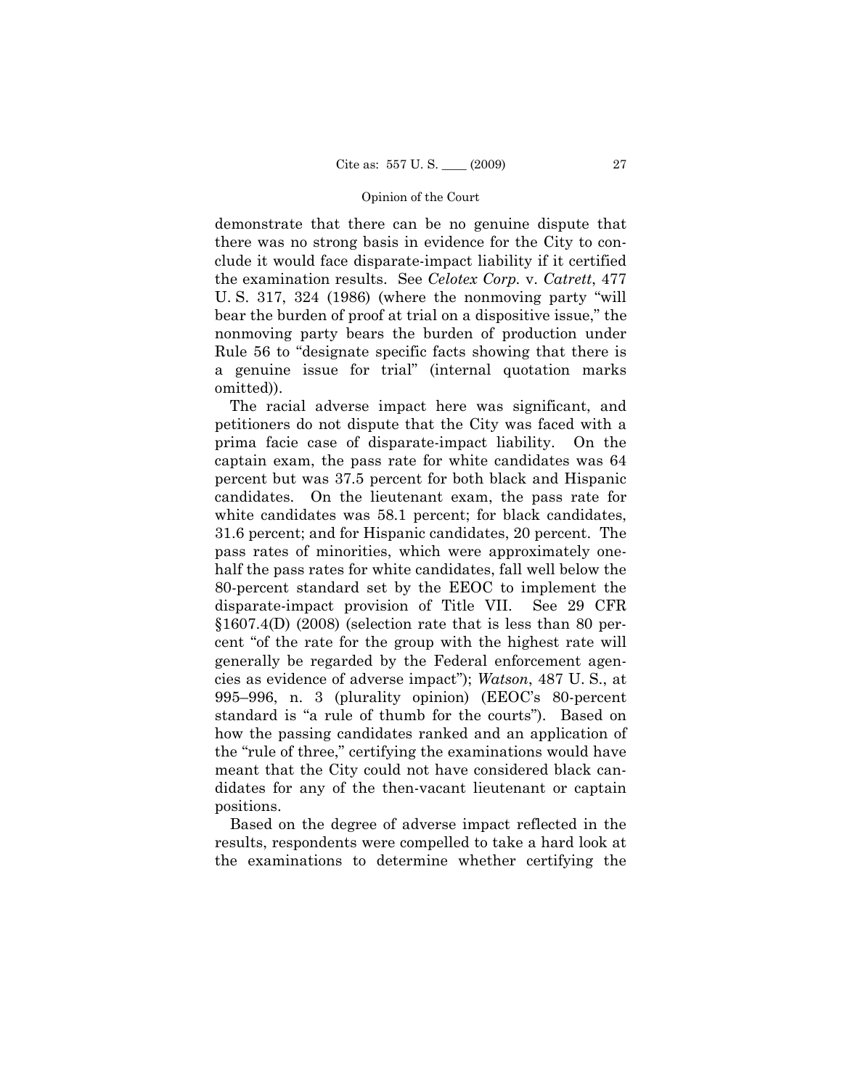demonstrate that there can be no genuine dispute that there was no strong basis in evidence for the City to conclude it would face disparate-impact liability if it certified the examination results. See *Celotex Corp.* v. *Catrett*, 477 U. S. 317, 324 (1986) (where the nonmoving party "will bear the burden of proof at trial on a dispositive issue," the nonmoving party bears the burden of production under Rule 56 to "designate specific facts showing that there is a genuine issue for trial" (internal quotation marks omitted)).

The racial adverse impact here was significant, and petitioners do not dispute that the City was faced with a prima facie case of disparate-impact liability. On the captain exam, the pass rate for white candidates was 64 percent but was 37.5 percent for both black and Hispanic candidates. On the lieutenant exam, the pass rate for white candidates was 58.1 percent; for black candidates, 31.6 percent; and for Hispanic candidates, 20 percent. The pass rates of minorities, which were approximately onehalf the pass rates for white candidates, fall well below the 80-percent standard set by the EEOC to implement the disparate-impact provision of Title VII. See 29 CFR §1607.4(D) (2008) (selection rate that is less than 80 percent "of the rate for the group with the highest rate will generally be regarded by the Federal enforcement agencies as evidence of adverse impact"); *Watson*, 487 U. S., at 995–996, n. 3 (plurality opinion) (EEOC's 80-percent standard is "a rule of thumb for the courts"). Based on how the passing candidates ranked and an application of the "rule of three," certifying the examinations would have meant that the City could not have considered black candidates for any of the then-vacant lieutenant or captain positions.

Based on the degree of adverse impact reflected in the results, respondents were compelled to take a hard look at the examinations to determine whether certifying the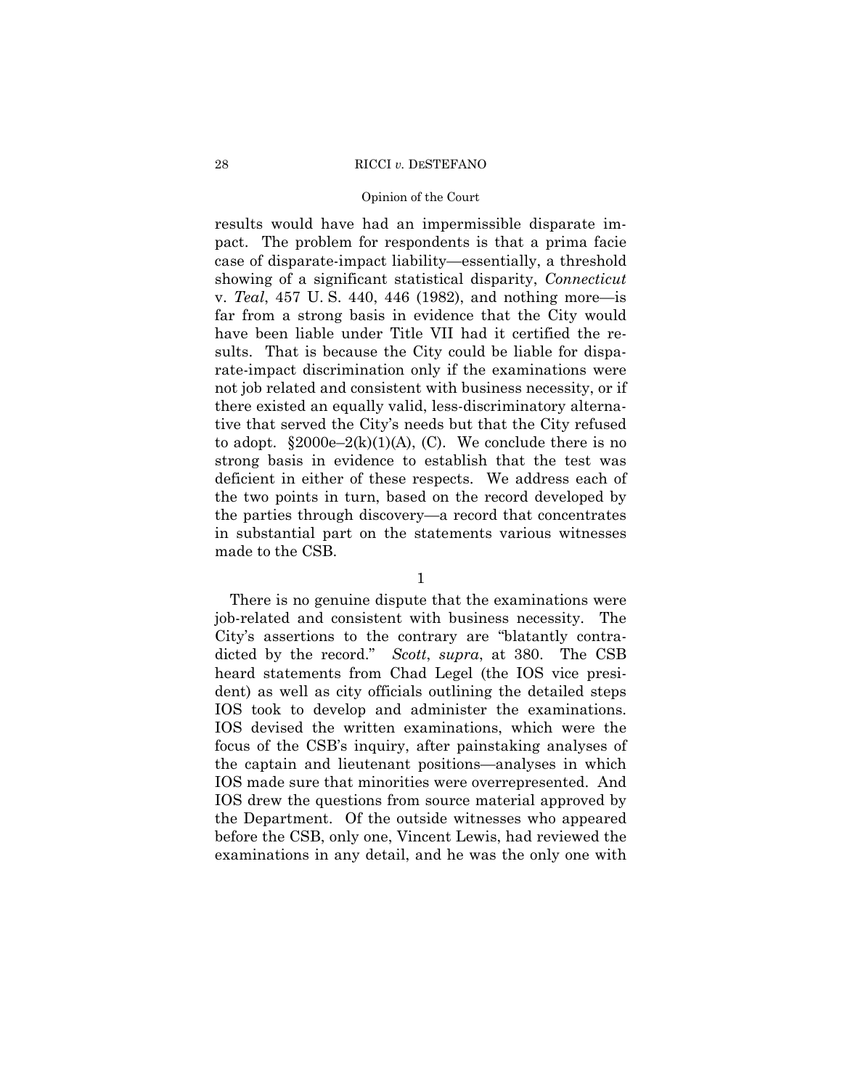### Opinion of the Court

results would have had an impermissible disparate impact. The problem for respondents is that a prima facie case of disparate-impact liability—essentially, a threshold showing of a significant statistical disparity, *Connecticut*  v. *Teal*, 457 U. S. 440, 446 (1982), and nothing more—is far from a strong basis in evidence that the City would have been liable under Title VII had it certified the results. That is because the City could be liable for disparate-impact discrimination only if the examinations were not job related and consistent with business necessity, or if there existed an equally valid, less-discriminatory alternative that served the City's needs but that the City refused to adopt.  $$2000e-2(k)(1)(A), (C)$ . We conclude there is no strong basis in evidence to establish that the test was deficient in either of these respects. We address each of the two points in turn, based on the record developed by the parties through discovery—a record that concentrates in substantial part on the statements various witnesses made to the CSB.

There is no genuine dispute that the examinations were job-related and consistent with business necessity. The City's assertions to the contrary are "blatantly contradicted by the record." *Scott*, *supra*, at 380. The CSB heard statements from Chad Legel (the IOS vice president) as well as city officials outlining the detailed steps IOS took to develop and administer the examinations. IOS devised the written examinations, which were the focus of the CSB's inquiry, after painstaking analyses of the captain and lieutenant positions—analyses in which IOS made sure that minorities were overrepresented. And IOS drew the questions from source material approved by the Department. Of the outside witnesses who appeared before the CSB, only one, Vincent Lewis, had reviewed the examinations in any detail, and he was the only one with

<sup>1</sup>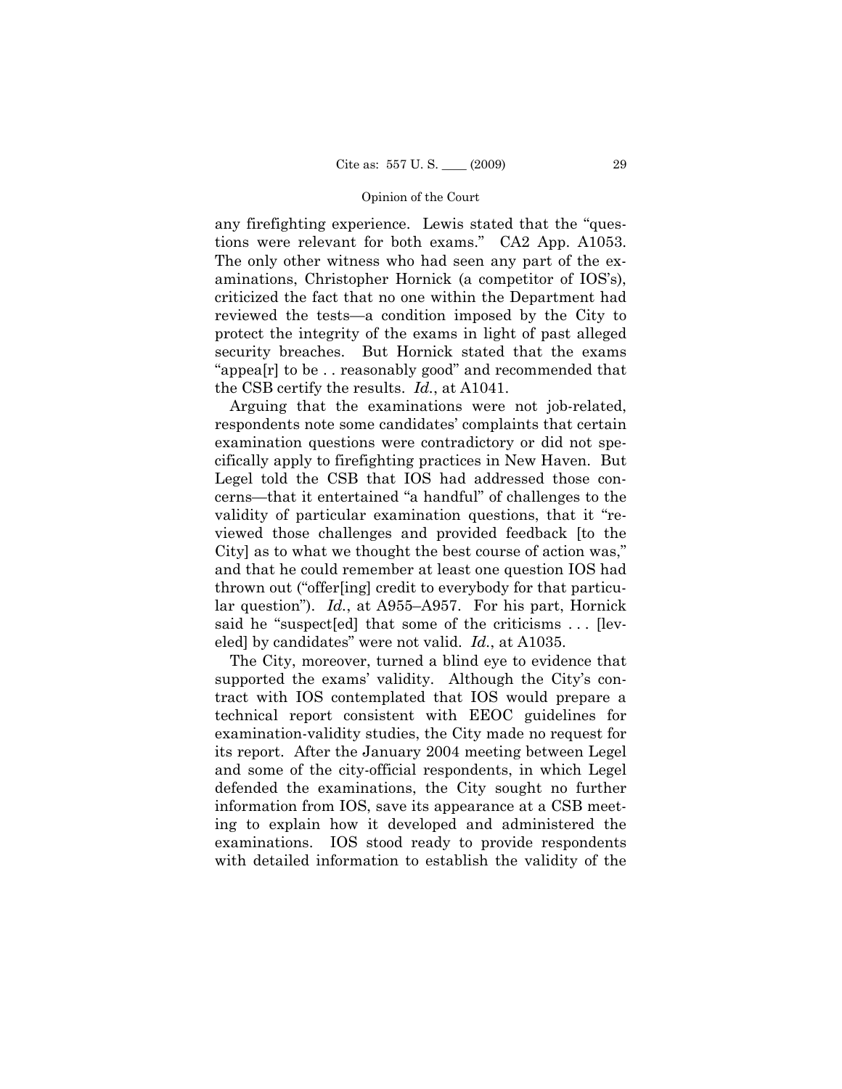any firefighting experience. Lewis stated that the "questions were relevant for both exams." CA2 App. A1053. The only other witness who had seen any part of the examinations, Christopher Hornick (a competitor of IOS's), criticized the fact that no one within the Department had reviewed the tests—a condition imposed by the City to protect the integrity of the exams in light of past alleged security breaches. But Hornick stated that the exams "appea[r] to be . . reasonably good" and recommended that the CSB certify the results. *Id.*, at A1041.

Arguing that the examinations were not job-related, respondents note some candidates' complaints that certain examination questions were contradictory or did not specifically apply to firefighting practices in New Haven. But Legel told the CSB that IOS had addressed those concerns—that it entertained "a handful" of challenges to the validity of particular examination questions, that it "reviewed those challenges and provided feedback [to the City] as to what we thought the best course of action was," and that he could remember at least one question IOS had thrown out ("offer[ing] credit to everybody for that particular question"). *Id.*, at A955–A957. For his part, Hornick said he "suspected] that some of the criticisms ... [leveled] by candidates" were not valid. *Id.*, at A1035.

The City, moreover, turned a blind eye to evidence that supported the exams' validity. Although the City's contract with IOS contemplated that IOS would prepare a technical report consistent with EEOC guidelines for examination-validity studies, the City made no request for its report. After the January 2004 meeting between Legel and some of the city-official respondents, in which Legel defended the examinations, the City sought no further information from IOS, save its appearance at a CSB meeting to explain how it developed and administered the examinations. IOS stood ready to provide respondents with detailed information to establish the validity of the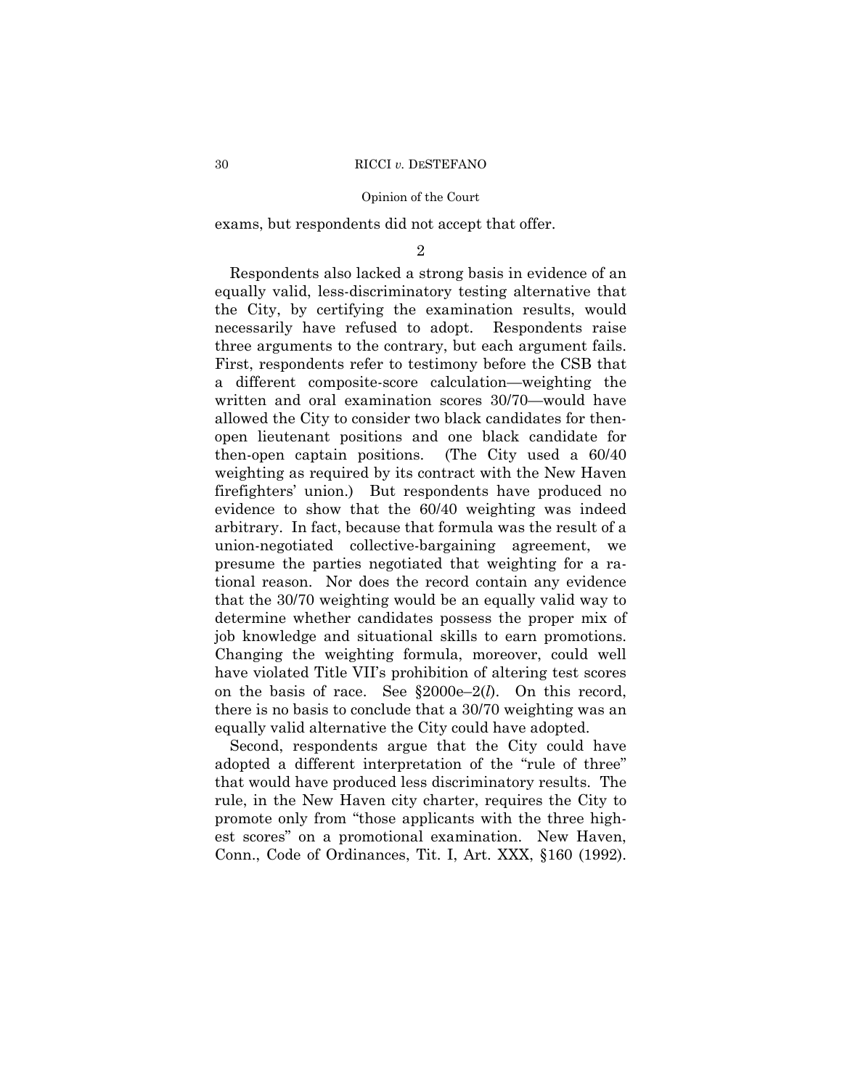exams, but respondents did not accept that offer.

## 2

Respondents also lacked a strong basis in evidence of an equally valid, less-discriminatory testing alternative that the City, by certifying the examination results, would necessarily have refused to adopt. Respondents raise three arguments to the contrary, but each argument fails. First, respondents refer to testimony before the CSB that a different composite-score calculation—weighting the written and oral examination scores 30/70—would have allowed the City to consider two black candidates for thenopen lieutenant positions and one black candidate for then-open captain positions. (The City used a 60/40 weighting as required by its contract with the New Haven firefighters' union.) But respondents have produced no evidence to show that the 60/40 weighting was indeed arbitrary. In fact, because that formula was the result of a union-negotiated collective-bargaining agreement, we presume the parties negotiated that weighting for a rational reason. Nor does the record contain any evidence that the 30/70 weighting would be an equally valid way to determine whether candidates possess the proper mix of job knowledge and situational skills to earn promotions. Changing the weighting formula, moreover, could well have violated Title VII's prohibition of altering test scores on the basis of race. See §2000e–2(*l*). On this record, there is no basis to conclude that a 30/70 weighting was an equally valid alternative the City could have adopted.

Second, respondents argue that the City could have adopted a different interpretation of the "rule of three" that would have produced less discriminatory results. The rule, in the New Haven city charter, requires the City to promote only from "those applicants with the three highest scores" on a promotional examination. New Haven, Conn., Code of Ordinances, Tit. I, Art. XXX, §160 (1992).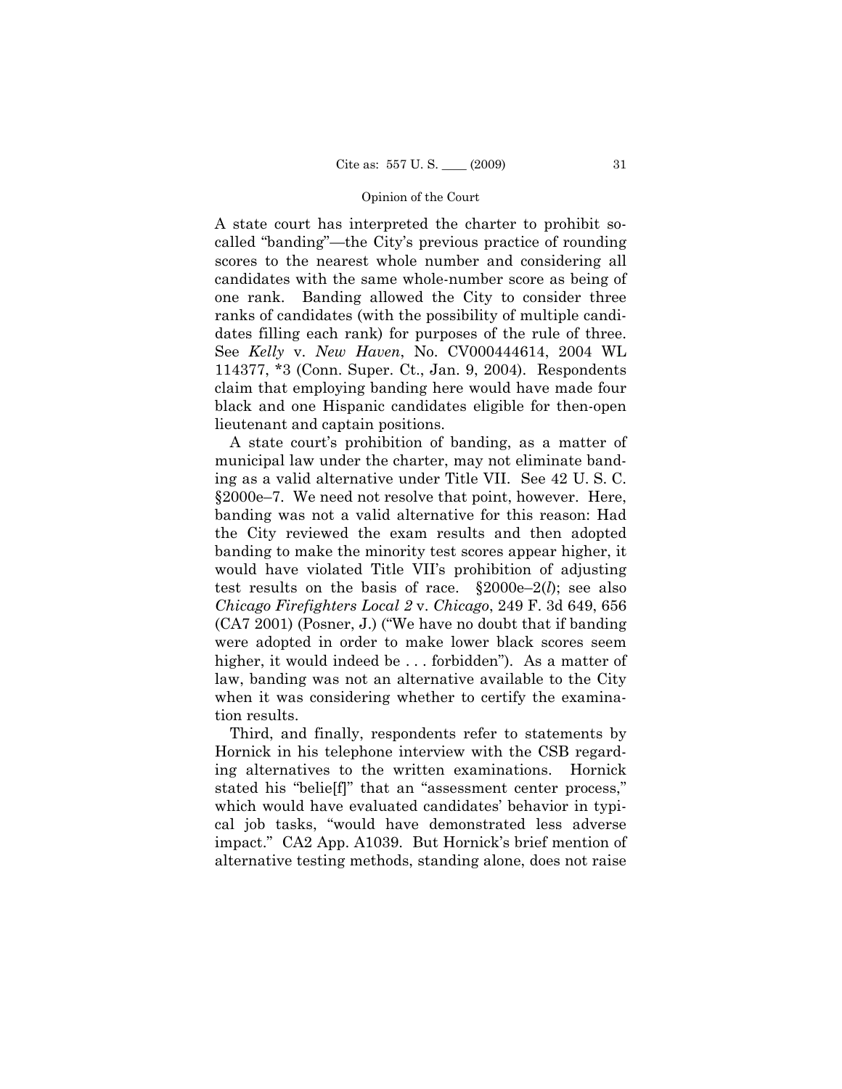A state court has interpreted the charter to prohibit socalled "banding"—the City's previous practice of rounding scores to the nearest whole number and considering all candidates with the same whole-number score as being of one rank. Banding allowed the City to consider three ranks of candidates (with the possibility of multiple candidates filling each rank) for purposes of the rule of three. See *Kelly* v. *New Haven*, No. CV000444614, 2004 WL 114377, \*3 (Conn. Super. Ct., Jan. 9, 2004). Respondents claim that employing banding here would have made four black and one Hispanic candidates eligible for then-open lieutenant and captain positions.

A state court's prohibition of banding, as a matter of municipal law under the charter, may not eliminate banding as a valid alternative under Title VII. See 42 U. S. C. §2000e–7. We need not resolve that point, however. Here, banding was not a valid alternative for this reason: Had the City reviewed the exam results and then adopted banding to make the minority test scores appear higher, it would have violated Title VII's prohibition of adjusting test results on the basis of race. §2000e–2(*l*); see also *Chicago Firefighters Local 2* v. *Chicago*, 249 F. 3d 649, 656 (CA7 2001) (Posner, J.) ("We have no doubt that if banding were adopted in order to make lower black scores seem higher, it would indeed be ... forbidden"). As a matter of law, banding was not an alternative available to the City when it was considering whether to certify the examination results.

Third, and finally, respondents refer to statements by Hornick in his telephone interview with the CSB regarding alternatives to the written examinations. Hornick stated his "belie[f]" that an "assessment center process," which would have evaluated candidates' behavior in typical job tasks, "would have demonstrated less adverse impact." CA2 App. A1039. But Hornick's brief mention of alternative testing methods, standing alone, does not raise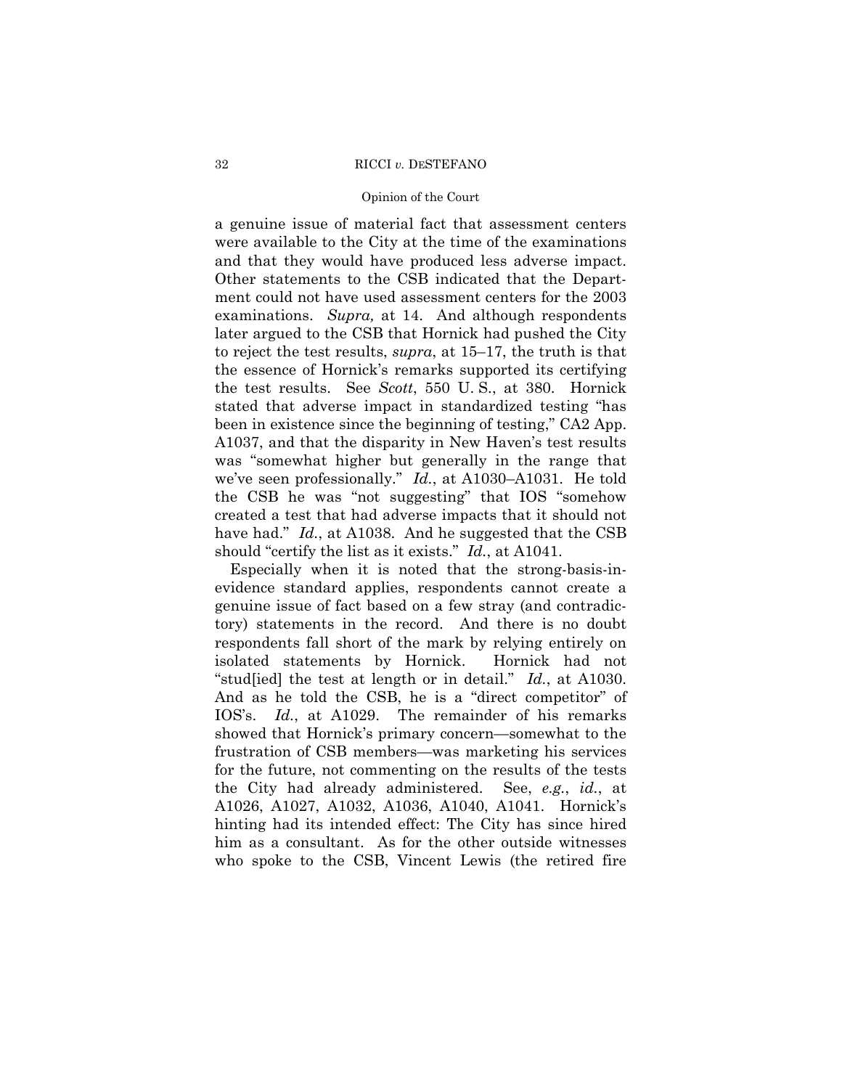### Opinion of the Court

a genuine issue of material fact that assessment centers were available to the City at the time of the examinations and that they would have produced less adverse impact. Other statements to the CSB indicated that the Department could not have used assessment centers for the 2003 examinations. *Supra,* at 14. And although respondents later argued to the CSB that Hornick had pushed the City to reject the test results, *supra*, at 15–17, the truth is that the essence of Hornick's remarks supported its certifying the test results. See *Scott*, 550 U. S., at 380. Hornick stated that adverse impact in standardized testing "has been in existence since the beginning of testing," CA2 App. A1037, and that the disparity in New Haven's test results was "somewhat higher but generally in the range that we've seen professionally." *Id.*, at A1030–A1031. He told the CSB he was "not suggesting" that IOS "somehow created a test that had adverse impacts that it should not have had." *Id.*, at A1038. And he suggested that the CSB should "certify the list as it exists." *Id.*, at A1041.

Especially when it is noted that the strong-basis-inevidence standard applies, respondents cannot create a genuine issue of fact based on a few stray (and contradictory) statements in the record. And there is no doubt respondents fall short of the mark by relying entirely on isolated statements by Hornick. Hornick had not "stud[ied] the test at length or in detail." *Id.*, at A1030. And as he told the CSB, he is a "direct competitor" of IOS's. *Id.*, at A1029. The remainder of his remarks showed that Hornick's primary concern—somewhat to the frustration of CSB members—was marketing his services for the future, not commenting on the results of the tests the City had already administered. See, *e.g.*, *id.*, at A1026, A1027, A1032, A1036, A1040, A1041. Hornick's hinting had its intended effect: The City has since hired him as a consultant. As for the other outside witnesses who spoke to the CSB, Vincent Lewis (the retired fire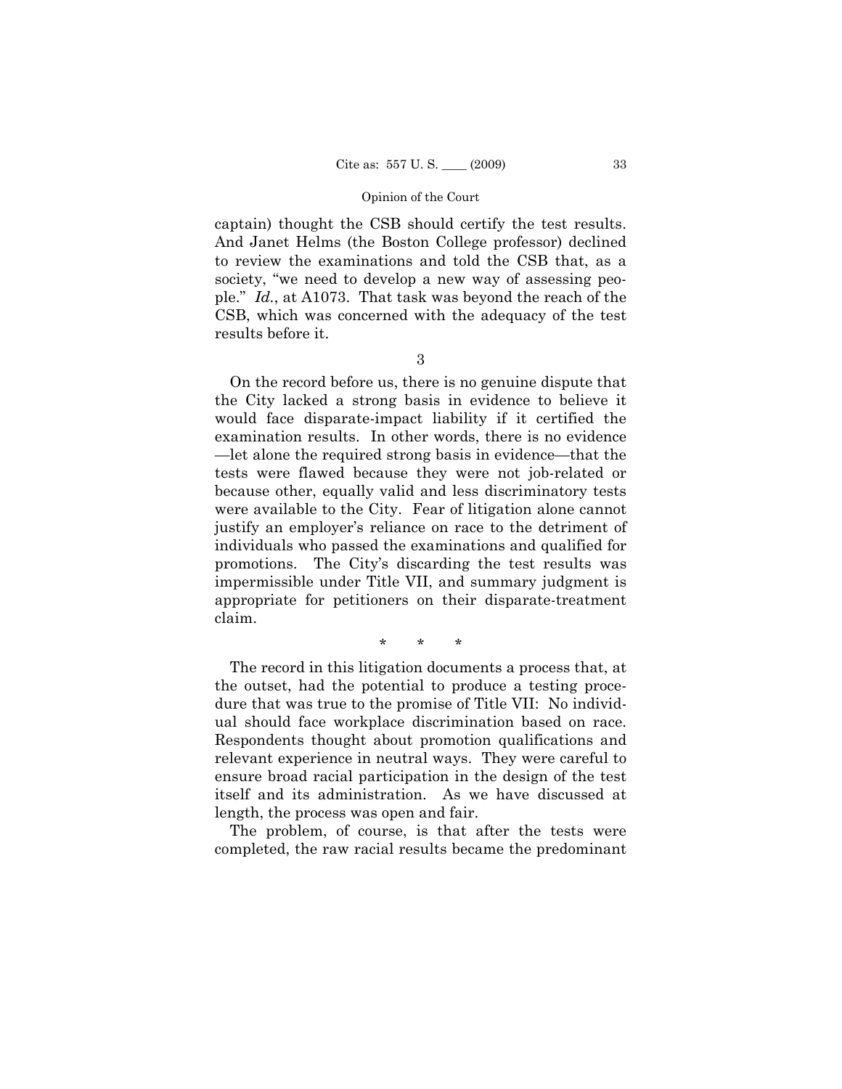#### Opinion of the Court

captain) thought the CSB should certify the test results. And Janet Helms (the Boston College professor) declined to review the examinations and told the CSB that, as a society, "we need to develop a new way of assessing people." *Id.*, at A1073. That task was beyond the reach of the CSB, which was concerned with the adequacy of the test results before it.

3

On the record before us, there is no genuine dispute that the City lacked a strong basis in evidence to believe it would face disparate-impact liability if it certified the examination results. In other words, there is no evidence —let alone the required strong basis in evidence—that the tests were flawed because they were not job-related or because other, equally valid and less discriminatory tests were available to the City. Fear of litigation alone cannot justify an employer's reliance on race to the detriment of individuals who passed the examinations and qualified for promotions. The City's discarding the test results was impermissible under Title VII, and summary judgment is appropriate for petitioners on their disparate-treatment claim.

\* \* \*

The record in this litigation documents a process that, at the outset, had the potential to produce a testing procedure that was true to the promise of Title VII: No individual should face workplace discrimination based on race. Respondents thought about promotion qualifications and relevant experience in neutral ways. They were careful to ensure broad racial participation in the design of the test itself and its administration. As we have discussed at length, the process was open and fair.

The problem, of course, is that after the tests were completed, the raw racial results became the predominant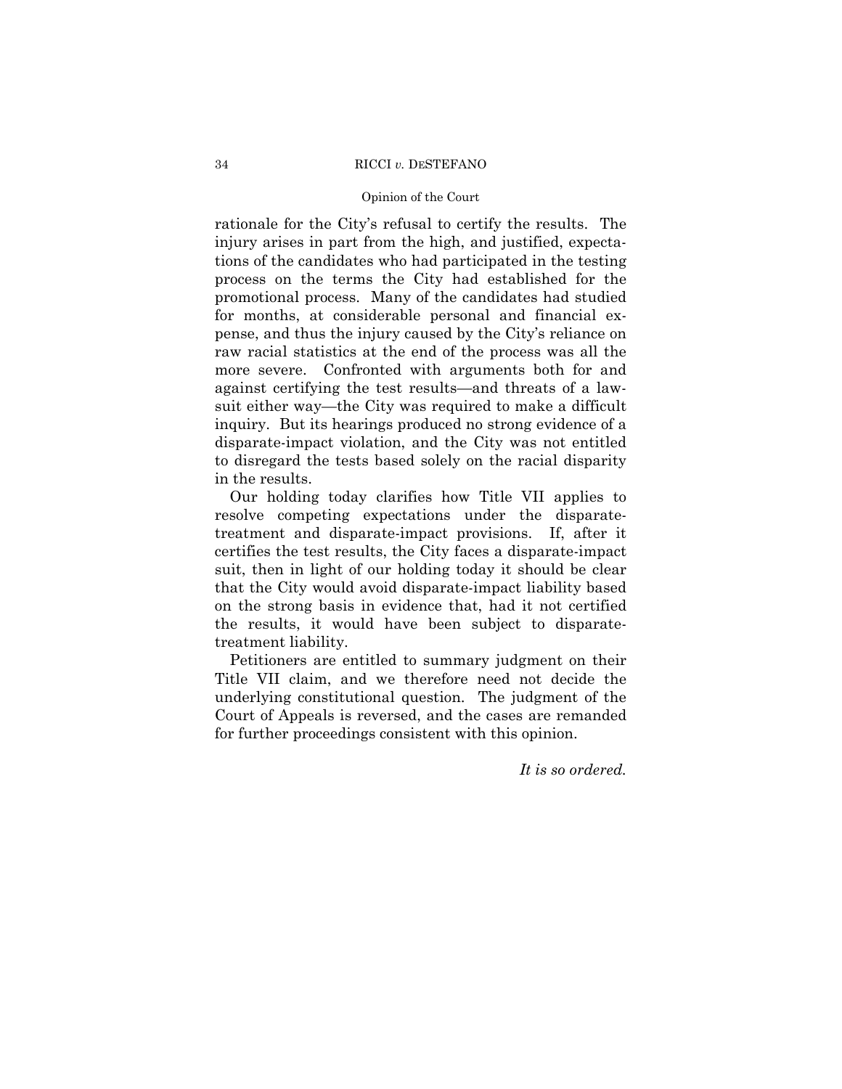#### 34 RICCI *v.* DESTEFANO

#### Opinion of the Court

rationale for the City's refusal to certify the results. The injury arises in part from the high, and justified, expectations of the candidates who had participated in the testing process on the terms the City had established for the promotional process. Many of the candidates had studied for months, at considerable personal and financial expense, and thus the injury caused by the City's reliance on raw racial statistics at the end of the process was all the more severe. Confronted with arguments both for and against certifying the test results—and threats of a lawsuit either way—the City was required to make a difficult inquiry. But its hearings produced no strong evidence of a disparate-impact violation, and the City was not entitled to disregard the tests based solely on the racial disparity in the results.

Our holding today clarifies how Title VII applies to resolve competing expectations under the disparatetreatment and disparate-impact provisions. If, after it certifies the test results, the City faces a disparate-impact suit, then in light of our holding today it should be clear that the City would avoid disparate-impact liability based on the strong basis in evidence that, had it not certified the results, it would have been subject to disparatetreatment liability.

Petitioners are entitled to summary judgment on their Title VII claim, and we therefore need not decide the underlying constitutional question. The judgment of the Court of Appeals is reversed, and the cases are remanded for further proceedings consistent with this opinion.

*It is so ordered.*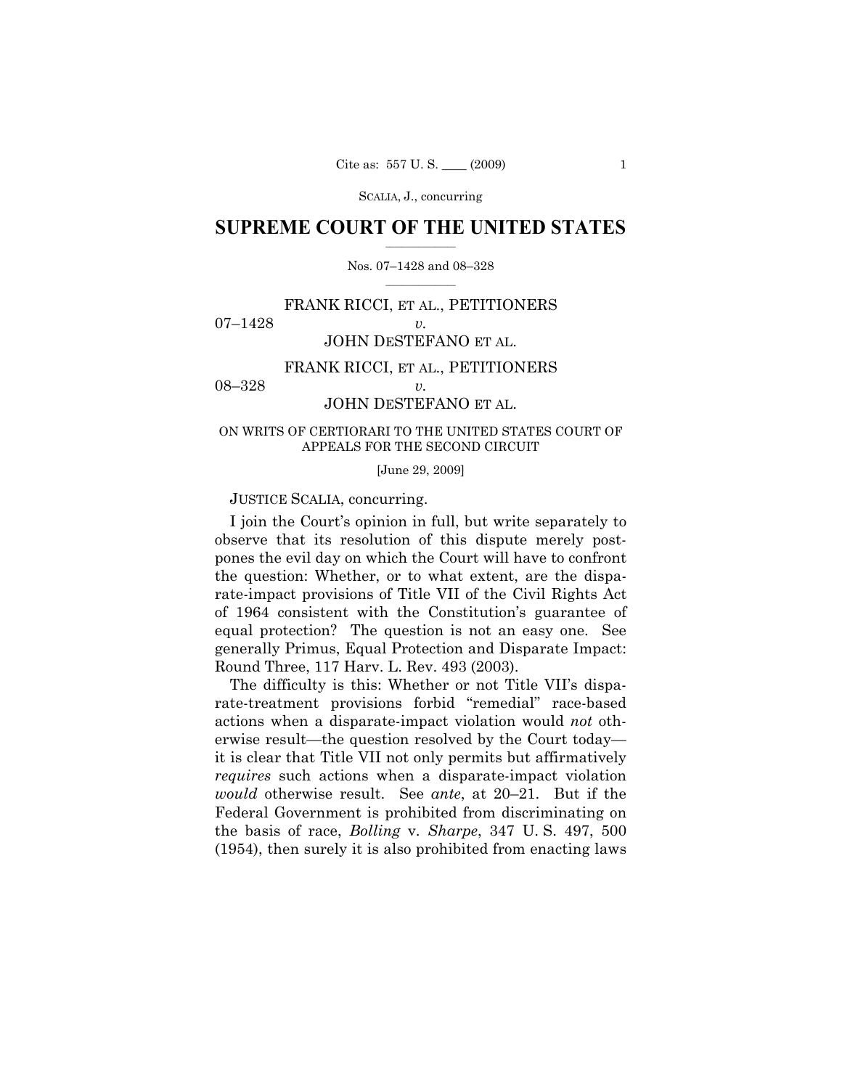SCALIA, J., concurring

## $\frac{1}{2}$  ,  $\frac{1}{2}$  ,  $\frac{1}{2}$  ,  $\frac{1}{2}$  ,  $\frac{1}{2}$  ,  $\frac{1}{2}$  ,  $\frac{1}{2}$ **SUPREME COURT OF THE UNITED STATES**

### $\frac{1}{2}$  ,  $\frac{1}{2}$  ,  $\frac{1}{2}$  ,  $\frac{1}{2}$  ,  $\frac{1}{2}$  ,  $\frac{1}{2}$ Nos. 07–1428 and 08–328

# FRANK RICCI, ET AL., PETITIONERS 07–1428 *v.*

# JOHN DESTEFANO ET AL.

# FRANK RICCI, ET AL., PETITIONERS 08–328 *v.*

# JOHN DESTEFANO ET AL.

# ON WRITS OF CERTIORARI TO THE UNITED STATES COURT OF APPEALS FOR THE SECOND CIRCUIT

[June 29, 2009]

### JUSTICE SCALIA, concurring.

I join the Court's opinion in full, but write separately to observe that its resolution of this dispute merely postpones the evil day on which the Court will have to confront the question: Whether, or to what extent, are the disparate-impact provisions of Title VII of the Civil Rights Act of 1964 consistent with the Constitution's guarantee of equal protection? The question is not an easy one. See generally Primus, Equal Protection and Disparate Impact: Round Three, 117 Harv. L. Rev. 493 (2003).

The difficulty is this: Whether or not Title VII's disparate-treatment provisions forbid "remedial" race-based actions when a disparate-impact violation would *not* otherwise result—the question resolved by the Court today it is clear that Title VII not only permits but affirmatively *requires* such actions when a disparate-impact violation *would* otherwise result. See *ante*, at 20–21. But if the Federal Government is prohibited from discriminating on the basis of race, *Bolling* v. *Sharpe*, 347 U. S. 497, 500 (1954), then surely it is also prohibited from enacting laws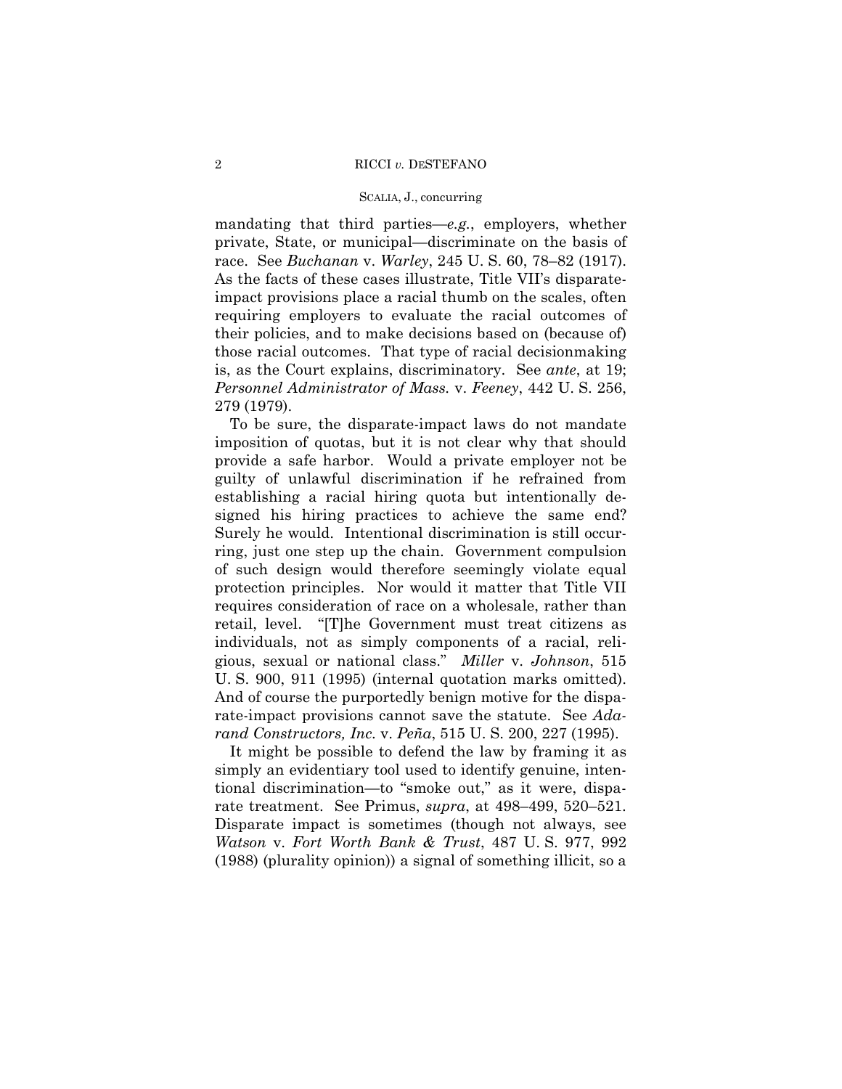#### SCALIA, J., concurring

mandating that third parties—*e.g.*, employers, whether private, State, or municipal—discriminate on the basis of race. See *Buchanan* v. *Warley*, 245 U. S. 60, 78–82 (1917). As the facts of these cases illustrate, Title VII's disparateimpact provisions place a racial thumb on the scales, often requiring employers to evaluate the racial outcomes of their policies, and to make decisions based on (because of) those racial outcomes. That type of racial decisionmaking is, as the Court explains, discriminatory. See *ante*, at 19; *Personnel Administrator of Mass.* v. *Feeney*, 442 U. S. 256, 279 (1979).

To be sure, the disparate-impact laws do not mandate imposition of quotas, but it is not clear why that should provide a safe harbor. Would a private employer not be guilty of unlawful discrimination if he refrained from establishing a racial hiring quota but intentionally designed his hiring practices to achieve the same end? Surely he would. Intentional discrimination is still occurring, just one step up the chain. Government compulsion of such design would therefore seemingly violate equal protection principles. Nor would it matter that Title VII requires consideration of race on a wholesale, rather than retail, level. "[T]he Government must treat citizens as individuals, not as simply components of a racial, religious, sexual or national class." *Miller* v. *Johnson*, 515 U. S. 900, 911 (1995) (internal quotation marks omitted). And of course the purportedly benign motive for the disparate-impact provisions cannot save the statute. See *Adarand Constructors, Inc.* v. *Peña*, 515 U. S. 200, 227 (1995).

It might be possible to defend the law by framing it as simply an evidentiary tool used to identify genuine, intentional discrimination—to "smoke out," as it were, disparate treatment. See Primus, *supra*, at 498–499, 520–521. Disparate impact is sometimes (though not always, see *Watson* v. *Fort Worth Bank & Trust*, 487 U. S. 977, 992 (1988) (plurality opinion)) a signal of something illicit, so a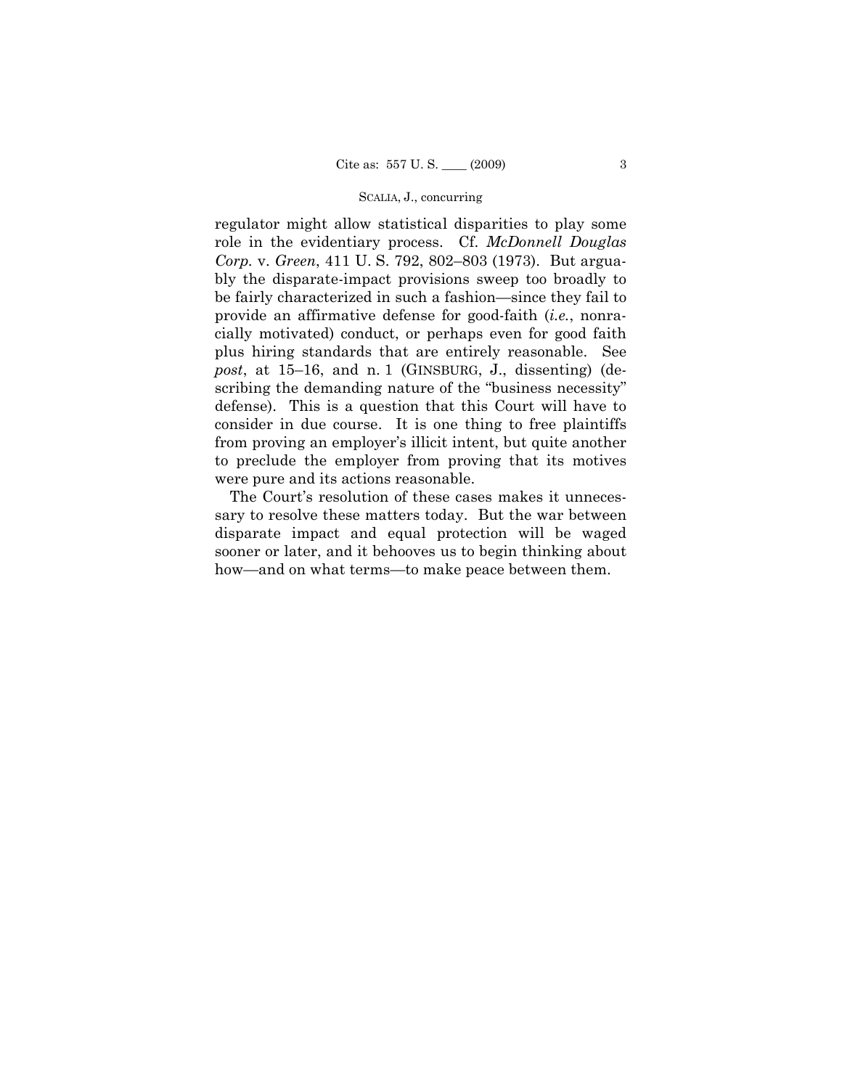### SCALIA, J., concurring

regulator might allow statistical disparities to play some role in the evidentiary process. Cf. *McDonnell Douglas Corp.* v. *Green*, 411 U. S. 792, 802–803 (1973). But arguably the disparate-impact provisions sweep too broadly to be fairly characterized in such a fashion—since they fail to provide an affirmative defense for good-faith (*i.e.*, nonracially motivated) conduct, or perhaps even for good faith plus hiring standards that are entirely reasonable. See *post*, at 15–16, and n. 1 (GINSBURG, J., dissenting) (describing the demanding nature of the "business necessity" defense). This is a question that this Court will have to consider in due course. It is one thing to free plaintiffs from proving an employer's illicit intent, but quite another to preclude the employer from proving that its motives were pure and its actions reasonable.

The Court's resolution of these cases makes it unnecessary to resolve these matters today. But the war between disparate impact and equal protection will be waged sooner or later, and it behooves us to begin thinking about how—and on what terms—to make peace between them.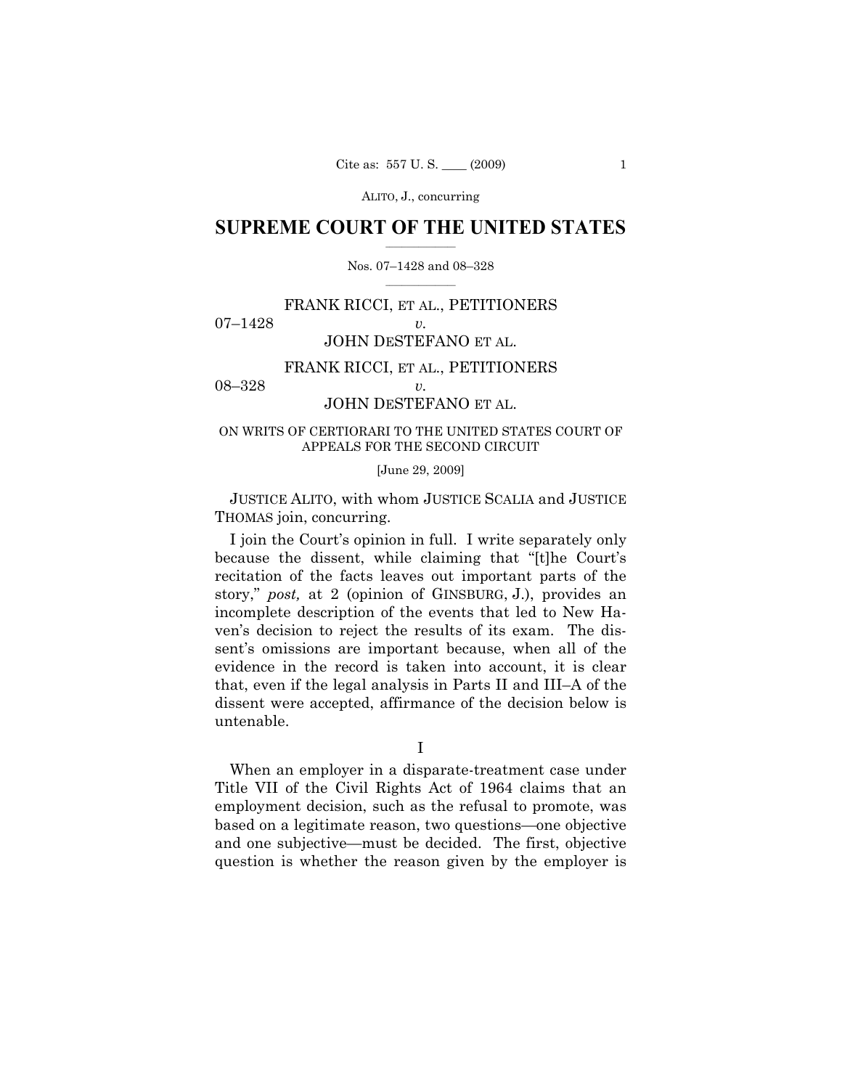## $\frac{1}{2}$  ,  $\frac{1}{2}$  ,  $\frac{1}{2}$  ,  $\frac{1}{2}$  ,  $\frac{1}{2}$  ,  $\frac{1}{2}$  ,  $\frac{1}{2}$ **SUPREME COURT OF THE UNITED STATES**

#### $\frac{1}{2}$  ,  $\frac{1}{2}$  ,  $\frac{1}{2}$  ,  $\frac{1}{2}$  ,  $\frac{1}{2}$  ,  $\frac{1}{2}$ Nos. 07–1428 and 08–328

# FRANK RICCI, ET AL., PETITIONERS 07–1428 *v.*

# JOHN DESTEFANO ET AL.

# FRANK RICCI, ET AL., PETITIONERS 08–328 *v.*

# JOHN DESTEFANO ET AL.

# ON WRITS OF CERTIORARI TO THE UNITED STATES COURT OF APPEALS FOR THE SECOND CIRCUIT

## [June 29, 2009]

JUSTICE ALITO, with whom JUSTICE SCALIA and JUSTICE THOMAS join, concurring.

I join the Court's opinion in full. I write separately only because the dissent, while claiming that "[t]he Court's recitation of the facts leaves out important parts of the story," *post,* at 2 (opinion of GINSBURG, J.), provides an incomplete description of the events that led to New Haven's decision to reject the results of its exam. The dissent's omissions are important because, when all of the evidence in the record is taken into account, it is clear that, even if the legal analysis in Parts II and III–A of the dissent were accepted, affirmance of the decision below is untenable.

I

When an employer in a disparate-treatment case under Title VII of the Civil Rights Act of 1964 claims that an employment decision, such as the refusal to promote, was based on a legitimate reason, two questions—one objective and one subjective—must be decided. The first, objective question is whether the reason given by the employer is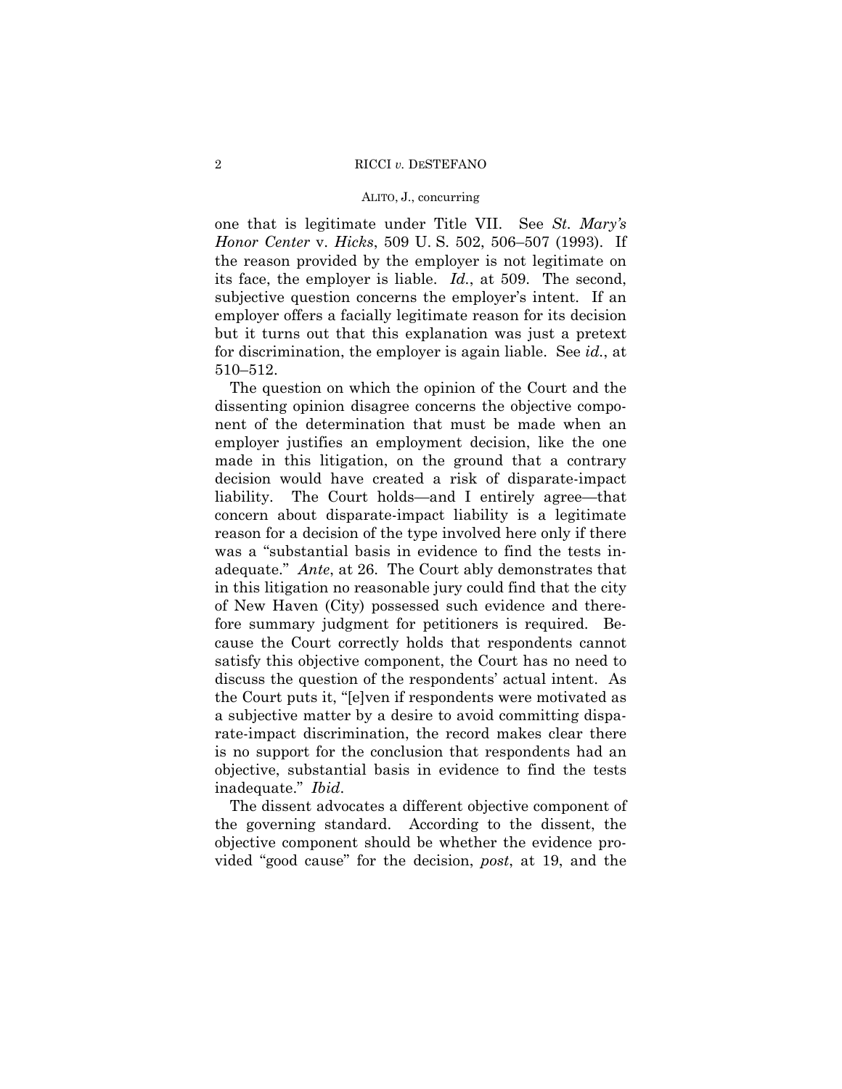one that is legitimate under Title VII. See *St. Mary's Honor Center* v. *Hicks*, 509 U. S. 502, 506–507 (1993). If the reason provided by the employer is not legitimate on its face, the employer is liable. *Id.*, at 509. The second, subjective question concerns the employer's intent. If an employer offers a facially legitimate reason for its decision but it turns out that this explanation was just a pretext for discrimination, the employer is again liable. See *id.*, at 510–512.

The question on which the opinion of the Court and the dissenting opinion disagree concerns the objective component of the determination that must be made when an employer justifies an employment decision, like the one made in this litigation, on the ground that a contrary decision would have created a risk of disparate-impact liability. The Court holds—and I entirely agree—that concern about disparate-impact liability is a legitimate reason for a decision of the type involved here only if there was a "substantial basis in evidence to find the tests inadequate." *Ante*, at 26. The Court ably demonstrates that in this litigation no reasonable jury could find that the city of New Haven (City) possessed such evidence and therefore summary judgment for petitioners is required. Because the Court correctly holds that respondents cannot satisfy this objective component, the Court has no need to discuss the question of the respondents' actual intent. As the Court puts it, "[e]ven if respondents were motivated as a subjective matter by a desire to avoid committing disparate-impact discrimination, the record makes clear there is no support for the conclusion that respondents had an objective, substantial basis in evidence to find the tests inadequate." *Ibid*.

The dissent advocates a different objective component of the governing standard. According to the dissent, the objective component should be whether the evidence provided "good cause" for the decision, *post*, at 19, and the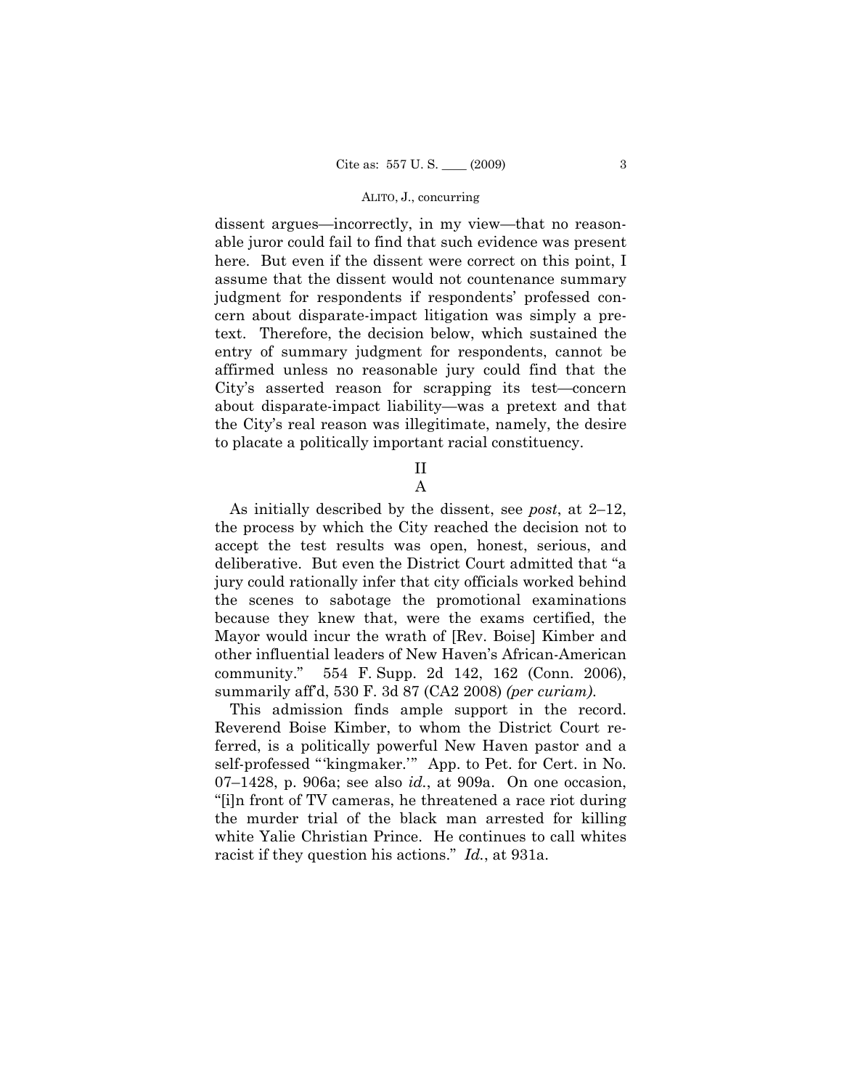dissent argues—incorrectly, in my view—that no reasonable juror could fail to find that such evidence was present here. But even if the dissent were correct on this point, I assume that the dissent would not countenance summary judgment for respondents if respondents' professed concern about disparate-impact litigation was simply a pretext. Therefore, the decision below, which sustained the entry of summary judgment for respondents, cannot be affirmed unless no reasonable jury could find that the City's asserted reason for scrapping its test—concern about disparate-impact liability—was a pretext and that the City's real reason was illegitimate, namely, the desire to placate a politically important racial constituency.

> II A

As initially described by the dissent, see *post*, at 2–12, the process by which the City reached the decision not to accept the test results was open, honest, serious, and deliberative. But even the District Court admitted that "a jury could rationally infer that city officials worked behind the scenes to sabotage the promotional examinations because they knew that, were the exams certified, the Mayor would incur the wrath of [Rev. Boise] Kimber and other influential leaders of New Haven's African-American community." 554 F. Supp. 2d 142, 162 (Conn. 2006), summarily aff'd, 530 F. 3d 87 (CA2 2008) *(per curiam)*.

This admission finds ample support in the record. Reverend Boise Kimber, to whom the District Court referred, is a politically powerful New Haven pastor and a self-professed "'kingmaker.'" App. to Pet. for Cert. in No. 07–1428, p. 906a; see also *id.*, at 909a. On one occasion, "[i]n front of TV cameras, he threatened a race riot during the murder trial of the black man arrested for killing white Yalie Christian Prince. He continues to call whites racist if they question his actions." *Id.*, at 931a.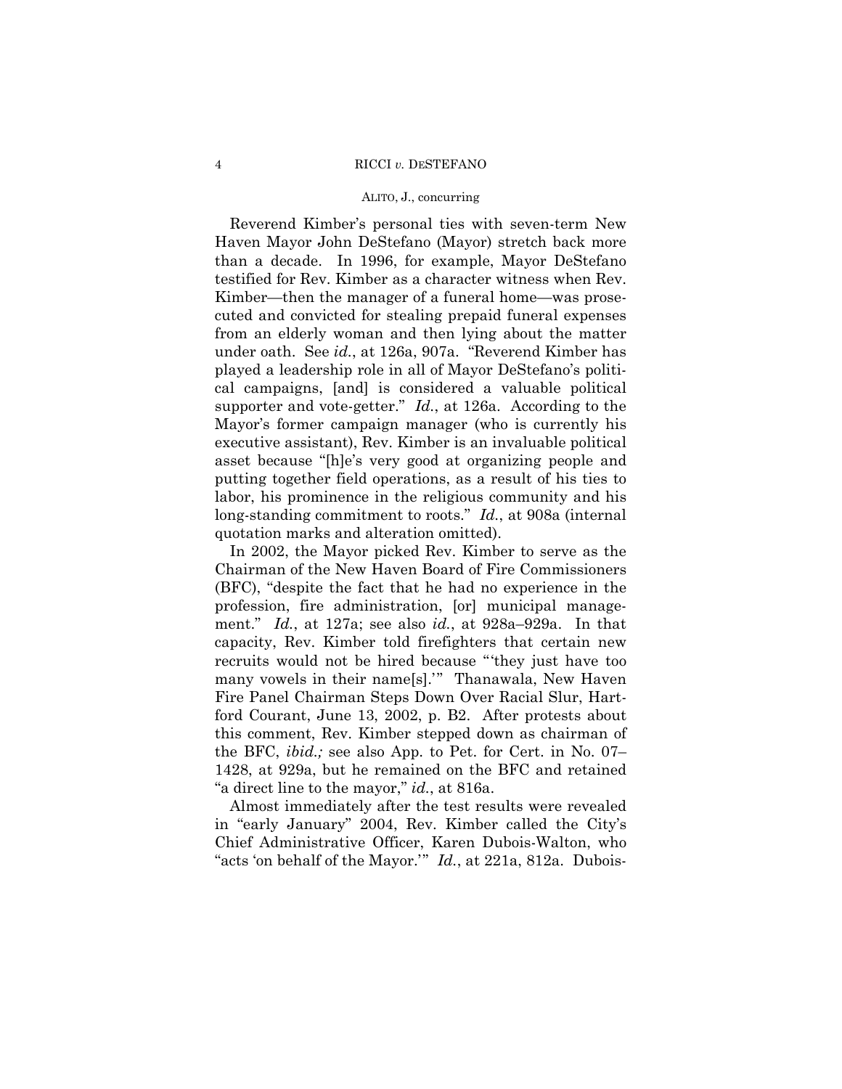### 4 RICCI *v.* DESTEFANO

#### ALITO, J., concurring

Reverend Kimber's personal ties with seven-term New Haven Mayor John DeStefano (Mayor) stretch back more than a decade. In 1996, for example, Mayor DeStefano testified for Rev. Kimber as a character witness when Rev. Kimber—then the manager of a funeral home—was prosecuted and convicted for stealing prepaid funeral expenses from an elderly woman and then lying about the matter under oath. See *id.*, at 126a, 907a. "Reverend Kimber has played a leadership role in all of Mayor DeStefano's political campaigns, [and] is considered a valuable political supporter and vote-getter." *Id.*, at 126a. According to the Mayor's former campaign manager (who is currently his executive assistant), Rev. Kimber is an invaluable political asset because "[h]e's very good at organizing people and putting together field operations, as a result of his ties to labor, his prominence in the religious community and his long-standing commitment to roots." *Id.*, at 908a (internal quotation marks and alteration omitted).

In 2002, the Mayor picked Rev. Kimber to serve as the Chairman of the New Haven Board of Fire Commissioners (BFC), "despite the fact that he had no experience in the profession, fire administration, [or] municipal management." *Id.*, at 127a; see also *id.*, at 928a–929a. In that capacity, Rev. Kimber told firefighters that certain new recruits would not be hired because "'they just have too many vowels in their name[s].'" Thanawala, New Haven Fire Panel Chairman Steps Down Over Racial Slur, Hartford Courant, June 13, 2002, p. B2. After protests about this comment, Rev. Kimber stepped down as chairman of the BFC, *ibid.;* see also App. to Pet. for Cert. in No. 07– 1428, at 929a, but he remained on the BFC and retained "a direct line to the mayor," *id.*, at 816a.

Almost immediately after the test results were revealed in "early January" 2004, Rev. Kimber called the City's Chief Administrative Officer, Karen Dubois-Walton, who "acts 'on behalf of the Mayor.'" *Id.*, at 221a, 812a. Dubois-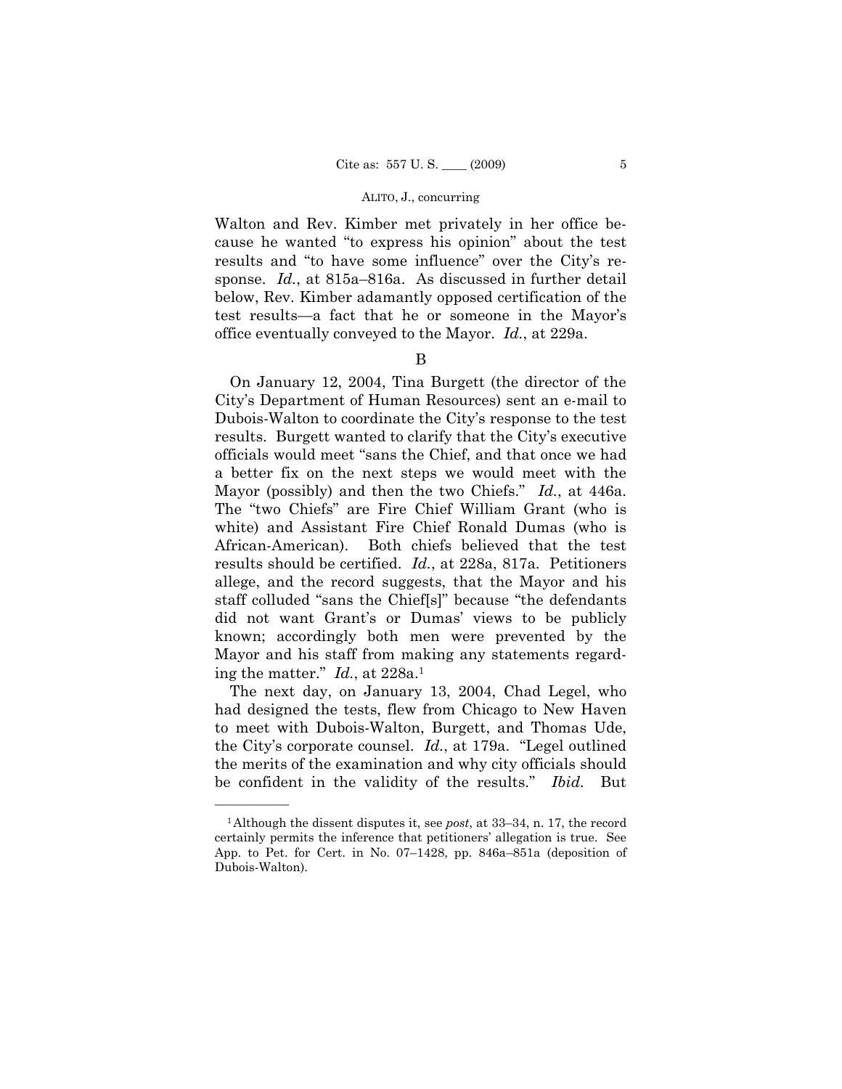Walton and Rev. Kimber met privately in her office because he wanted "to express his opinion" about the test results and "to have some influence" over the City's response. *Id.*, at 815a–816a. As discussed in further detail below, Rev. Kimber adamantly opposed certification of the test results—a fact that he or someone in the Mayor's office eventually conveyed to the Mayor. *Id.*, at 229a.

### B

On January 12, 2004, Tina Burgett (the director of the City's Department of Human Resources) sent an e-mail to Dubois-Walton to coordinate the City's response to the test results. Burgett wanted to clarify that the City's executive officials would meet "sans the Chief, and that once we had a better fix on the next steps we would meet with the Mayor (possibly) and then the two Chiefs." *Id.*, at 446a. The "two Chiefs" are Fire Chief William Grant (who is white) and Assistant Fire Chief Ronald Dumas (who is African-American). Both chiefs believed that the test results should be certified. *Id.*, at 228a, 817a. Petitioners allege, and the record suggests, that the Mayor and his staff colluded "sans the Chief[s]" because "the defendants did not want Grant's or Dumas' views to be publicly known; accordingly both men were prevented by the Mayor and his staff from making any statements regarding the matter." *Id.*, at 228a.<sup>1</sup>

The next day, on January 13, 2004, Chad Legel, who had designed the tests, flew from Chicago to New Haven to meet with Dubois-Walton, Burgett, and Thomas Ude, the City's corporate counsel. *Id.*, at 179a. "Legel outlined the merits of the examination and why city officials should be confident in the validity of the results." *Ibid.* But

——————

<sup>1</sup>Although the dissent disputes it, see *post*, at 33–34, n. 17, the record certainly permits the inference that petitioners' allegation is true. See App. to Pet. for Cert. in No. 07–1428, pp. 846a–851a (deposition of Dubois-Walton).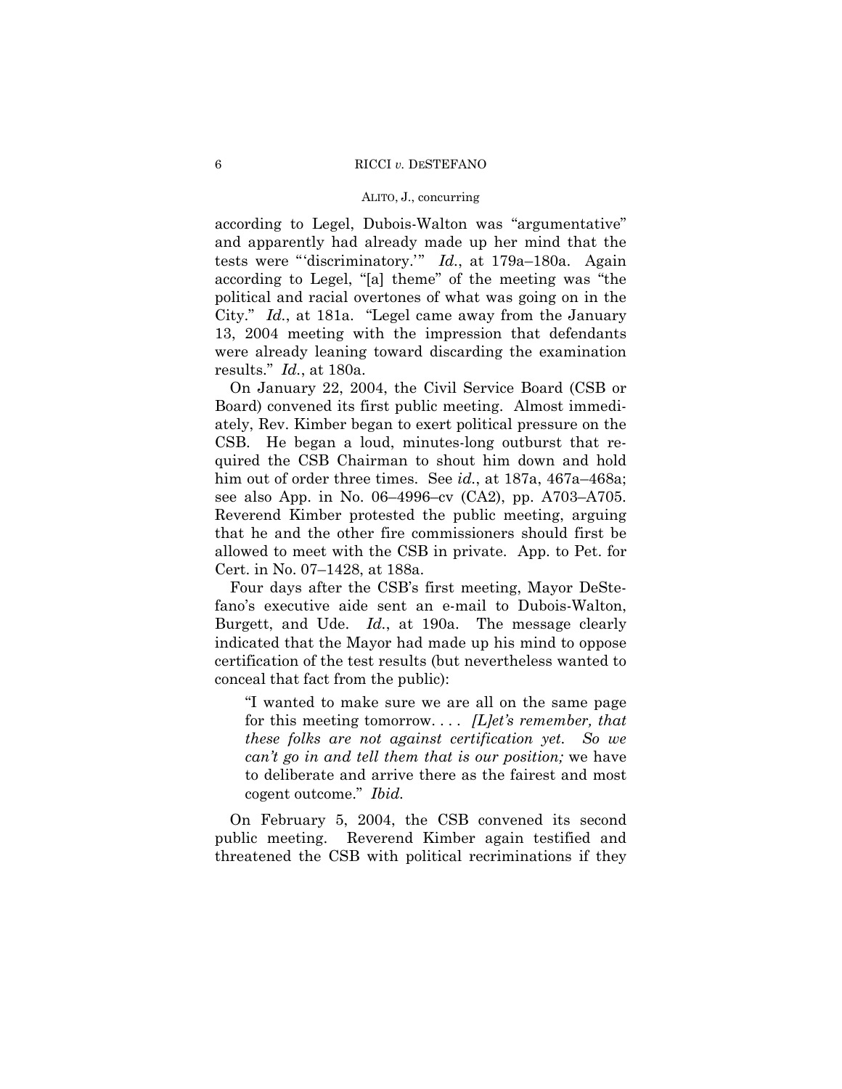according to Legel, Dubois-Walton was "argumentative" and apparently had already made up her mind that the tests were "'discriminatory.'" *Id.*, at 179a–180a. Again according to Legel, "[a] theme" of the meeting was "the political and racial overtones of what was going on in the City." *Id.*, at 181a. "Legel came away from the January 13, 2004 meeting with the impression that defendants were already leaning toward discarding the examination results." *Id.*, at 180a.

On January 22, 2004, the Civil Service Board (CSB or Board) convened its first public meeting. Almost immediately, Rev. Kimber began to exert political pressure on the CSB. He began a loud, minutes-long outburst that required the CSB Chairman to shout him down and hold him out of order three times. See *id.*, at 187a, 467a–468a; see also App. in No. 06–4996–cv (CA2), pp. A703–A705. Reverend Kimber protested the public meeting, arguing that he and the other fire commissioners should first be allowed to meet with the CSB in private. App. to Pet. for Cert. in No. 07–1428, at 188a.

Four days after the CSB's first meeting, Mayor DeStefano's executive aide sent an e-mail to Dubois-Walton, Burgett, and Ude. *Id.*, at 190a. The message clearly indicated that the Mayor had made up his mind to oppose certification of the test results (but nevertheless wanted to conceal that fact from the public):

"I wanted to make sure we are all on the same page for this meeting tomorrow. . . . *[L]et's remember, that these folks are not against certification yet. So we can't go in and tell them that is our position;* we have to deliberate and arrive there as the fairest and most cogent outcome." *Ibid.* 

On February 5, 2004, the CSB convened its second public meeting. Reverend Kimber again testified and threatened the CSB with political recriminations if they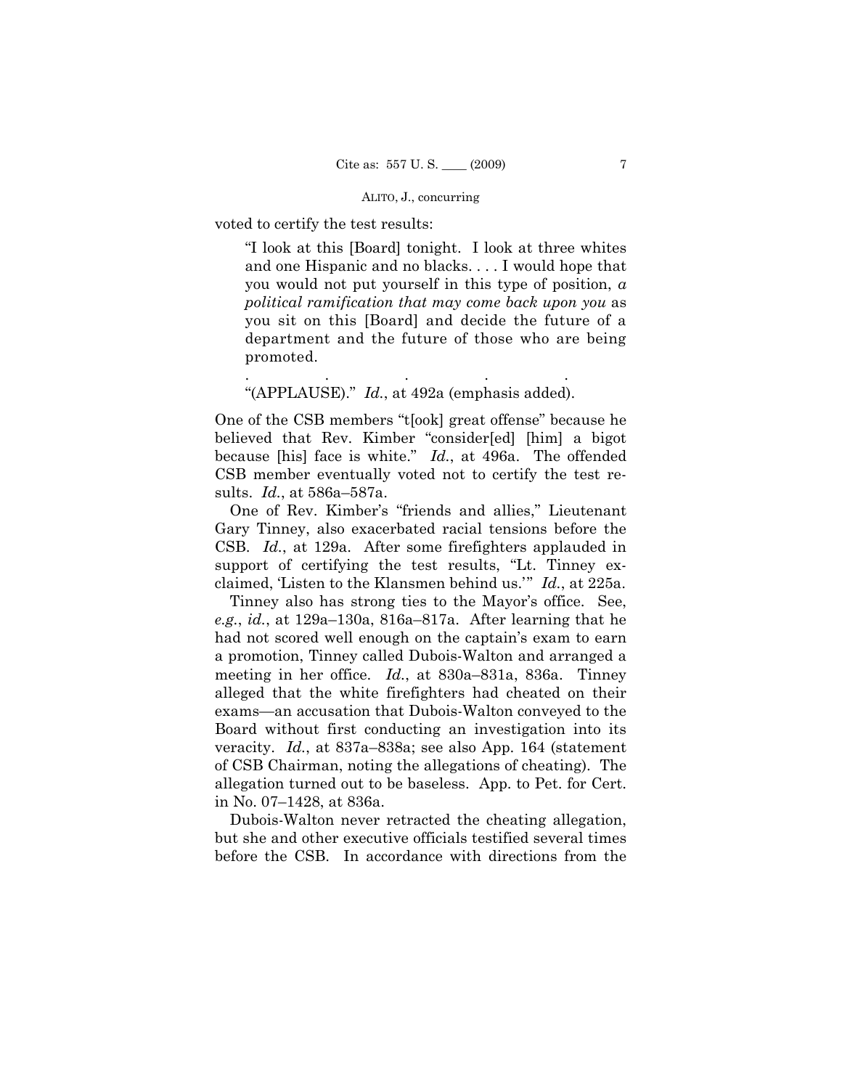voted to certify the test results:

"I look at this [Board] tonight. I look at three whites and one Hispanic and no blacks. . . . I would hope that you would not put yourself in this type of position, *a political ramification that may come back upon you* as you sit on this [Board] and decide the future of a department and the future of those who are being promoted.

. The same is a set of the same in the same in the same in the same in the same in the same in the same in the same in the same in the same in the same in the same in the same in the same in the same in the same in the sa "(APPLAUSE)." *Id.*, at 492a (emphasis added).

One of the CSB members "t[ook] great offense" because he believed that Rev. Kimber "consider[ed] [him] a bigot because [his] face is white." *Id.*, at 496a. The offended CSB member eventually voted not to certify the test results. *Id.*, at 586a–587a.

One of Rev. Kimber's "friends and allies," Lieutenant Gary Tinney, also exacerbated racial tensions before the CSB. *Id.*, at 129a. After some firefighters applauded in support of certifying the test results, "Lt. Tinney exclaimed, 'Listen to the Klansmen behind us.'" *Id.*, at 225a.

Tinney also has strong ties to the Mayor's office. See, *e.g.*, *id.*, at 129a–130a, 816a–817a. After learning that he had not scored well enough on the captain's exam to earn a promotion, Tinney called Dubois-Walton and arranged a meeting in her office. *Id.*, at 830a–831a, 836a. Tinney alleged that the white firefighters had cheated on their exams—an accusation that Dubois-Walton conveyed to the Board without first conducting an investigation into its veracity. *Id.*, at 837a–838a; see also App. 164 (statement of CSB Chairman, noting the allegations of cheating). The allegation turned out to be baseless. App. to Pet. for Cert. in No. 07–1428, at 836a.

Dubois-Walton never retracted the cheating allegation, but she and other executive officials testified several times before the CSB. In accordance with directions from the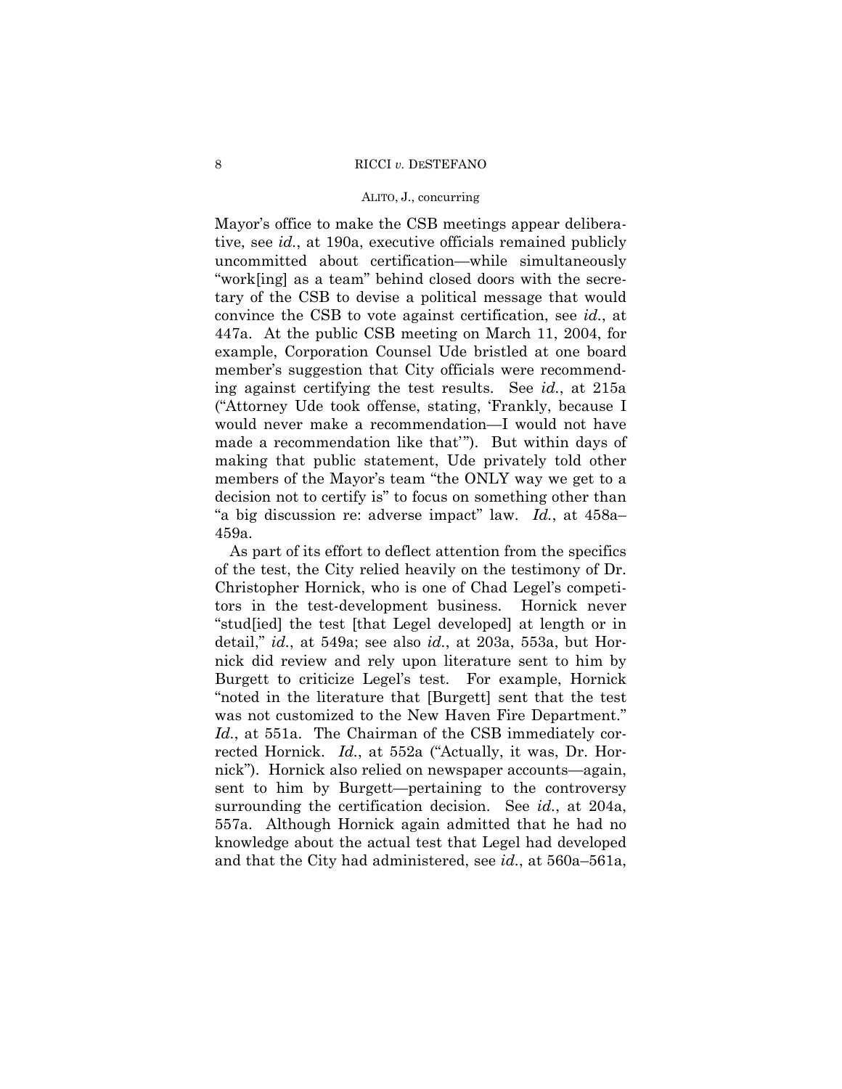### 8 RICCI *v*. DESTEFANO

#### ALITO, J., concurring

Mayor's office to make the CSB meetings appear deliberative, see *id.*, at 190a, executive officials remained publicly uncommitted about certification—while simultaneously "work[ing] as a team" behind closed doors with the secretary of the CSB to devise a political message that would convince the CSB to vote against certification, see *id.*, at 447a. At the public CSB meeting on March 11, 2004, for example, Corporation Counsel Ude bristled at one board member's suggestion that City officials were recommending against certifying the test results. See *id.*, at 215a ("Attorney Ude took offense, stating, 'Frankly, because I would never make a recommendation—I would not have made a recommendation like that'"). But within days of making that public statement, Ude privately told other members of the Mayor's team "the ONLY way we get to a decision not to certify is" to focus on something other than "a big discussion re: adverse impact" law. *Id.*, at 458a– 459a.

As part of its effort to deflect attention from the specifics of the test, the City relied heavily on the testimony of Dr. Christopher Hornick, who is one of Chad Legel's competitors in the test-development business. Hornick never "stud[ied] the test [that Legel developed] at length or in detail," *id.*, at 549a; see also *id.*, at 203a, 553a, but Hornick did review and rely upon literature sent to him by Burgett to criticize Legel's test. For example, Hornick "noted in the literature that [Burgett] sent that the test was not customized to the New Haven Fire Department." *Id.*, at 551a. The Chairman of the CSB immediately corrected Hornick. *Id.*, at 552a ("Actually, it was, Dr. Hornick"). Hornick also relied on newspaper accounts—again, sent to him by Burgett—pertaining to the controversy surrounding the certification decision. See *id.*, at 204a, 557a. Although Hornick again admitted that he had no knowledge about the actual test that Legel had developed and that the City had administered, see *id.*, at 560a–561a,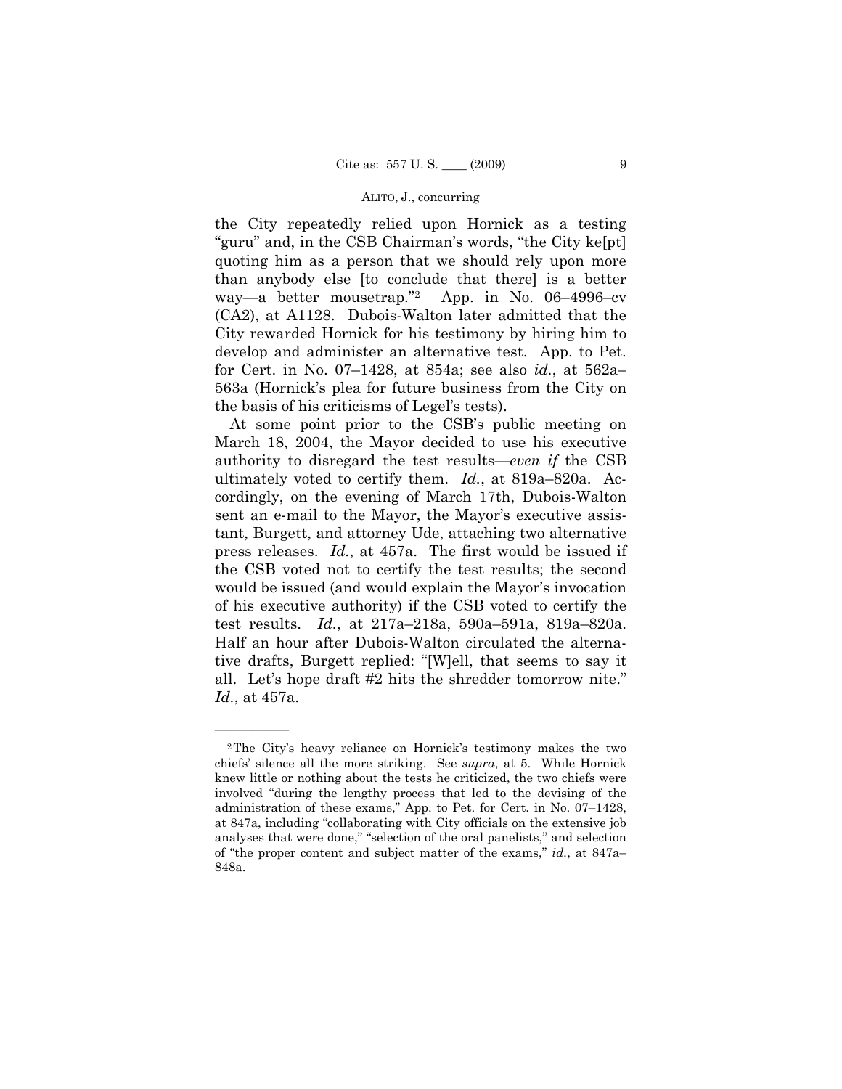the City repeatedly relied upon Hornick as a testing "guru" and, in the CSB Chairman's words, "the City ke[pt] quoting him as a person that we should rely upon more than anybody else [to conclude that there] is a better way—a better mousetrap."2 App. in No. 06–4996–cv (CA2), at A1128. Dubois-Walton later admitted that the City rewarded Hornick for his testimony by hiring him to develop and administer an alternative test. App. to Pet. for Cert. in No. 07–1428, at 854a; see also *id.*, at 562a– 563a (Hornick's plea for future business from the City on the basis of his criticisms of Legel's tests).

At some point prior to the CSB's public meeting on March 18, 2004, the Mayor decided to use his executive authority to disregard the test results—*even if* the CSB ultimately voted to certify them. *Id.*, at 819a–820a. Accordingly, on the evening of March 17th, Dubois-Walton sent an e-mail to the Mayor, the Mayor's executive assistant, Burgett, and attorney Ude, attaching two alternative press releases. *Id.*, at 457a. The first would be issued if the CSB voted not to certify the test results; the second would be issued (and would explain the Mayor's invocation of his executive authority) if the CSB voted to certify the test results. *Id.*, at 217a–218a, 590a–591a, 819a–820a. Half an hour after Dubois-Walton circulated the alternative drafts, Burgett replied: "[W]ell, that seems to say it all. Let's hope draft #2 hits the shredder tomorrow nite." *Id.*, at 457a.

——————

<sup>2</sup>The City's heavy reliance on Hornick's testimony makes the two chiefs' silence all the more striking. See *supra*, at 5. While Hornick knew little or nothing about the tests he criticized, the two chiefs were involved "during the lengthy process that led to the devising of the administration of these exams," App. to Pet. for Cert. in No. 07–1428, at 847a, including "collaborating with City officials on the extensive job analyses that were done," "selection of the oral panelists," and selection of "the proper content and subject matter of the exams," *id.*, at 847a– 848a.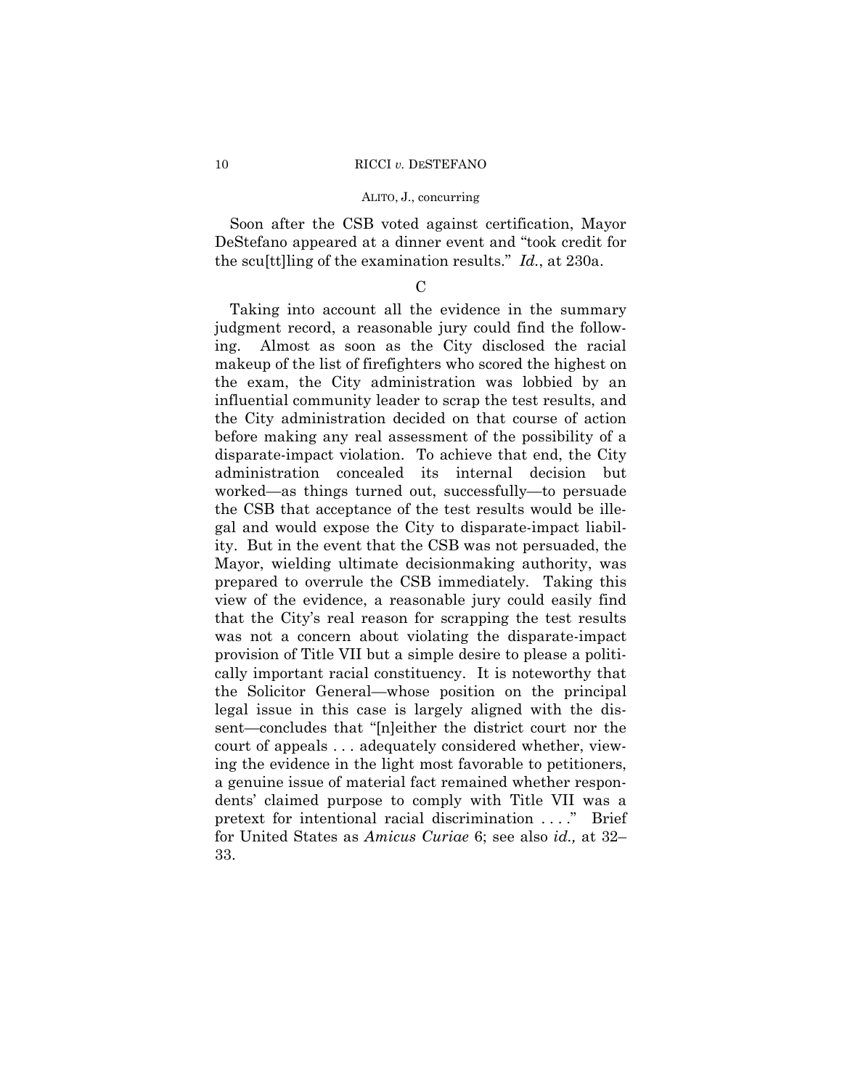Soon after the CSB voted against certification, Mayor DeStefano appeared at a dinner event and "took credit for the scu[tt]ling of the examination results." *Id.*, at 230a.

 $\mathcal{C}$ 

Taking into account all the evidence in the summary judgment record, a reasonable jury could find the following. Almost as soon as the City disclosed the racial makeup of the list of firefighters who scored the highest on the exam, the City administration was lobbied by an influential community leader to scrap the test results, and the City administration decided on that course of action before making any real assessment of the possibility of a disparate-impact violation. To achieve that end, the City administration concealed its internal decision but worked—as things turned out, successfully—to persuade the CSB that acceptance of the test results would be illegal and would expose the City to disparate-impact liability. But in the event that the CSB was not persuaded, the Mayor, wielding ultimate decisionmaking authority, was prepared to overrule the CSB immediately. Taking this view of the evidence, a reasonable jury could easily find that the City's real reason for scrapping the test results was not a concern about violating the disparate-impact provision of Title VII but a simple desire to please a politically important racial constituency. It is noteworthy that the Solicitor General—whose position on the principal legal issue in this case is largely aligned with the dissent—concludes that "[n]either the district court nor the court of appeals . . . adequately considered whether, viewing the evidence in the light most favorable to petitioners, a genuine issue of material fact remained whether respondents' claimed purpose to comply with Title VII was a pretext for intentional racial discrimination . . . ." Brief for United States as *Amicus Curiae* 6; see also *id.,* at 32– 33.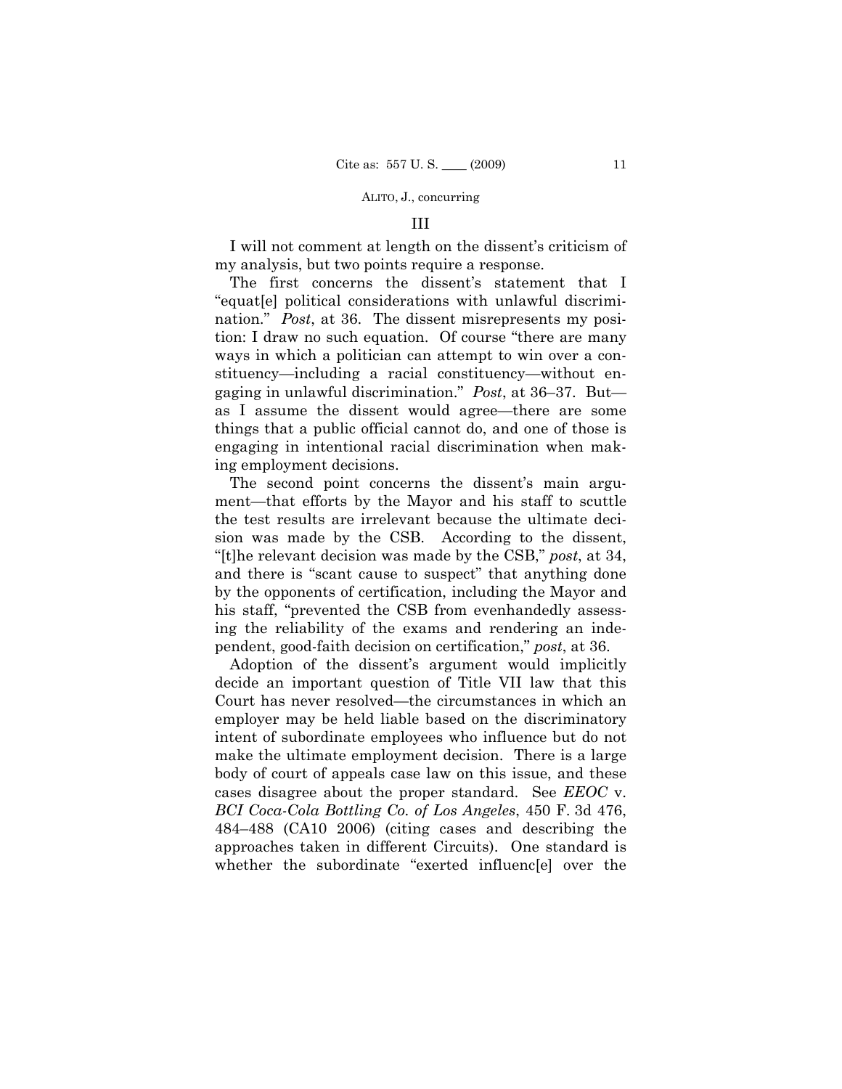#### III

I will not comment at length on the dissent's criticism of my analysis, but two points require a response.

The first concerns the dissent's statement that I "equat[e] political considerations with unlawful discrimination." *Post*, at 36. The dissent misrepresents my position: I draw no such equation. Of course "there are many ways in which a politician can attempt to win over a constituency—including a racial constituency—without engaging in unlawful discrimination." *Post*, at 36–37. But as I assume the dissent would agree—there are some things that a public official cannot do, and one of those is engaging in intentional racial discrimination when making employment decisions.

The second point concerns the dissent's main argument—that efforts by the Mayor and his staff to scuttle the test results are irrelevant because the ultimate decision was made by the CSB. According to the dissent, "[t]he relevant decision was made by the CSB," *post*, at 34, and there is "scant cause to suspect" that anything done by the opponents of certification, including the Mayor and his staff, "prevented the CSB from evenhandedly assessing the reliability of the exams and rendering an independent, good-faith decision on certification," *post*, at 36.

Adoption of the dissent's argument would implicitly decide an important question of Title VII law that this Court has never resolved—the circumstances in which an employer may be held liable based on the discriminatory intent of subordinate employees who influence but do not make the ultimate employment decision. There is a large body of court of appeals case law on this issue, and these cases disagree about the proper standard. See *EEOC* v. *BCI Coca-Cola Bottling Co. of Los Angeles*, 450 F. 3d 476, 484–488 (CA10 2006) (citing cases and describing the approaches taken in different Circuits). One standard is whether the subordinate "exerted influenc[e] over the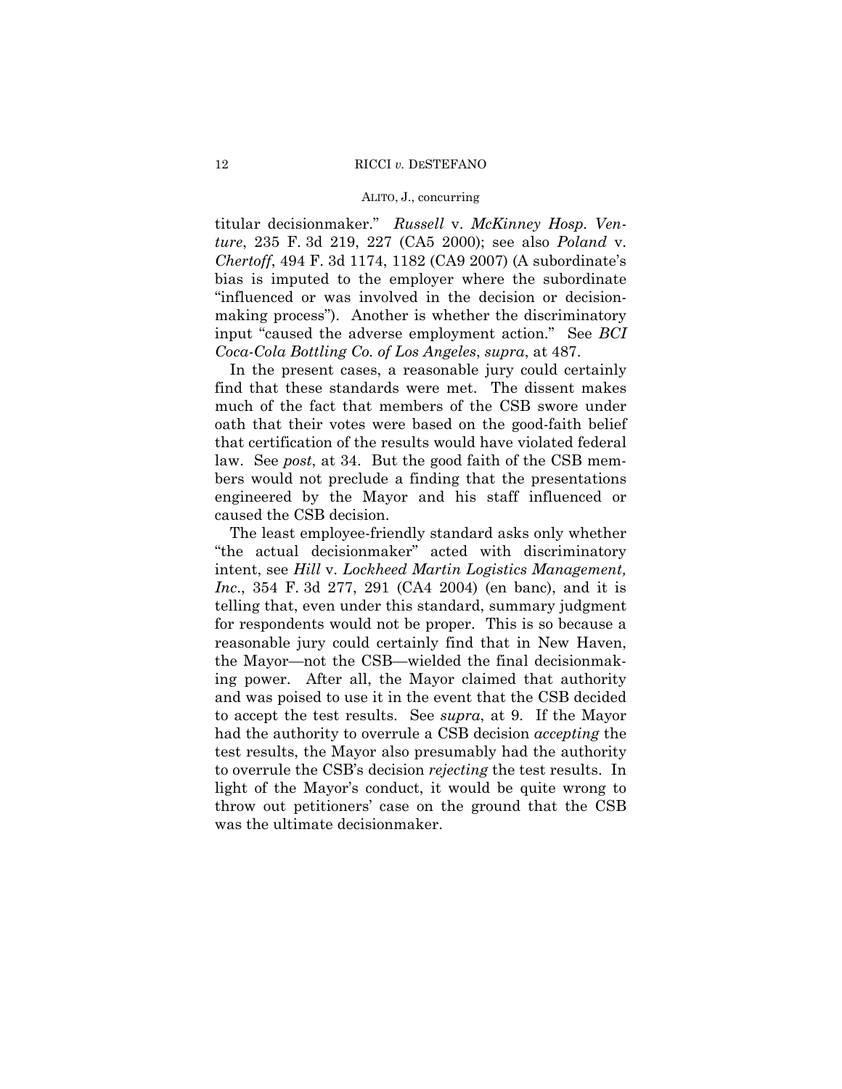titular decisionmaker." *Russell* v. *McKinney Hosp. Venture*, 235 F. 3d 219, 227 (CA5 2000); see also *Poland* v. *Chertoff*, 494 F. 3d 1174, 1182 (CA9 2007) (A subordinate's bias is imputed to the employer where the subordinate "influenced or was involved in the decision or decisionmaking process"). Another is whether the discriminatory input "caused the adverse employment action." See *BCI Coca-Cola Bottling Co. of Los Angeles*, *supra*, at 487.

In the present cases, a reasonable jury could certainly find that these standards were met. The dissent makes much of the fact that members of the CSB swore under oath that their votes were based on the good-faith belief that certification of the results would have violated federal law. See *post*, at 34. But the good faith of the CSB members would not preclude a finding that the presentations engineered by the Mayor and his staff influenced or caused the CSB decision.

The least employee-friendly standard asks only whether "the actual decisionmaker" acted with discriminatory intent, see *Hill* v. *Lockheed Martin Logistics Management, Inc*., 354 F. 3d 277, 291 (CA4 2004) (en banc), and it is telling that, even under this standard, summary judgment for respondents would not be proper. This is so because a reasonable jury could certainly find that in New Haven, the Mayor—not the CSB—wielded the final decisionmaking power. After all, the Mayor claimed that authority and was poised to use it in the event that the CSB decided to accept the test results. See *supra*, at 9. If the Mayor had the authority to overrule a CSB decision *accepting* the test results, the Mayor also presumably had the authority to overrule the CSB's decision *rejecting* the test results. In light of the Mayor's conduct, it would be quite wrong to throw out petitioners' case on the ground that the CSB was the ultimate decisionmaker.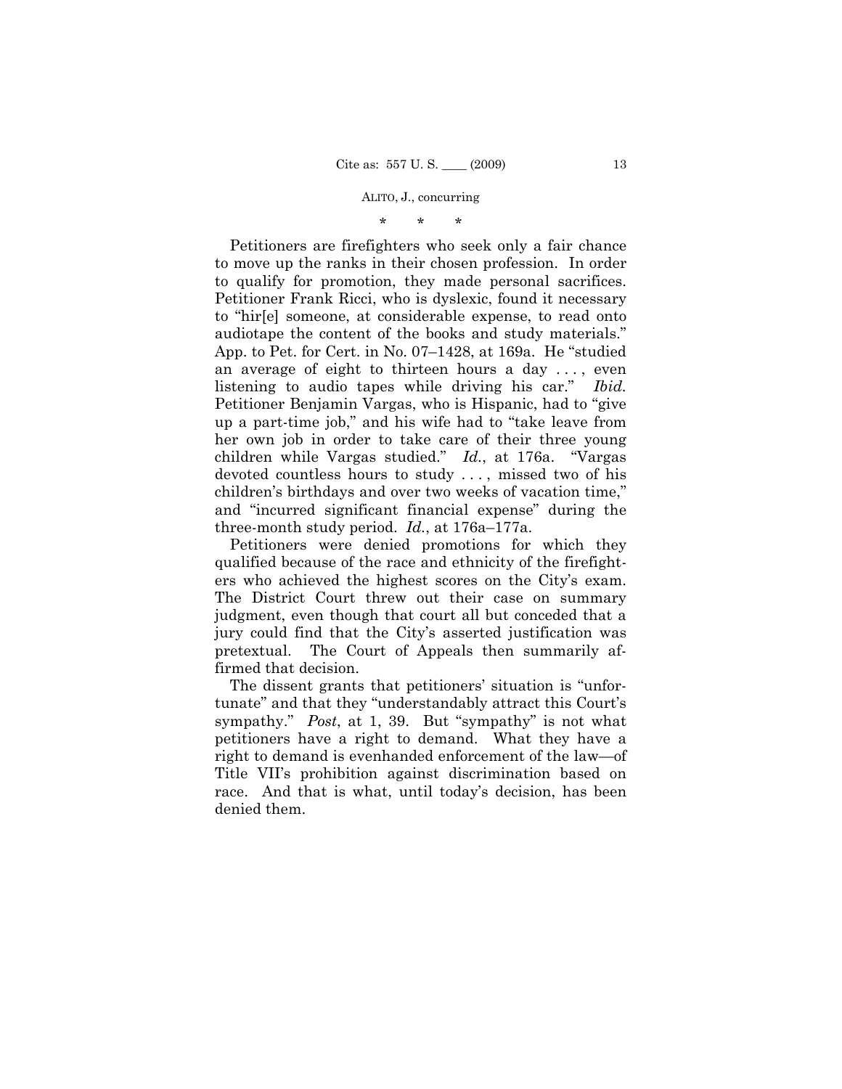\* \* \*

Petitioners are firefighters who seek only a fair chance to move up the ranks in their chosen profession. In order to qualify for promotion, they made personal sacrifices. Petitioner Frank Ricci, who is dyslexic, found it necessary to "hir[e] someone, at considerable expense, to read onto audiotape the content of the books and study materials." App. to Pet. for Cert. in No. 07–1428, at 169a. He "studied an average of eight to thirteen hours a day . . . , even listening to audio tapes while driving his car." *Ibid.*  Petitioner Benjamin Vargas, who is Hispanic, had to "give up a part-time job," and his wife had to "take leave from her own job in order to take care of their three young children while Vargas studied." *Id.*, at 176a. "Vargas devoted countless hours to study . . . , missed two of his children's birthdays and over two weeks of vacation time," and "incurred significant financial expense" during the three-month study period. *Id.*, at 176a–177a.

Petitioners were denied promotions for which they qualified because of the race and ethnicity of the firefighters who achieved the highest scores on the City's exam. The District Court threw out their case on summary judgment, even though that court all but conceded that a jury could find that the City's asserted justification was pretextual. The Court of Appeals then summarily affirmed that decision.

The dissent grants that petitioners' situation is "unfortunate" and that they "understandably attract this Court's sympathy." *Post*, at 1, 39. But "sympathy" is not what petitioners have a right to demand. What they have a right to demand is evenhanded enforcement of the law—of Title VII's prohibition against discrimination based on race. And that is what, until today's decision, has been denied them.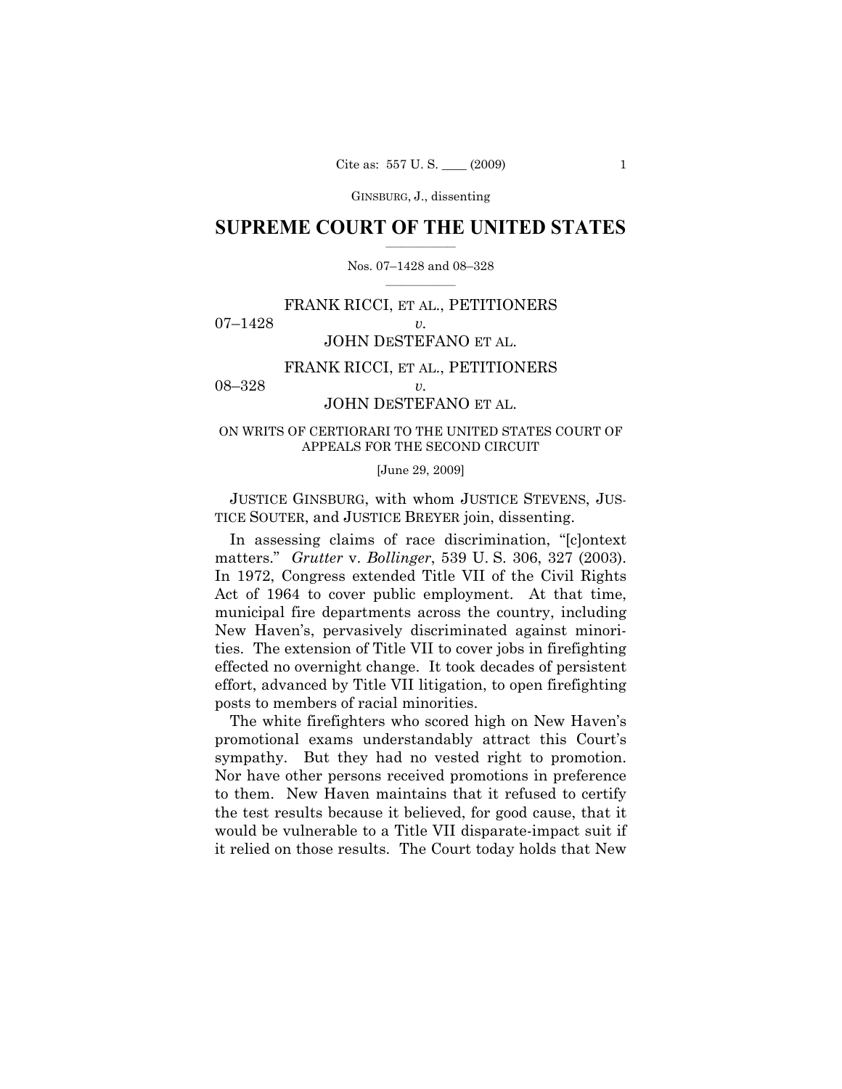## $\frac{1}{2}$  ,  $\frac{1}{2}$  ,  $\frac{1}{2}$  ,  $\frac{1}{2}$  ,  $\frac{1}{2}$  ,  $\frac{1}{2}$  ,  $\frac{1}{2}$ **SUPREME COURT OF THE UNITED STATES**

#### $\frac{1}{2}$  ,  $\frac{1}{2}$  ,  $\frac{1}{2}$  ,  $\frac{1}{2}$  ,  $\frac{1}{2}$  ,  $\frac{1}{2}$ Nos. 07–1428 and 08–328

# FRANK RICCI, ET AL., PETITIONERS 07–1428 *v.*

# JOHN DESTEFANO ET AL.

# FRANK RICCI, ET AL., PETITIONERS 08–328 *v.*

# JOHN DESTEFANO ET AL.

# ON WRITS OF CERTIORARI TO THE UNITED STATES COURT OF APPEALS FOR THE SECOND CIRCUIT

# [June 29, 2009]

JUSTICE GINSBURG, with whom JUSTICE STEVENS, JUS-TICE SOUTER, and JUSTICE BREYER join, dissenting.

In assessing claims of race discrimination, "[c]ontext matters." *Grutter* v. *Bollinger*, 539 U. S. 306, 327 (2003). In 1972, Congress extended Title VII of the Civil Rights Act of 1964 to cover public employment. At that time, municipal fire departments across the country, including New Haven's, pervasively discriminated against minorities. The extension of Title VII to cover jobs in firefighting effected no overnight change. It took decades of persistent effort, advanced by Title VII litigation, to open firefighting posts to members of racial minorities.

The white firefighters who scored high on New Haven's promotional exams understandably attract this Court's sympathy. But they had no vested right to promotion. Nor have other persons received promotions in preference to them. New Haven maintains that it refused to certify the test results because it believed, for good cause, that it would be vulnerable to a Title VII disparate-impact suit if it relied on those results. The Court today holds that New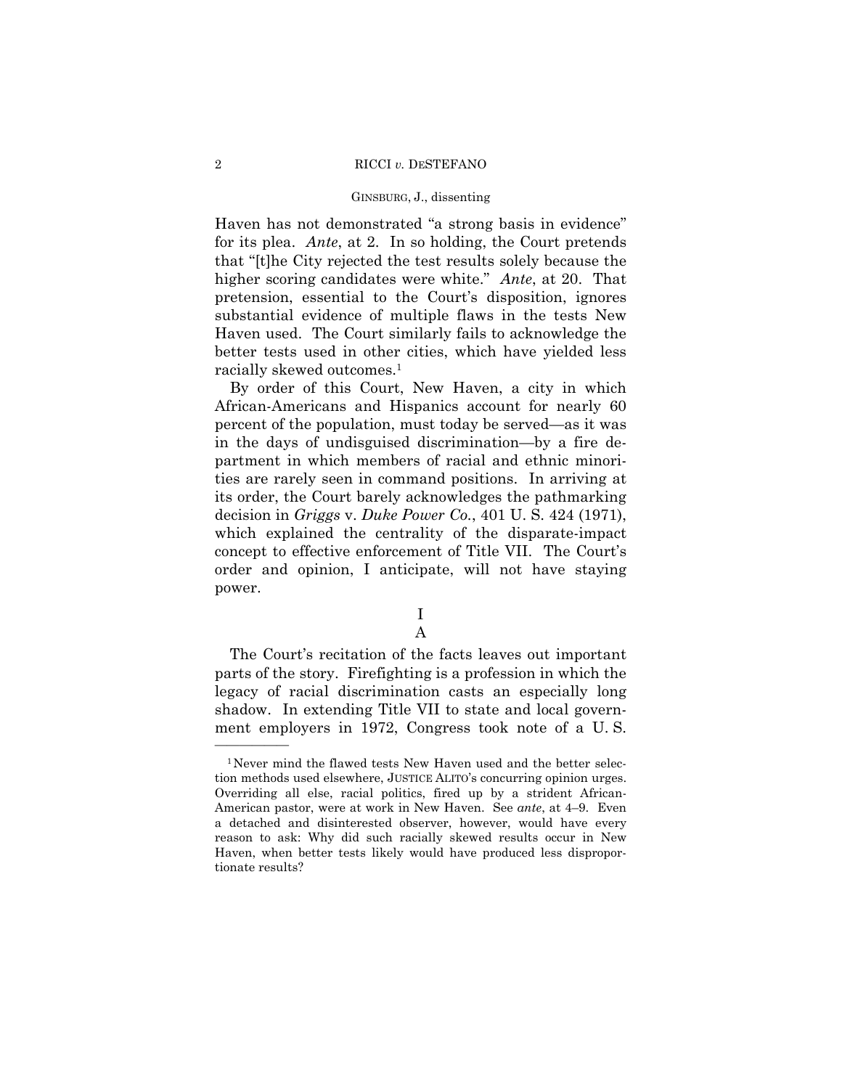#### 2 RICCI *v.* DESTEFANO

#### GINSBURG, J., dissenting

Haven has not demonstrated "a strong basis in evidence" for its plea. *Ante*, at 2. In so holding, the Court pretends that "[t]he City rejected the test results solely because the higher scoring candidates were white." *Ante*, at 20. That pretension, essential to the Court's disposition, ignores substantial evidence of multiple flaws in the tests New Haven used. The Court similarly fails to acknowledge the better tests used in other cities, which have yielded less racially skewed outcomes.1

By order of this Court, New Haven, a city in which African-Americans and Hispanics account for nearly 60 percent of the population, must today be served—as it was in the days of undisguised discrimination—by a fire department in which members of racial and ethnic minorities are rarely seen in command positions. In arriving at its order, the Court barely acknowledges the pathmarking decision in *Griggs* v. *Duke Power Co.*, 401 U. S. 424 (1971), which explained the centrality of the disparate-impact concept to effective enforcement of Title VII. The Court's order and opinion, I anticipate, will not have staying power.

> I A

The Court's recitation of the facts leaves out important parts of the story. Firefighting is a profession in which the legacy of racial discrimination casts an especially long shadow. In extending Title VII to state and local government employers in 1972, Congress took note of a U. S.

——————

<sup>&</sup>lt;sup>1</sup>Never mind the flawed tests New Haven used and the better selection methods used elsewhere, JUSTICE ALITO's concurring opinion urges. Overriding all else, racial politics, fired up by a strident African-American pastor, were at work in New Haven. See *ante*, at 4–9. Even a detached and disinterested observer, however, would have every reason to ask: Why did such racially skewed results occur in New Haven, when better tests likely would have produced less disproportionate results?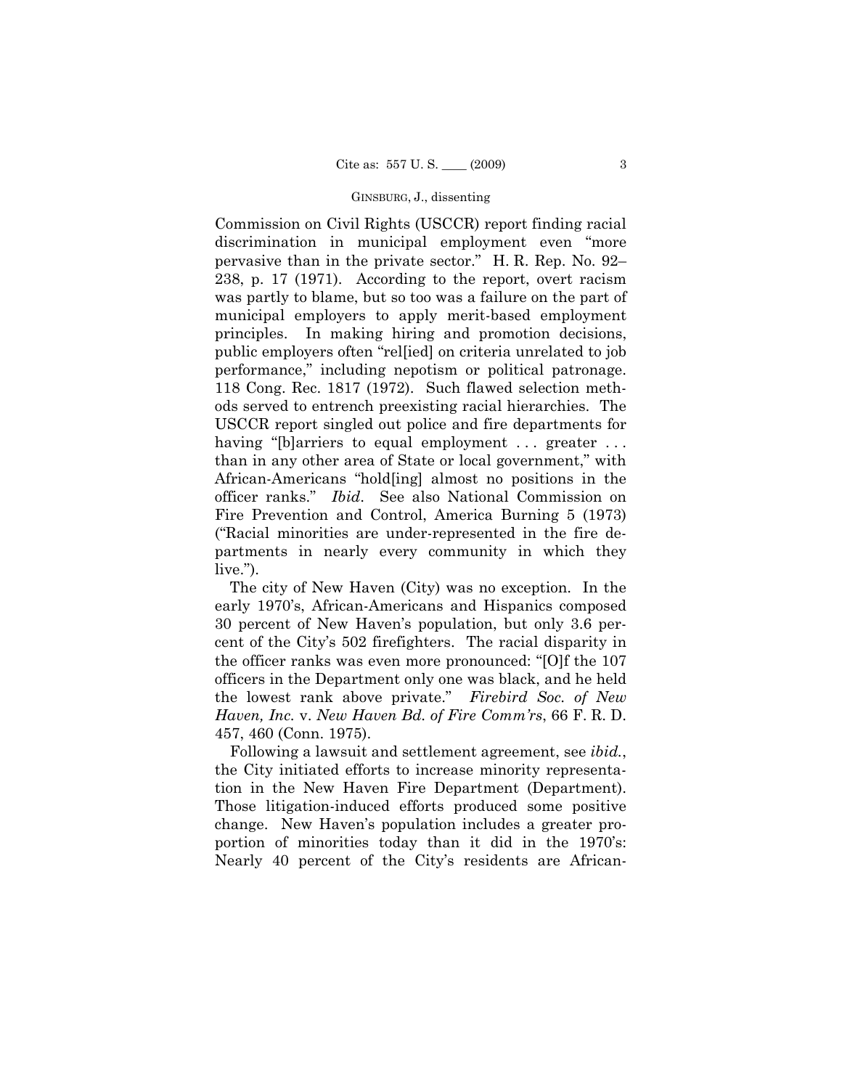Commission on Civil Rights (USCCR) report finding racial discrimination in municipal employment even "more pervasive than in the private sector." H. R. Rep. No. 92– 238, p. 17 (1971). According to the report, overt racism was partly to blame, but so too was a failure on the part of municipal employers to apply merit-based employment principles. In making hiring and promotion decisions, public employers often "rel[ied] on criteria unrelated to job performance," including nepotism or political patronage. 118 Cong. Rec. 1817 (1972). Such flawed selection methods served to entrench preexisting racial hierarchies. The USCCR report singled out police and fire departments for having "[b]arriers to equal employment ... greater ... than in any other area of State or local government," with African-Americans "hold[ing] almost no positions in the officer ranks." *Ibid*. See also National Commission on Fire Prevention and Control, America Burning 5 (1973) ("Racial minorities are under-represented in the fire departments in nearly every community in which they live.").

The city of New Haven (City) was no exception. In the early 1970's, African-Americans and Hispanics composed 30 percent of New Haven's population, but only 3.6 percent of the City's 502 firefighters. The racial disparity in the officer ranks was even more pronounced: "[O]f the 107 officers in the Department only one was black, and he held the lowest rank above private." *Firebird Soc. of New Haven, Inc.* v. *New Haven Bd. of Fire Comm'rs*, 66 F. R. D. 457, 460 (Conn. 1975).

Following a lawsuit and settlement agreement, see *ibid.*, the City initiated efforts to increase minority representation in the New Haven Fire Department (Department). Those litigation-induced efforts produced some positive change. New Haven's population includes a greater proportion of minorities today than it did in the 1970's: Nearly 40 percent of the City's residents are African-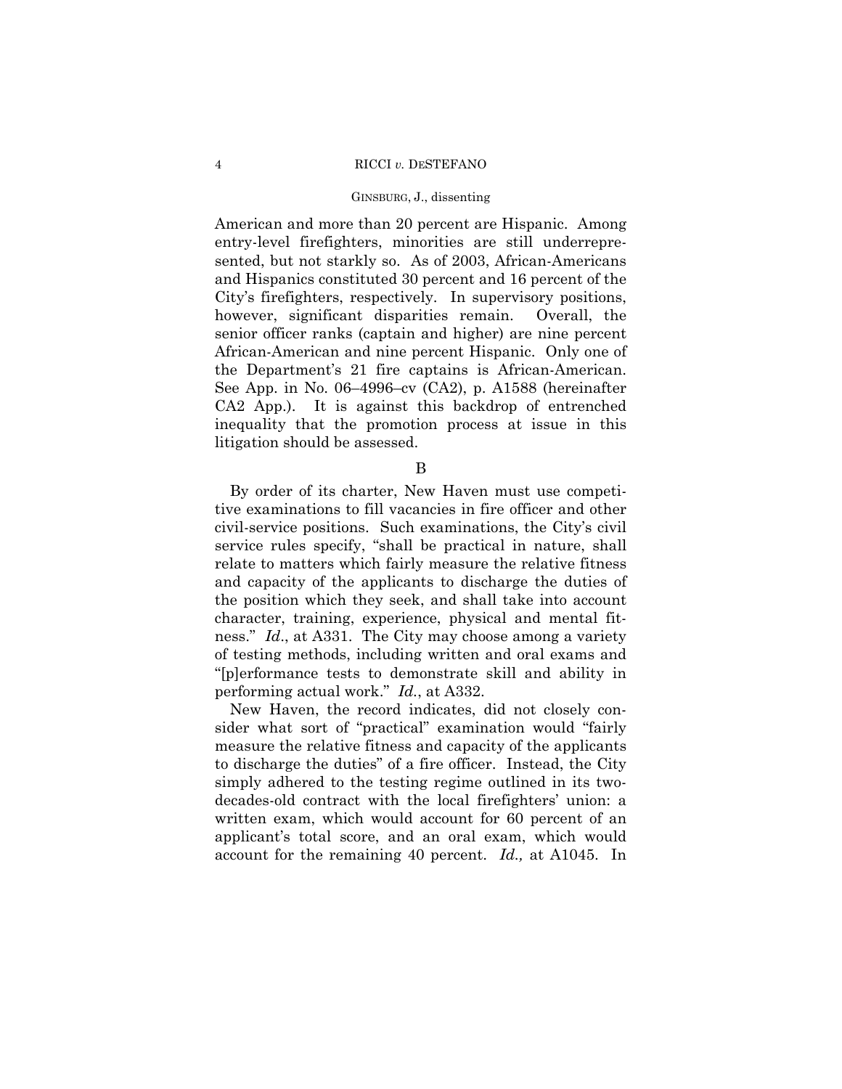### 4 RICCI *v.* DESTEFANO

#### GINSBURG, J., dissenting

American and more than 20 percent are Hispanic. Among entry-level firefighters, minorities are still underrepresented, but not starkly so. As of 2003, African-Americans and Hispanics constituted 30 percent and 16 percent of the City's firefighters, respectively. In supervisory positions, however, significant disparities remain. Overall, the senior officer ranks (captain and higher) are nine percent African-American and nine percent Hispanic. Only one of the Department's 21 fire captains is African-American. See App. in No. 06–4996–cv (CA2), p. A1588 (hereinafter CA2 App.). It is against this backdrop of entrenched inequality that the promotion process at issue in this litigation should be assessed.

B

By order of its charter, New Haven must use competitive examinations to fill vacancies in fire officer and other civil-service positions. Such examinations, the City's civil service rules specify, "shall be practical in nature, shall relate to matters which fairly measure the relative fitness and capacity of the applicants to discharge the duties of the position which they seek, and shall take into account character, training, experience, physical and mental fitness." *Id*., at A331. The City may choose among a variety of testing methods, including written and oral exams and "[p]erformance tests to demonstrate skill and ability in performing actual work." *Id.*, at A332.

New Haven, the record indicates, did not closely consider what sort of "practical" examination would "fairly measure the relative fitness and capacity of the applicants to discharge the duties" of a fire officer. Instead, the City simply adhered to the testing regime outlined in its twodecades-old contract with the local firefighters' union: a written exam, which would account for 60 percent of an applicant's total score, and an oral exam, which would account for the remaining 40 percent. *Id.,* at A1045. In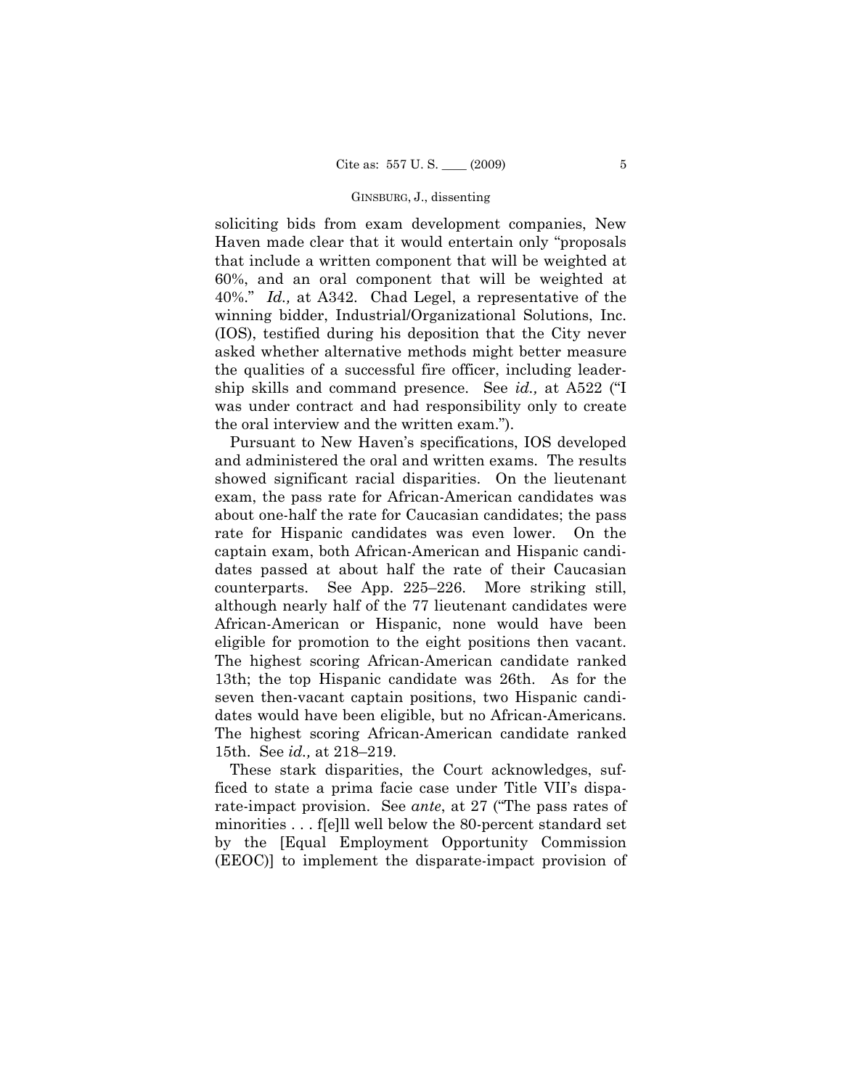soliciting bids from exam development companies, New Haven made clear that it would entertain only "proposals that include a written component that will be weighted at 60%, and an oral component that will be weighted at 40%." *Id.,* at A342. Chad Legel, a representative of the winning bidder, Industrial/Organizational Solutions, Inc. (IOS), testified during his deposition that the City never asked whether alternative methods might better measure the qualities of a successful fire officer, including leadership skills and command presence. See *id.,* at A522 ("I was under contract and had responsibility only to create the oral interview and the written exam.").

Pursuant to New Haven's specifications, IOS developed and administered the oral and written exams. The results showed significant racial disparities. On the lieutenant exam, the pass rate for African-American candidates was about one-half the rate for Caucasian candidates; the pass rate for Hispanic candidates was even lower. On the captain exam, both African-American and Hispanic candidates passed at about half the rate of their Caucasian counterparts. See App. 225–226. More striking still, although nearly half of the 77 lieutenant candidates were African-American or Hispanic, none would have been eligible for promotion to the eight positions then vacant. The highest scoring African-American candidate ranked 13th; the top Hispanic candidate was 26th. As for the seven then-vacant captain positions, two Hispanic candidates would have been eligible, but no African-Americans. The highest scoring African-American candidate ranked 15th. See *id.,* at 218–219.

These stark disparities, the Court acknowledges, sufficed to state a prima facie case under Title VII's disparate-impact provision. See *ante*, at 27 ("The pass rates of minorities . . . f[e]ll well below the 80-percent standard set by the [Equal Employment Opportunity Commission (EEOC)] to implement the disparate-impact provision of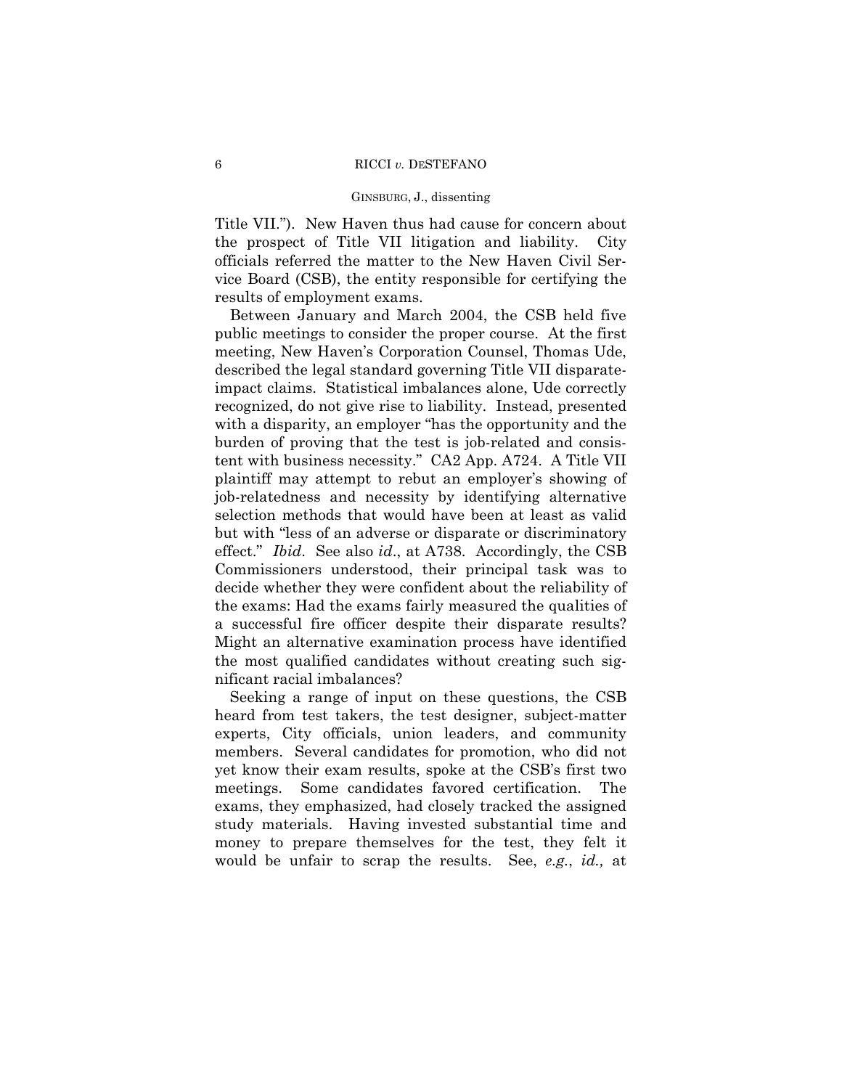Title VII."). New Haven thus had cause for concern about the prospect of Title VII litigation and liability. City officials referred the matter to the New Haven Civil Service Board (CSB), the entity responsible for certifying the results of employment exams.

Between January and March 2004, the CSB held five public meetings to consider the proper course. At the first meeting, New Haven's Corporation Counsel, Thomas Ude, described the legal standard governing Title VII disparateimpact claims. Statistical imbalances alone, Ude correctly recognized, do not give rise to liability. Instead, presented with a disparity, an employer "has the opportunity and the burden of proving that the test is job-related and consistent with business necessity." CA2 App. A724. A Title VII plaintiff may attempt to rebut an employer's showing of job-relatedness and necessity by identifying alternative selection methods that would have been at least as valid but with "less of an adverse or disparate or discriminatory effect." *Ibid*. See also *id*., at A738. Accordingly, the CSB Commissioners understood, their principal task was to decide whether they were confident about the reliability of the exams: Had the exams fairly measured the qualities of a successful fire officer despite their disparate results? Might an alternative examination process have identified the most qualified candidates without creating such significant racial imbalances?

Seeking a range of input on these questions, the CSB heard from test takers, the test designer, subject-matter experts, City officials, union leaders, and community members. Several candidates for promotion, who did not yet know their exam results, spoke at the CSB's first two meetings. Some candidates favored certification. The exams, they emphasized, had closely tracked the assigned study materials. Having invested substantial time and money to prepare themselves for the test, they felt it would be unfair to scrap the results. See, *e.g.*, *id.,* at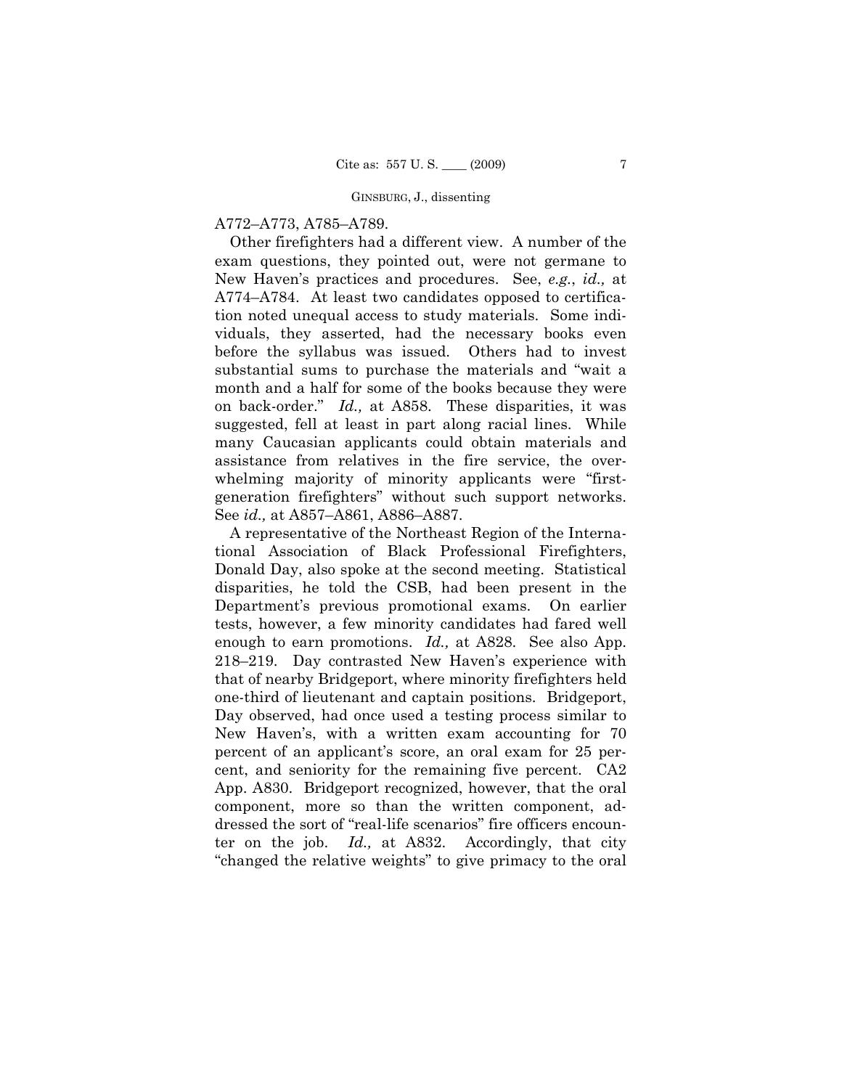# A772–A773, A785–A789.

Other firefighters had a different view. A number of the exam questions, they pointed out, were not germane to New Haven's practices and procedures. See, *e.g.*, *id.,* at A774–A784. At least two candidates opposed to certification noted unequal access to study materials. Some individuals, they asserted, had the necessary books even before the syllabus was issued. Others had to invest substantial sums to purchase the materials and "wait a month and a half for some of the books because they were on back-order." *Id.,* at A858. These disparities, it was suggested, fell at least in part along racial lines. While many Caucasian applicants could obtain materials and assistance from relatives in the fire service, the overwhelming majority of minority applicants were "firstgeneration firefighters" without such support networks. See *id.,* at A857–A861, A886–A887.

A representative of the Northeast Region of the International Association of Black Professional Firefighters, Donald Day, also spoke at the second meeting. Statistical disparities, he told the CSB, had been present in the Department's previous promotional exams. On earlier tests, however, a few minority candidates had fared well enough to earn promotions. *Id.,* at A828. See also App. 218–219. Day contrasted New Haven's experience with that of nearby Bridgeport, where minority firefighters held one-third of lieutenant and captain positions. Bridgeport, Day observed, had once used a testing process similar to New Haven's, with a written exam accounting for 70 percent of an applicant's score, an oral exam for 25 percent, and seniority for the remaining five percent. CA2 App. A830. Bridgeport recognized, however, that the oral component, more so than the written component, addressed the sort of "real-life scenarios" fire officers encounter on the job. *Id.,* at A832. Accordingly, that city "changed the relative weights" to give primacy to the oral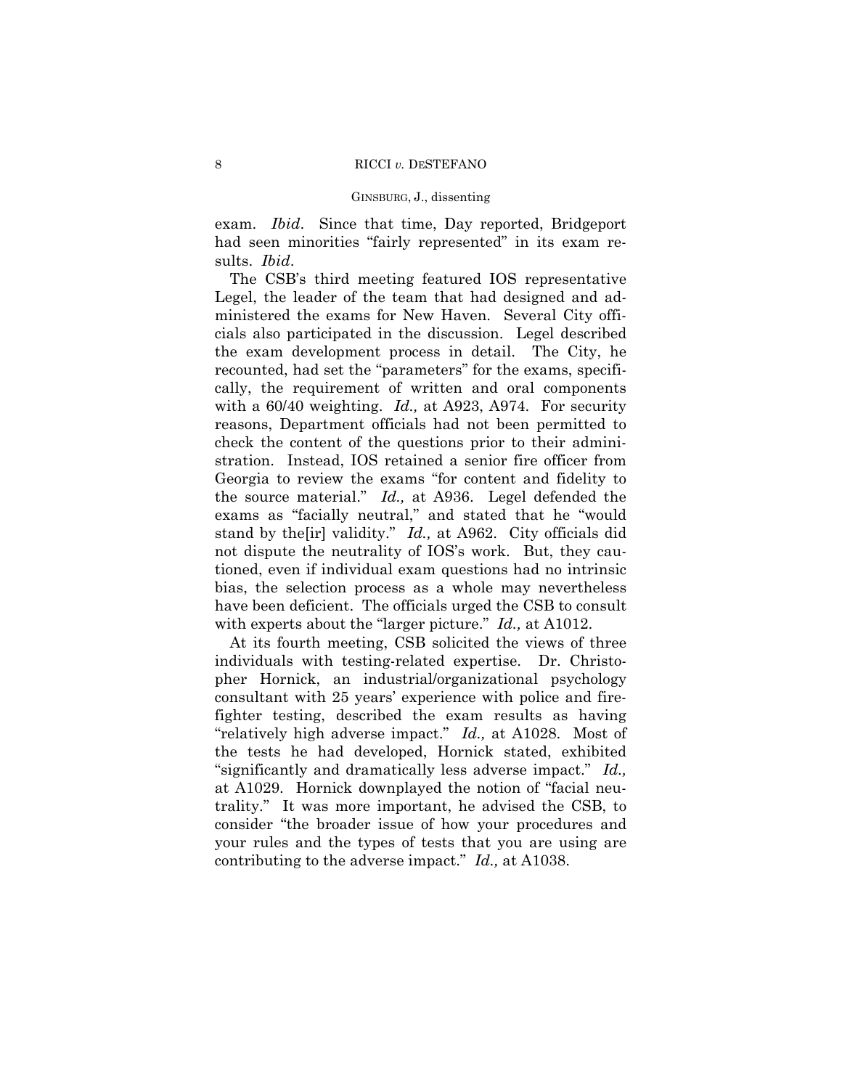exam. *Ibid*. Since that time, Day reported, Bridgeport had seen minorities "fairly represented" in its exam results. *Ibid*.

The CSB's third meeting featured IOS representative Legel, the leader of the team that had designed and administered the exams for New Haven. Several City officials also participated in the discussion. Legel described the exam development process in detail. The City, he recounted, had set the "parameters" for the exams, specifically, the requirement of written and oral components with a 60/40 weighting. *Id.,* at A923, A974. For security reasons, Department officials had not been permitted to check the content of the questions prior to their administration. Instead, IOS retained a senior fire officer from Georgia to review the exams "for content and fidelity to the source material." *Id.,* at A936. Legel defended the exams as "facially neutral," and stated that he "would stand by the[ir] validity." *Id.,* at A962. City officials did not dispute the neutrality of IOS's work. But, they cautioned, even if individual exam questions had no intrinsic bias, the selection process as a whole may nevertheless have been deficient. The officials urged the CSB to consult with experts about the "larger picture." *Id.,* at A1012.

At its fourth meeting, CSB solicited the views of three individuals with testing-related expertise. Dr. Christopher Hornick, an industrial/organizational psychology consultant with 25 years' experience with police and firefighter testing, described the exam results as having "relatively high adverse impact." *Id.,* at A1028. Most of the tests he had developed, Hornick stated, exhibited "significantly and dramatically less adverse impact." *Id.,*  at A1029. Hornick downplayed the notion of "facial neutrality." It was more important, he advised the CSB, to consider "the broader issue of how your procedures and your rules and the types of tests that you are using are contributing to the adverse impact." *Id.,* at A1038.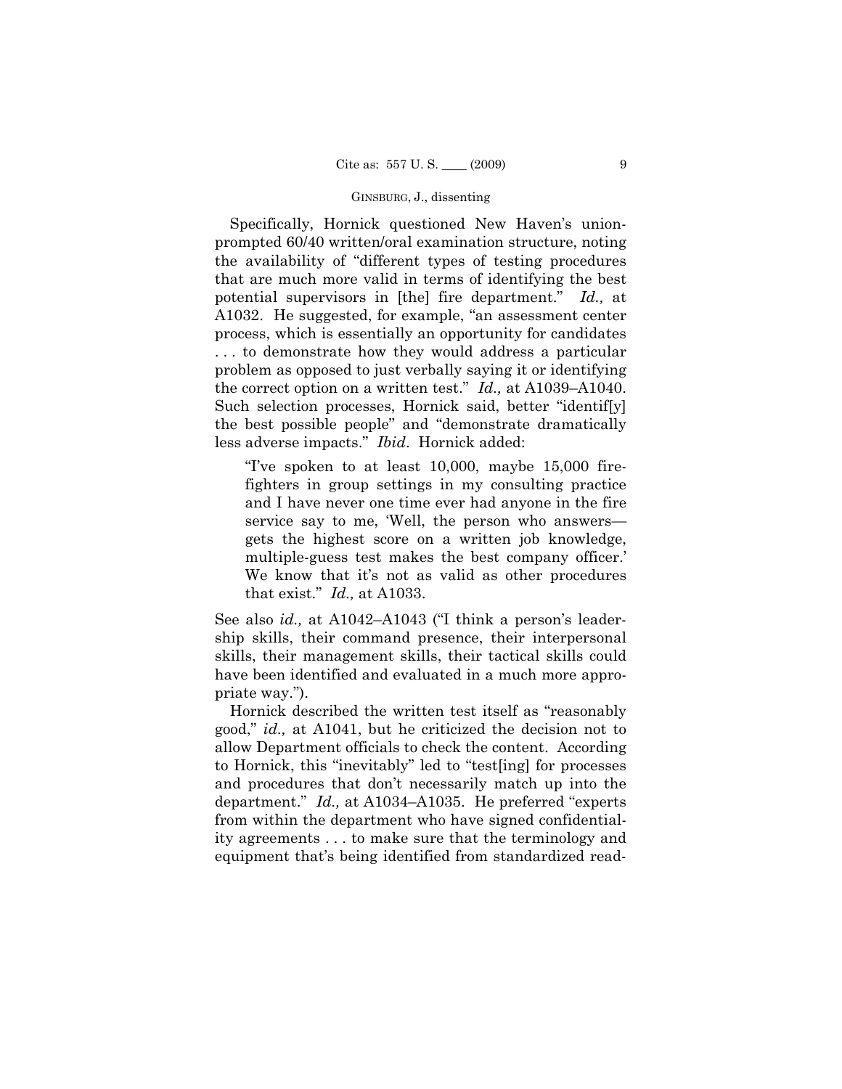Specifically, Hornick questioned New Haven's unionprompted 60/40 written/oral examination structure, noting the availability of "different types of testing procedures that are much more valid in terms of identifying the best potential supervisors in [the] fire department." *Id.,* at A1032. He suggested, for example, "an assessment center process, which is essentially an opportunity for candidates . . . to demonstrate how they would address a particular problem as opposed to just verbally saying it or identifying the correct option on a written test." *Id.,* at A1039–A1040. Such selection processes, Hornick said, better "identif[y] the best possible people" and "demonstrate dramatically less adverse impacts." *Ibid*. Hornick added:

"I've spoken to at least 10,000, maybe 15,000 firefighters in group settings in my consulting practice and I have never one time ever had anyone in the fire service say to me, 'Well, the person who answers gets the highest score on a written job knowledge, multiple-guess test makes the best company officer.' We know that it's not as valid as other procedures that exist." *Id.,* at A1033.

See also *id.,* at A1042–A1043 ("I think a person's leadership skills, their command presence, their interpersonal skills, their management skills, their tactical skills could have been identified and evaluated in a much more appropriate way.").

Hornick described the written test itself as "reasonably good," *id.,* at A1041, but he criticized the decision not to allow Department officials to check the content. According to Hornick, this "inevitably" led to "test[ing] for processes and procedures that don't necessarily match up into the department." *Id.,* at A1034–A1035. He preferred "experts from within the department who have signed confidentiality agreements . . . to make sure that the terminology and equipment that's being identified from standardized read-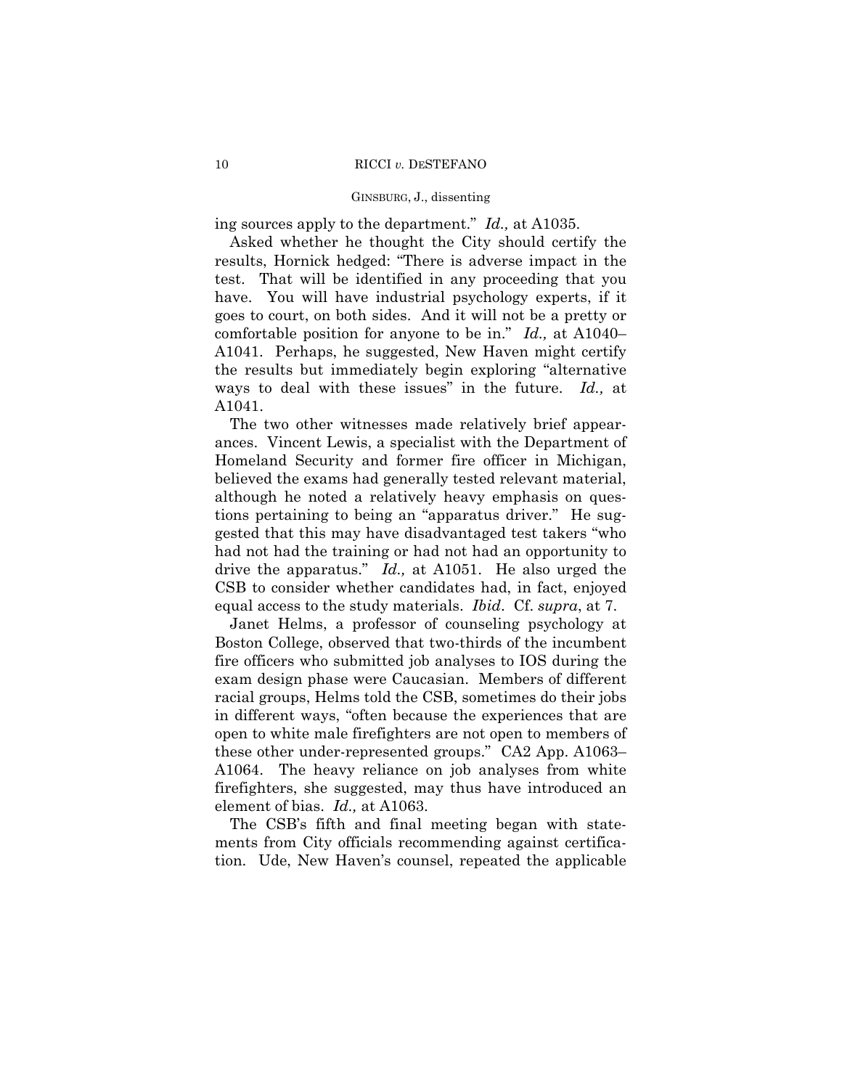ing sources apply to the department." *Id.,* at A1035.

Asked whether he thought the City should certify the results, Hornick hedged: "There is adverse impact in the test. That will be identified in any proceeding that you have. You will have industrial psychology experts, if it goes to court, on both sides. And it will not be a pretty or comfortable position for anyone to be in." *Id.,* at A1040– A1041. Perhaps, he suggested, New Haven might certify the results but immediately begin exploring "alternative ways to deal with these issues" in the future. *Id.,* at A1041.

The two other witnesses made relatively brief appearances. Vincent Lewis, a specialist with the Department of Homeland Security and former fire officer in Michigan, believed the exams had generally tested relevant material, although he noted a relatively heavy emphasis on questions pertaining to being an "apparatus driver." He suggested that this may have disadvantaged test takers "who had not had the training or had not had an opportunity to drive the apparatus." *Id.,* at A1051. He also urged the CSB to consider whether candidates had, in fact, enjoyed equal access to the study materials. *Ibid*. Cf. *supra*, at 7.

Janet Helms, a professor of counseling psychology at Boston College, observed that two-thirds of the incumbent fire officers who submitted job analyses to IOS during the exam design phase were Caucasian. Members of different racial groups, Helms told the CSB, sometimes do their jobs in different ways, "often because the experiences that are open to white male firefighters are not open to members of these other under-represented groups." CA2 App. A1063– A1064. The heavy reliance on job analyses from white firefighters, she suggested, may thus have introduced an element of bias. *Id.,* at A1063.

The CSB's fifth and final meeting began with statements from City officials recommending against certification. Ude, New Haven's counsel, repeated the applicable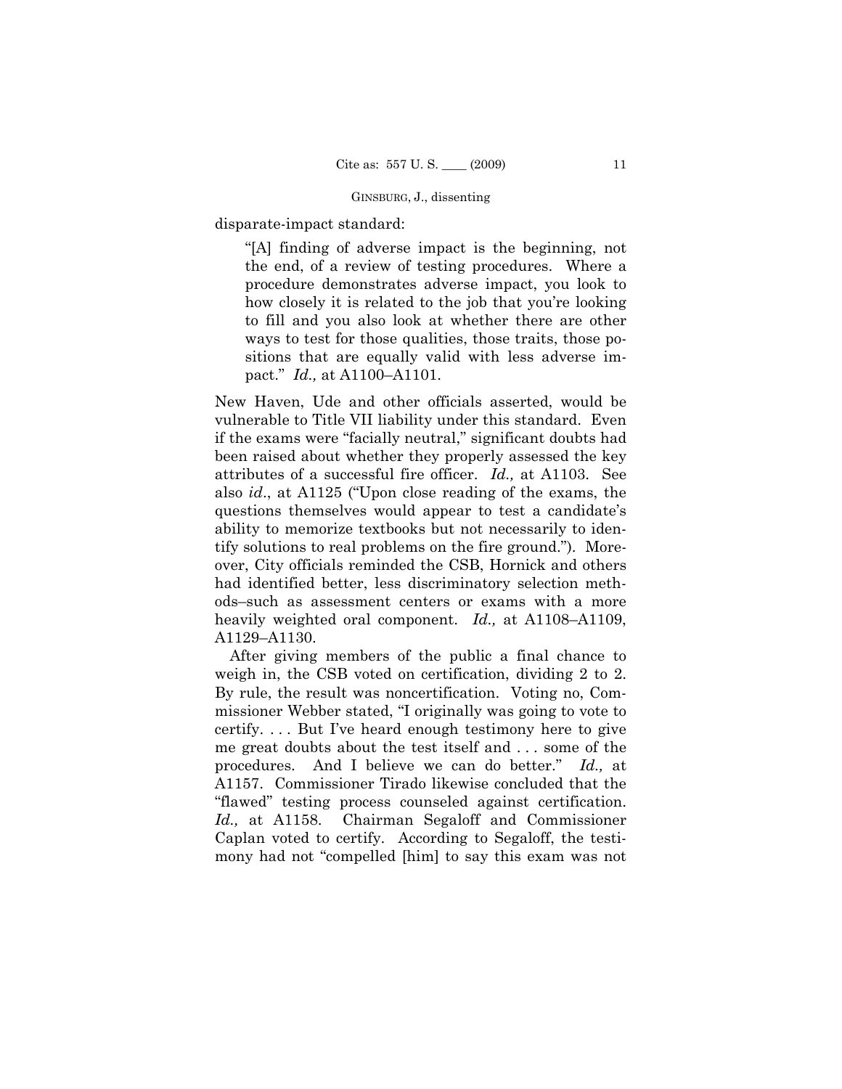disparate-impact standard:

"[A] finding of adverse impact is the beginning, not the end, of a review of testing procedures. Where a procedure demonstrates adverse impact, you look to how closely it is related to the job that you're looking to fill and you also look at whether there are other ways to test for those qualities, those traits, those positions that are equally valid with less adverse impact." *Id.,* at A1100–A1101.

New Haven, Ude and other officials asserted, would be vulnerable to Title VII liability under this standard. Even if the exams were "facially neutral," significant doubts had been raised about whether they properly assessed the key attributes of a successful fire officer. *Id.,* at A1103. See also *id*., at A1125 ("Upon close reading of the exams, the questions themselves would appear to test a candidate's ability to memorize textbooks but not necessarily to identify solutions to real problems on the fire ground."). Moreover, City officials reminded the CSB, Hornick and others had identified better, less discriminatory selection methods–such as assessment centers or exams with a more heavily weighted oral component. *Id.,* at A1108–A1109, A1129–A1130.

After giving members of the public a final chance to weigh in, the CSB voted on certification, dividing 2 to 2. By rule, the result was noncertification. Voting no, Commissioner Webber stated, "I originally was going to vote to certify. . . . But I've heard enough testimony here to give me great doubts about the test itself and . . . some of the procedures. And I believe we can do better." *Id.,* at A1157. Commissioner Tirado likewise concluded that the "flawed" testing process counseled against certification. *Id.,* at A1158. Chairman Segaloff and Commissioner Caplan voted to certify. According to Segaloff, the testimony had not "compelled [him] to say this exam was not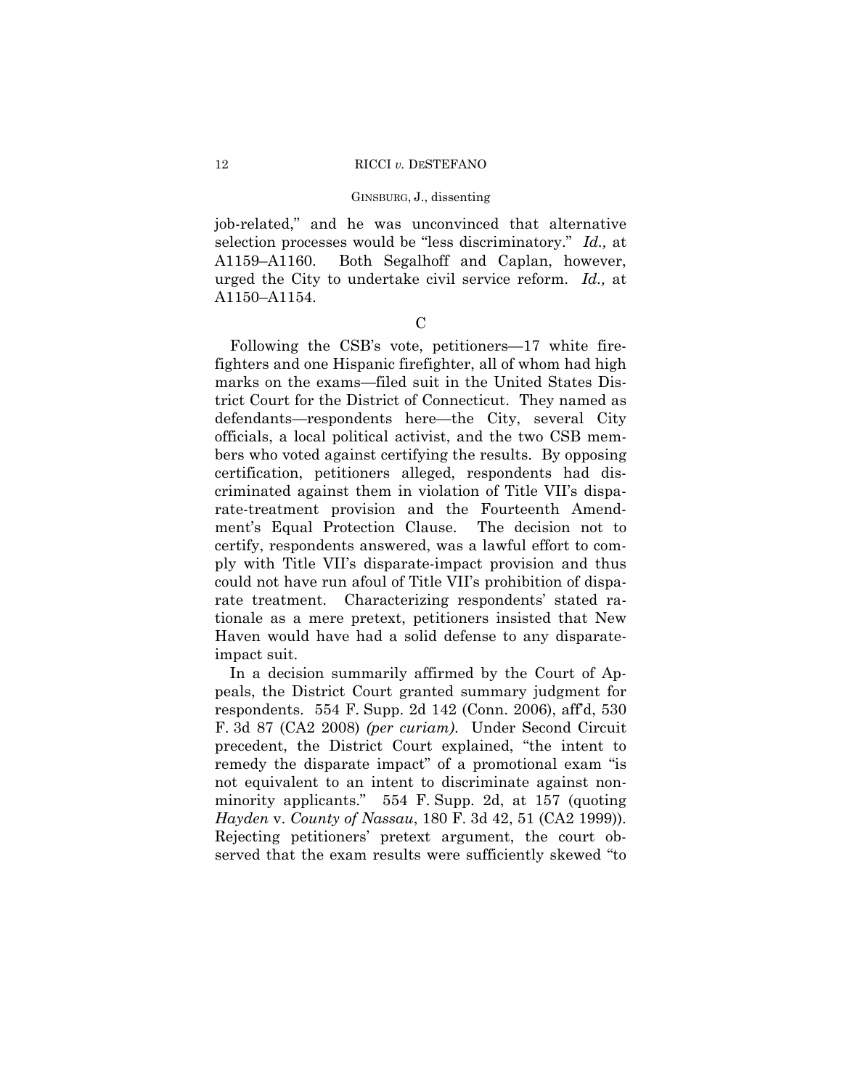job-related," and he was unconvinced that alternative selection processes would be "less discriminatory." *Id.,* at A1159–A1160. Both Segalhoff and Caplan, however, urged the City to undertake civil service reform. *Id.,* at A1150–A1154.

 $\mathcal{C}$ 

Following the CSB's vote, petitioners—17 white firefighters and one Hispanic firefighter, all of whom had high marks on the exams—filed suit in the United States District Court for the District of Connecticut. They named as defendants—respondents here—the City, several City officials, a local political activist, and the two CSB members who voted against certifying the results. By opposing certification, petitioners alleged, respondents had discriminated against them in violation of Title VII's disparate-treatment provision and the Fourteenth Amendment's Equal Protection Clause. The decision not to certify, respondents answered, was a lawful effort to comply with Title VII's disparate-impact provision and thus could not have run afoul of Title VII's prohibition of disparate treatment. Characterizing respondents' stated rationale as a mere pretext, petitioners insisted that New Haven would have had a solid defense to any disparateimpact suit.

In a decision summarily affirmed by the Court of Appeals, the District Court granted summary judgment for respondents. 554 F. Supp. 2d 142 (Conn. 2006), aff'd, 530 F. 3d 87 (CA2 2008) *(per curiam)*. Under Second Circuit precedent, the District Court explained, "the intent to remedy the disparate impact" of a promotional exam "is not equivalent to an intent to discriminate against nonminority applicants." 554 F. Supp. 2d, at 157 (quoting *Hayden* v. *County of Nassau*, 180 F. 3d 42, 51 (CA2 1999)). Rejecting petitioners' pretext argument, the court observed that the exam results were sufficiently skewed "to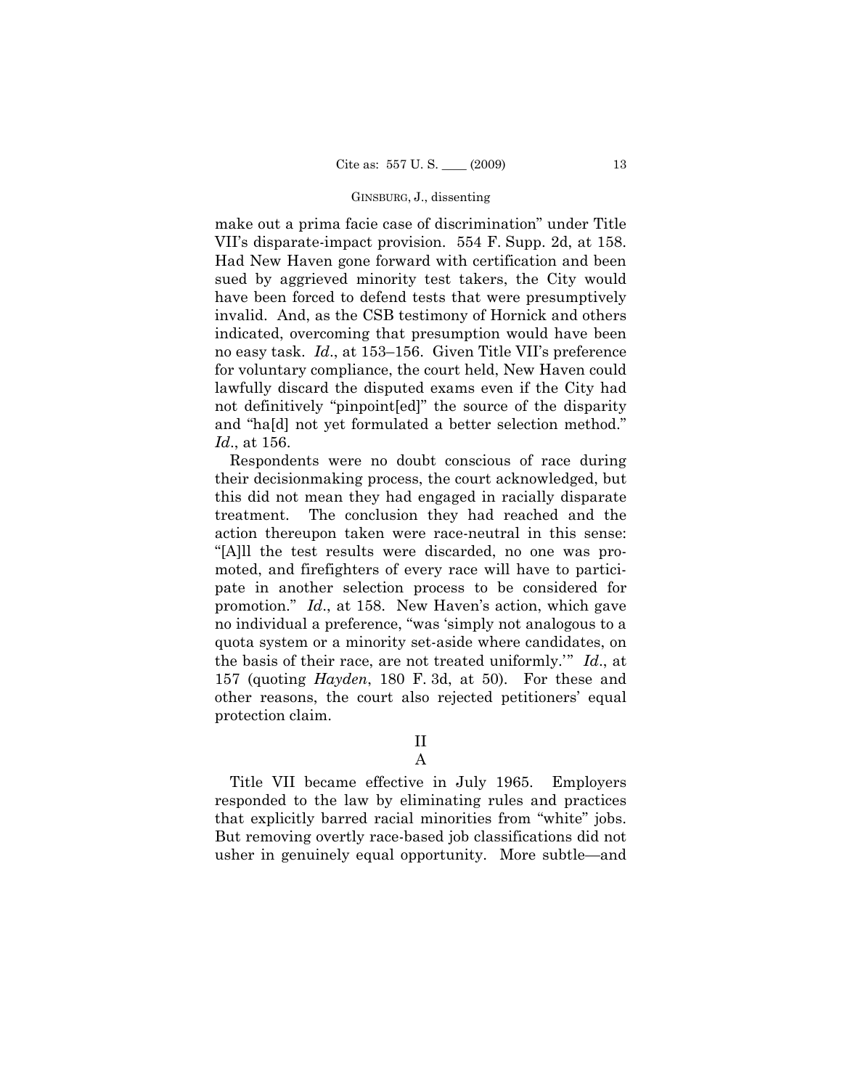make out a prima facie case of discrimination" under Title VII's disparate-impact provision. 554 F. Supp. 2d, at 158. Had New Haven gone forward with certification and been sued by aggrieved minority test takers, the City would have been forced to defend tests that were presumptively invalid. And, as the CSB testimony of Hornick and others indicated, overcoming that presumption would have been no easy task. *Id*., at 153–156. Given Title VII's preference for voluntary compliance, the court held, New Haven could lawfully discard the disputed exams even if the City had not definitively "pinpoint[ed]" the source of the disparity and "ha[d] not yet formulated a better selection method." *Id*., at 156.

Respondents were no doubt conscious of race during their decisionmaking process, the court acknowledged, but this did not mean they had engaged in racially disparate treatment. The conclusion they had reached and the action thereupon taken were race-neutral in this sense: "[A]ll the test results were discarded, no one was promoted, and firefighters of every race will have to participate in another selection process to be considered for promotion." *Id*., at 158. New Haven's action, which gave no individual a preference, "was 'simply not analogous to a quota system or a minority set-aside where candidates, on the basis of their race, are not treated uniformly.'" *Id*., at 157 (quoting *Hayden*, 180 F. 3d, at 50). For these and other reasons, the court also rejected petitioners' equal protection claim.

II

A

Title VII became effective in July 1965. Employers responded to the law by eliminating rules and practices that explicitly barred racial minorities from "white" jobs. But removing overtly race-based job classifications did not usher in genuinely equal opportunity. More subtle—and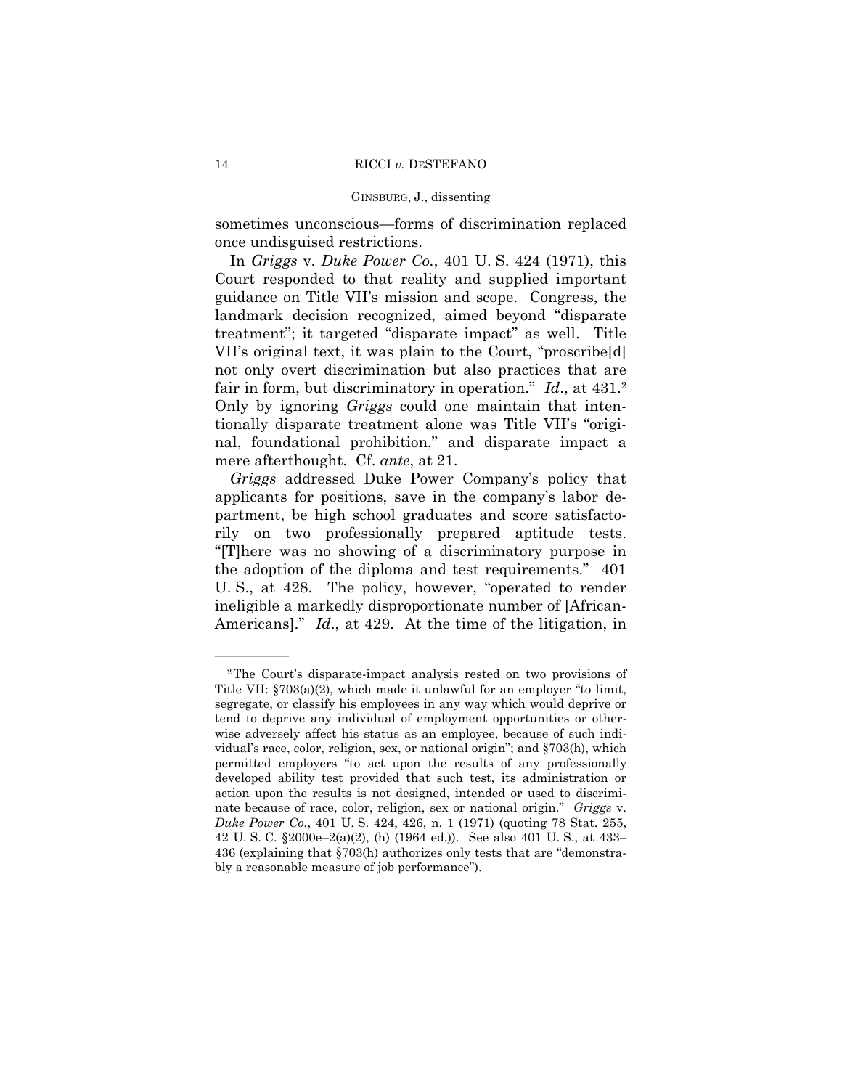sometimes unconscious—forms of discrimination replaced once undisguised restrictions.

In *Griggs* v. *Duke Power Co.*, 401 U. S. 424 (1971), this Court responded to that reality and supplied important guidance on Title VII's mission and scope. Congress, the landmark decision recognized, aimed beyond "disparate treatment"; it targeted "disparate impact" as well. Title VII's original text, it was plain to the Court, "proscribe[d] not only overt discrimination but also practices that are fair in form, but discriminatory in operation." *Id*., at 431.2 Only by ignoring *Griggs* could one maintain that intentionally disparate treatment alone was Title VII's "original, foundational prohibition," and disparate impact a mere afterthought. Cf. *ante*, at 21.

*Griggs* addressed Duke Power Company's policy that applicants for positions, save in the company's labor department, be high school graduates and score satisfactorily on two professionally prepared aptitude tests. "[T]here was no showing of a discriminatory purpose in the adoption of the diploma and test requirements." 401 U. S., at 428. The policy, however, "operated to render ineligible a markedly disproportionate number of [African-Americans]." *Id*., at 429. At the time of the litigation, in

——————

<sup>2</sup>The Court's disparate-impact analysis rested on two provisions of Title VII: §703(a)(2), which made it unlawful for an employer "to limit, segregate, or classify his employees in any way which would deprive or tend to deprive any individual of employment opportunities or otherwise adversely affect his status as an employee, because of such individual's race, color, religion, sex, or national origin"; and §703(h), which permitted employers "to act upon the results of any professionally developed ability test provided that such test, its administration or action upon the results is not designed, intended or used to discriminate because of race, color, religion, sex or national origin." *Griggs* v. *Duke Power Co.*, 401 U. S. 424, 426, n. 1 (1971) (quoting 78 Stat. 255, 42 U. S. C. §2000e–2(a)(2), (h) (1964 ed.)). See also 401 U. S., at 433– 436 (explaining that §703(h) authorizes only tests that are "demonstrably a reasonable measure of job performance").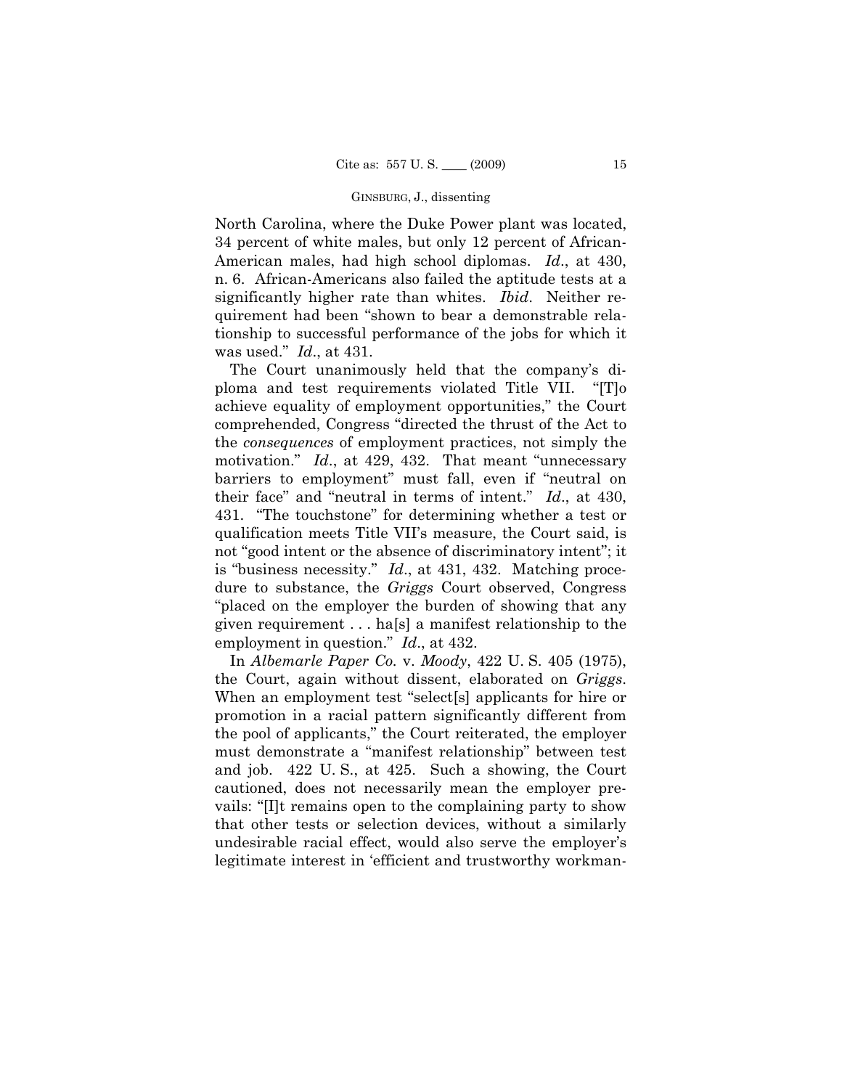North Carolina, where the Duke Power plant was located, 34 percent of white males, but only 12 percent of African-American males, had high school diplomas. *Id*., at 430, n. 6. African-Americans also failed the aptitude tests at a significantly higher rate than whites. *Ibid*. Neither requirement had been "shown to bear a demonstrable relationship to successful performance of the jobs for which it was used." *Id*., at 431.

The Court unanimously held that the company's diploma and test requirements violated Title VII. "[T]o achieve equality of employment opportunities," the Court comprehended, Congress "directed the thrust of the Act to the *consequences* of employment practices, not simply the motivation." *Id*., at 429, 432. That meant "unnecessary barriers to employment" must fall, even if "neutral on their face" and "neutral in terms of intent." *Id*., at 430, 431. "The touchstone" for determining whether a test or qualification meets Title VII's measure, the Court said, is not "good intent or the absence of discriminatory intent"; it is "business necessity." *Id*., at 431, 432. Matching procedure to substance, the *Griggs* Court observed, Congress "placed on the employer the burden of showing that any given requirement . . . ha[s] a manifest relationship to the employment in question." *Id*., at 432.

In *Albemarle Paper Co.* v. *Moody*, 422 U. S. 405 (1975), the Court, again without dissent, elaborated on *Griggs*. When an employment test "select[s] applicants for hire or promotion in a racial pattern significantly different from the pool of applicants," the Court reiterated, the employer must demonstrate a "manifest relationship" between test and job. 422 U. S., at 425. Such a showing, the Court cautioned, does not necessarily mean the employer prevails: "[I]t remains open to the complaining party to show that other tests or selection devices, without a similarly undesirable racial effect, would also serve the employer's legitimate interest in 'efficient and trustworthy workman-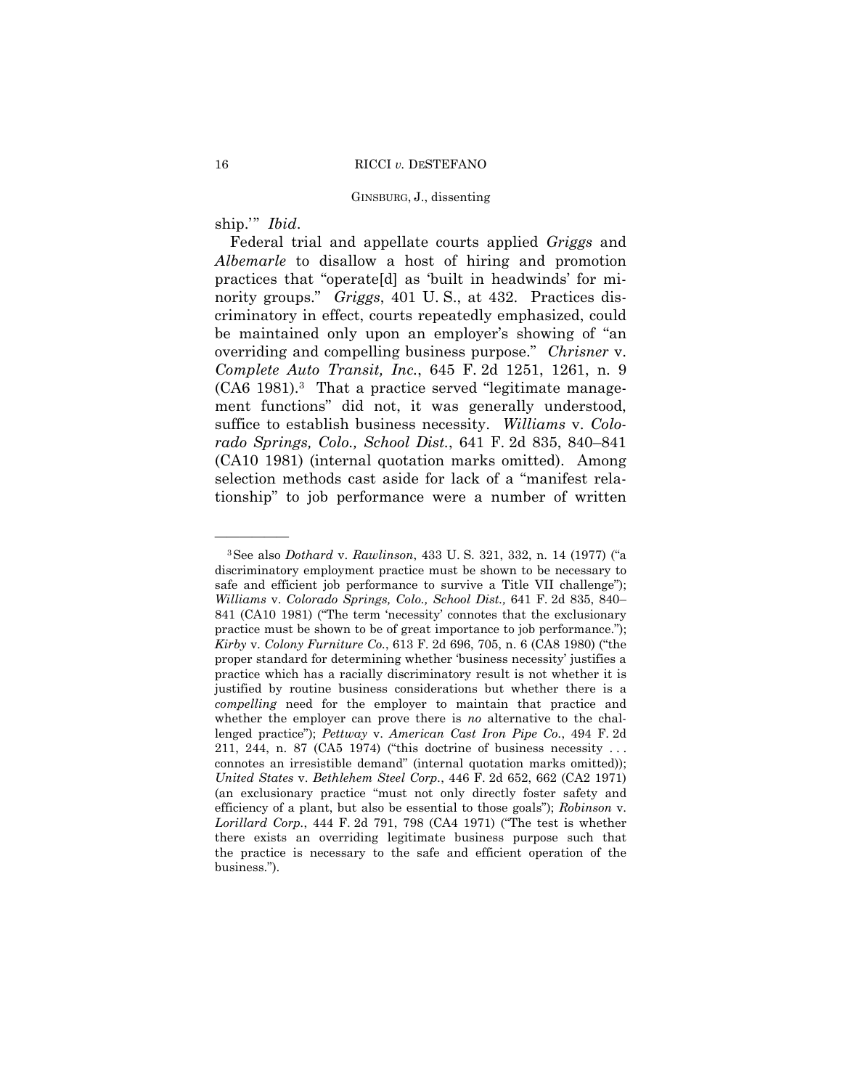ship.'" *Ibid*.

——————

Federal trial and appellate courts applied *Griggs* and *Albemarle* to disallow a host of hiring and promotion practices that "operate[d] as 'built in headwinds' for minority groups." *Griggs*, 401 U. S., at 432. Practices discriminatory in effect, courts repeatedly emphasized, could be maintained only upon an employer's showing of "an overriding and compelling business purpose." *Chrisner* v. *Complete Auto Transit, Inc.*, 645 F. 2d 1251, 1261, n. 9 (CA6 1981).3 That a practice served "legitimate management functions" did not, it was generally understood, suffice to establish business necessity. *Williams* v. *Colorado Springs, Colo., School Dist.*, 641 F. 2d 835, 840–841 (CA10 1981) (internal quotation marks omitted). Among selection methods cast aside for lack of a "manifest relationship" to job performance were a number of written

<sup>3</sup>See also *Dothard* v. *Rawlinson*, 433 U. S. 321, 332, n. 14 (1977) ("a discriminatory employment practice must be shown to be necessary to safe and efficient job performance to survive a Title VII challenge"); *Williams* v. *Colorado Springs, Colo., School Dist.,* 641 F. 2d 835, 840– 841 (CA10 1981) ("The term 'necessity' connotes that the exclusionary practice must be shown to be of great importance to job performance."); *Kirby* v. *Colony Furniture Co.*, 613 F. 2d 696, 705, n. 6 (CA8 1980) ("the proper standard for determining whether 'business necessity' justifies a practice which has a racially discriminatory result is not whether it is justified by routine business considerations but whether there is a *compelling* need for the employer to maintain that practice and whether the employer can prove there is *no* alternative to the challenged practice"); *Pettway* v. *American Cast Iron Pipe Co.*, 494 F. 2d 211, 244, n. 87 (CA5 1974) ("this doctrine of business necessity . . . connotes an irresistible demand" (internal quotation marks omitted)); *United States* v. *Bethlehem Steel Corp.*, 446 F. 2d 652, 662 (CA2 1971) (an exclusionary practice "must not only directly foster safety and efficiency of a plant, but also be essential to those goals"); *Robinson* v. *Lorillard Corp.*, 444 F. 2d 791, 798 (CA4 1971) ("The test is whether there exists an overriding legitimate business purpose such that the practice is necessary to the safe and efficient operation of the business.").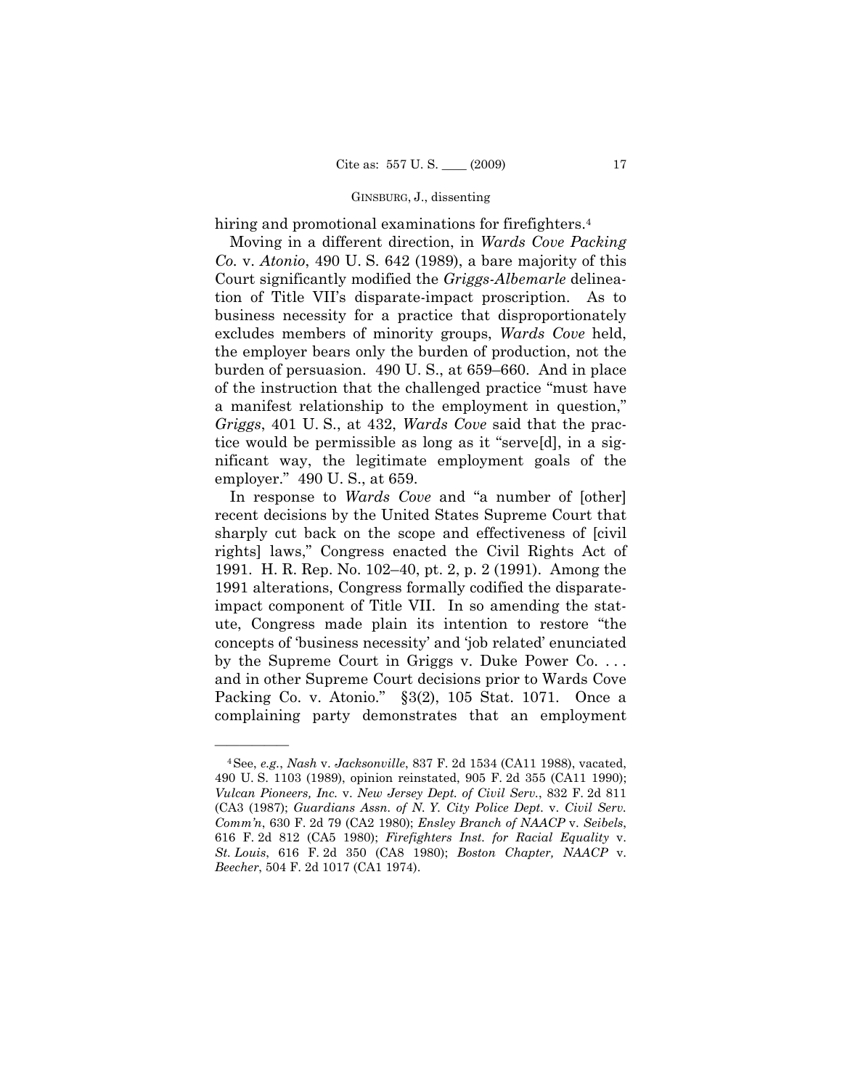hiring and promotional examinations for firefighters.<sup>4</sup>

Moving in a different direction, in *Wards Cove Packing Co.* v. *Atonio*, 490 U. S. 642 (1989), a bare majority of this Court significantly modified the *Griggs-Albemarle* delineation of Title VII's disparate-impact proscription. As to business necessity for a practice that disproportionately excludes members of minority groups, *Wards Cove* held, the employer bears only the burden of production, not the burden of persuasion. 490 U. S., at 659–660. And in place of the instruction that the challenged practice "must have a manifest relationship to the employment in question," *Griggs*, 401 U. S., at 432, *Wards Cove* said that the practice would be permissible as long as it "serve[d], in a significant way, the legitimate employment goals of the employer." 490 U. S., at 659.

In response to *Wards Cove* and "a number of [other] recent decisions by the United States Supreme Court that sharply cut back on the scope and effectiveness of [civil rights] laws," Congress enacted the Civil Rights Act of 1991. H. R. Rep. No. 102–40, pt. 2, p. 2 (1991). Among the 1991 alterations, Congress formally codified the disparateimpact component of Title VII. In so amending the statute, Congress made plain its intention to restore "the concepts of 'business necessity' and 'job related' enunciated by the Supreme Court in Griggs v. Duke Power Co. . . . and in other Supreme Court decisions prior to Wards Cove Packing Co. v. Atonio." §3(2), 105 Stat. 1071. Once a complaining party demonstrates that an employment

——————

<sup>4</sup>See, *e.g.*, *Nash* v. *Jacksonville*, 837 F. 2d 1534 (CA11 1988), vacated, 490 U. S. 1103 (1989), opinion reinstated, 905 F. 2d 355 (CA11 1990); *Vulcan Pioneers, Inc.* v. *New Jersey Dept. of Civil Serv.*, 832 F. 2d 811 (CA3 (1987); *Guardians Assn. of N. Y. City Police Dept.* v. *Civil Serv. Comm'n*, 630 F. 2d 79 (CA2 1980); *Ensley Branch of NAACP* v. *Seibels*, 616 F. 2d 812 (CA5 1980); *Firefighters Inst. for Racial Equality* v. *St. Louis*, 616 F. 2d 350 (CA8 1980); *Boston Chapter, NAACP* v. *Beecher*, 504 F. 2d 1017 (CA1 1974).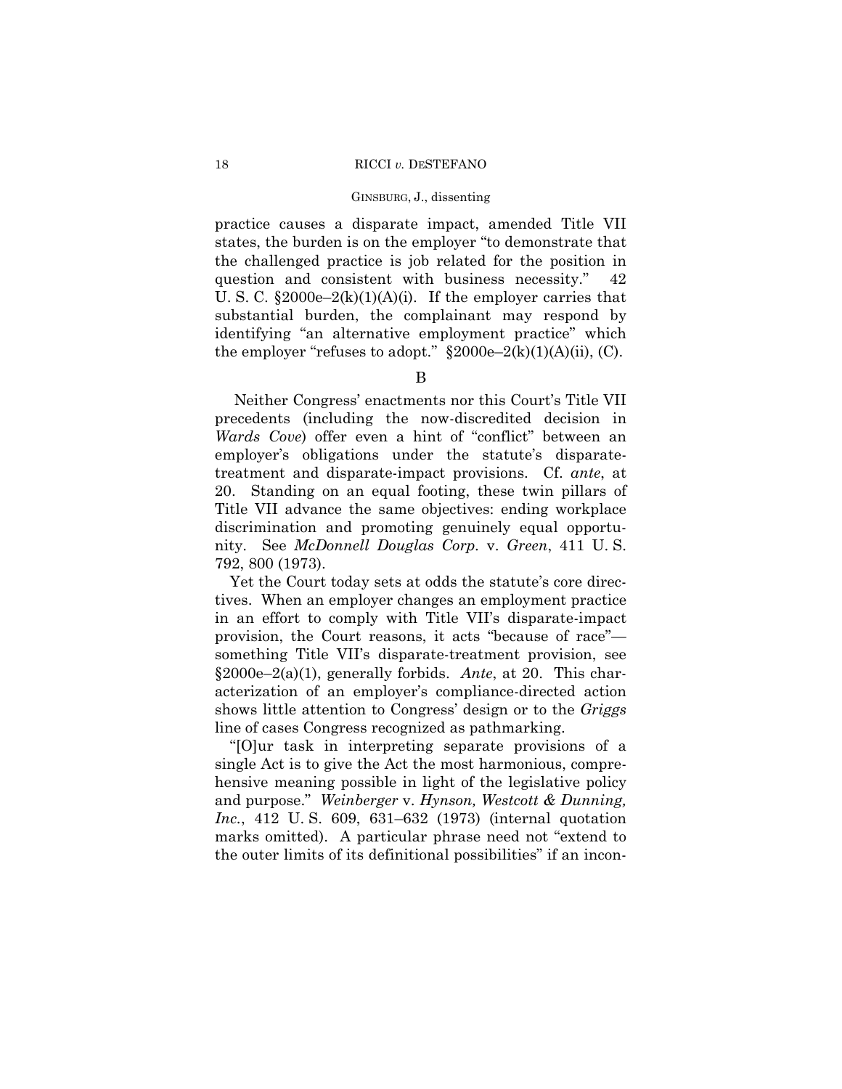practice causes a disparate impact, amended Title VII states, the burden is on the employer "to demonstrate that the challenged practice is job related for the position in question and consistent with business necessity." 42 U. S. C.  $\S2000e-2(k)(1)(A)(i)$ . If the employer carries that substantial burden, the complainant may respond by identifying "an alternative employment practice" which the employer "refuses to adopt."  $\S 2000e-2(k)(1)(A)(ii)$ , (C).

B

Neither Congress' enactments nor this Court's Title VII precedents (including the now-discredited decision in *Wards Cove*) offer even a hint of "conflict" between an employer's obligations under the statute's disparatetreatment and disparate-impact provisions. Cf. *ante*, at 20. Standing on an equal footing, these twin pillars of Title VII advance the same objectives: ending workplace discrimination and promoting genuinely equal opportunity. See *McDonnell Douglas Corp.* v. *Green*, 411 U. S. 792, 800 (1973).

Yet the Court today sets at odds the statute's core directives. When an employer changes an employment practice in an effort to comply with Title VII's disparate-impact provision, the Court reasons, it acts "because of race" something Title VII's disparate-treatment provision, see §2000e–2(a)(1), generally forbids. *Ante*, at 20. This characterization of an employer's compliance-directed action shows little attention to Congress' design or to the *Griggs*  line of cases Congress recognized as pathmarking.

"[O]ur task in interpreting separate provisions of a single Act is to give the Act the most harmonious, comprehensive meaning possible in light of the legislative policy and purpose." *Weinberger* v. *Hynson, Westcott & Dunning, Inc.*, 412 U. S. 609, 631–632 (1973) (internal quotation marks omitted). A particular phrase need not "extend to the outer limits of its definitional possibilities" if an incon-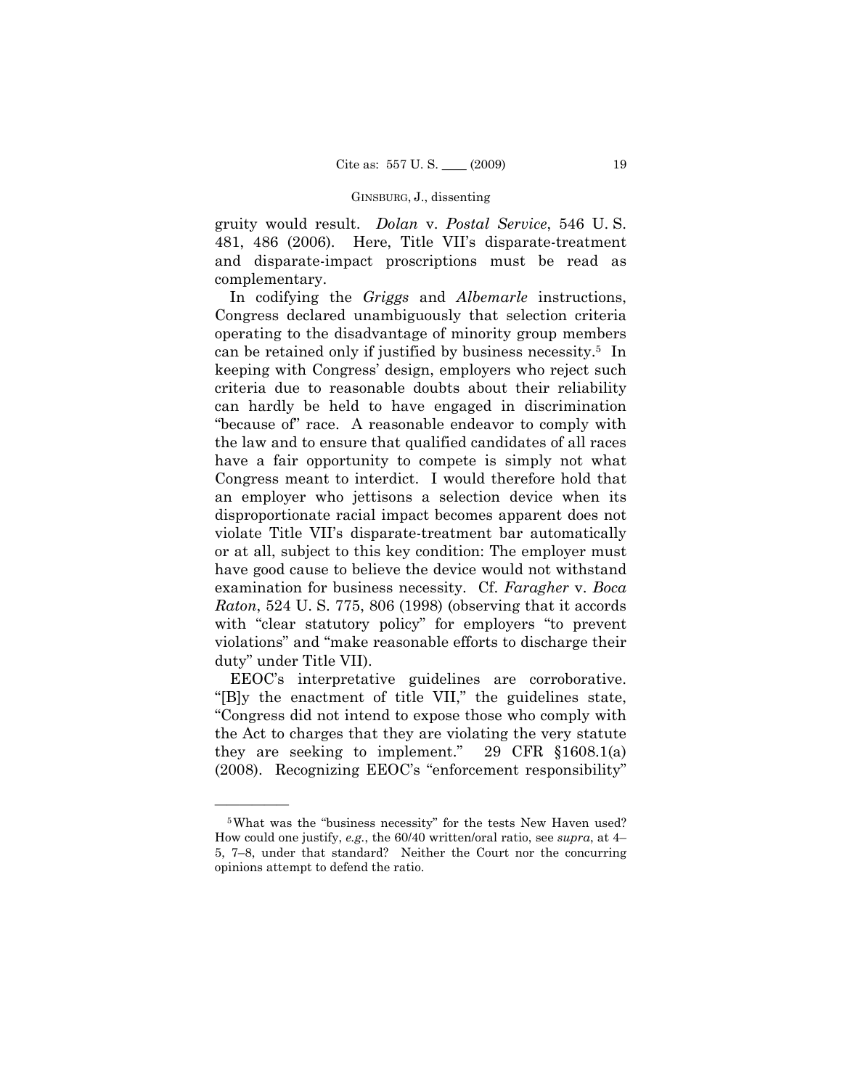gruity would result. *Dolan* v. *Postal Service*, 546 U. S. 481, 486 (2006). Here, Title VII's disparate-treatment and disparate-impact proscriptions must be read as complementary.

In codifying the *Griggs* and *Albemarle* instructions, Congress declared unambiguously that selection criteria operating to the disadvantage of minority group members can be retained only if justified by business necessity.5 In keeping with Congress' design, employers who reject such criteria due to reasonable doubts about their reliability can hardly be held to have engaged in discrimination "because of" race. A reasonable endeavor to comply with the law and to ensure that qualified candidates of all races have a fair opportunity to compete is simply not what Congress meant to interdict. I would therefore hold that an employer who jettisons a selection device when its disproportionate racial impact becomes apparent does not violate Title VII's disparate-treatment bar automatically or at all, subject to this key condition: The employer must have good cause to believe the device would not withstand examination for business necessity. Cf. *Faragher* v. *Boca Raton*, 524 U. S. 775, 806 (1998) (observing that it accords with "clear statutory policy" for employers "to prevent violations" and "make reasonable efforts to discharge their duty" under Title VII).

EEOC's interpretative guidelines are corroborative. "[B]y the enactment of title VII," the guidelines state, "Congress did not intend to expose those who comply with the Act to charges that they are violating the very statute they are seeking to implement." 29 CFR  $$1608.1(a)$ (2008). Recognizing EEOC's "enforcement responsibility"

<sup>5</sup>What was the "business necessity" for the tests New Haven used? How could one justify, *e.g.*, the 60/40 written/oral ratio, see *supra*, at 4– 5, 7–8, under that standard? Neither the Court nor the concurring opinions attempt to defend the ratio.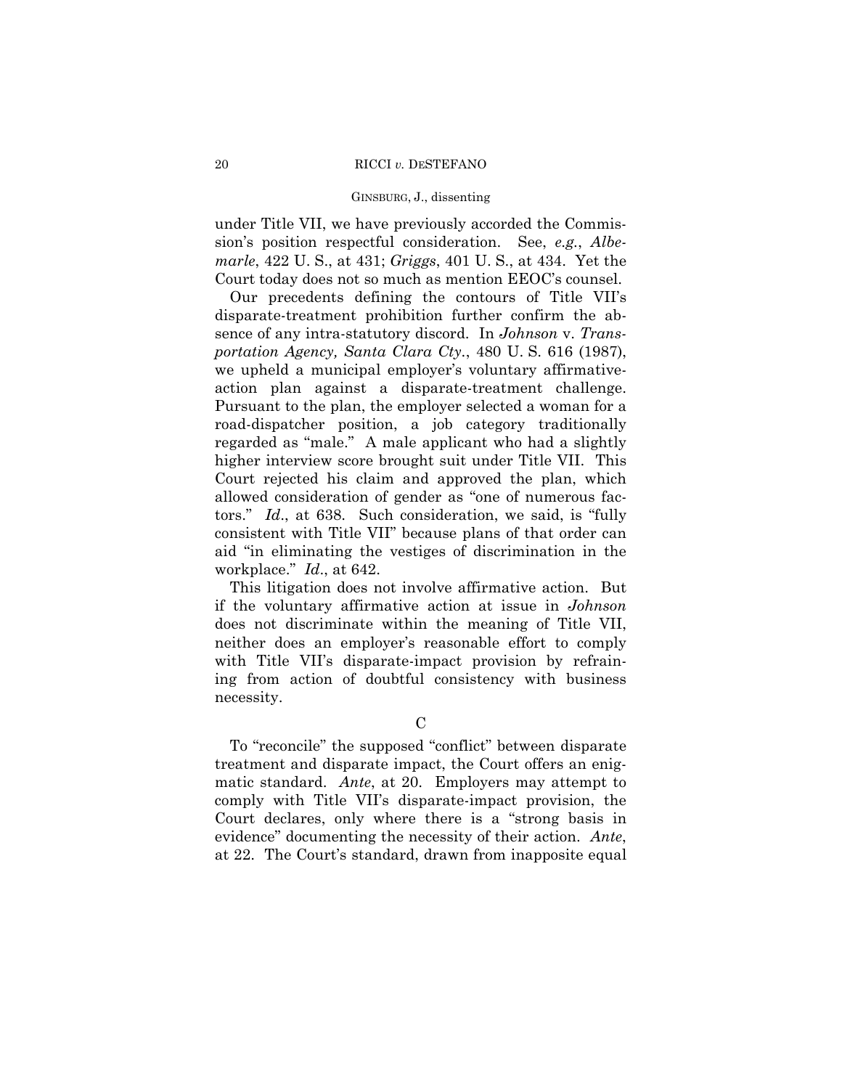# GINSBURG, J., dissenting

under Title VII, we have previously accorded the Commission's position respectful consideration. See, *e.g.*, *Albemarle*, 422 U. S., at 431; *Griggs*, 401 U. S., at 434. Yet the Court today does not so much as mention EEOC's counsel.

Our precedents defining the contours of Title VII's disparate-treatment prohibition further confirm the absence of any intra-statutory discord. In *Johnson* v. *Transportation Agency, Santa Clara Cty.*, 480 U. S. 616 (1987), we upheld a municipal employer's voluntary affirmativeaction plan against a disparate-treatment challenge. Pursuant to the plan, the employer selected a woman for a road-dispatcher position, a job category traditionally regarded as "male." A male applicant who had a slightly higher interview score brought suit under Title VII. This Court rejected his claim and approved the plan, which allowed consideration of gender as "one of numerous factors." *Id*., at 638. Such consideration, we said, is "fully consistent with Title VII" because plans of that order can aid "in eliminating the vestiges of discrimination in the workplace." *Id*., at 642.

This litigation does not involve affirmative action. But if the voluntary affirmative action at issue in *Johnson*  does not discriminate within the meaning of Title VII, neither does an employer's reasonable effort to comply with Title VII's disparate-impact provision by refraining from action of doubtful consistency with business necessity.

 $\mathcal{C}$ 

To "reconcile" the supposed "conflict" between disparate treatment and disparate impact, the Court offers an enigmatic standard. *Ante*, at 20. Employers may attempt to comply with Title VII's disparate-impact provision, the Court declares, only where there is a "strong basis in evidence" documenting the necessity of their action. *Ante*, at 22. The Court's standard, drawn from inapposite equal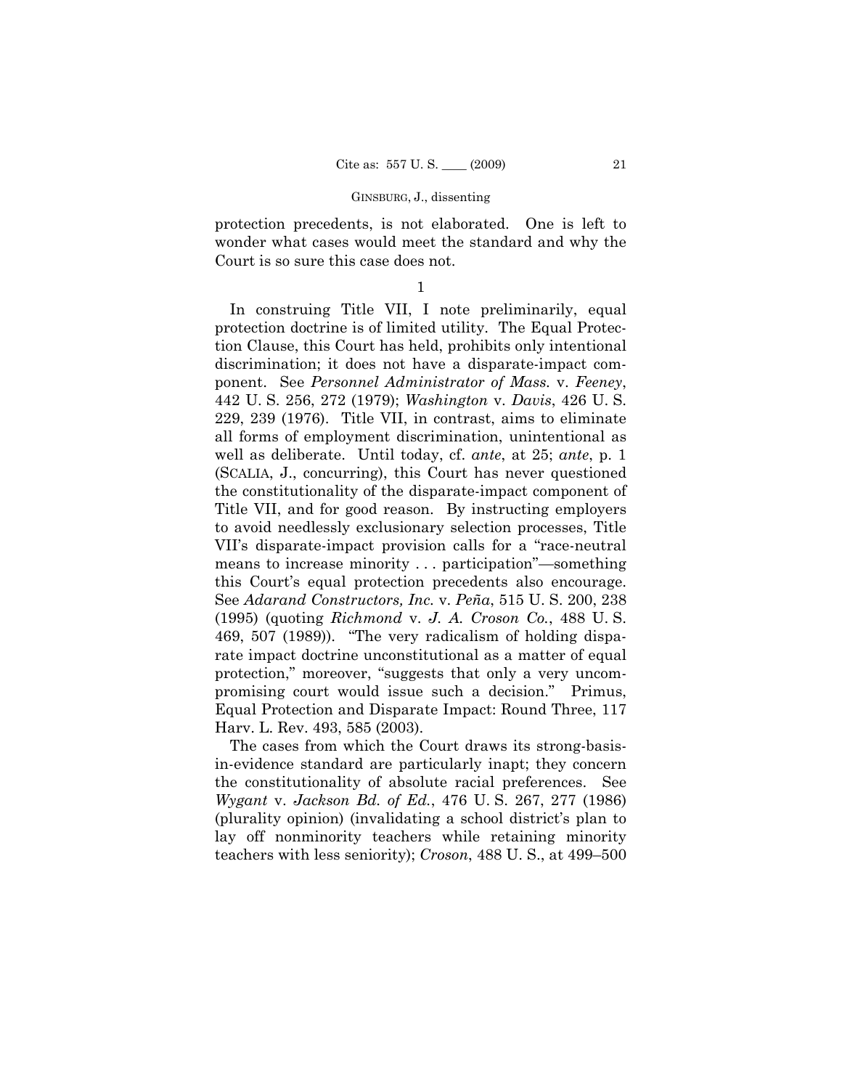protection precedents, is not elaborated. One is left to wonder what cases would meet the standard and why the Court is so sure this case does not.

1

In construing Title VII, I note preliminarily, equal protection doctrine is of limited utility. The Equal Protection Clause, this Court has held, prohibits only intentional discrimination; it does not have a disparate-impact component. See *Personnel Administrator of Mass.* v. *Feeney*, 442 U. S. 256, 272 (1979); *Washington* v. *Davis*, 426 U. S. 229, 239 (1976). Title VII, in contrast, aims to eliminate all forms of employment discrimination, unintentional as well as deliberate. Until today, cf. *ante*, at 25; *ante*, p. 1 (SCALIA, J., concurring), this Court has never questioned the constitutionality of the disparate-impact component of Title VII, and for good reason. By instructing employers to avoid needlessly exclusionary selection processes, Title VII's disparate-impact provision calls for a "race-neutral means to increase minority . . . participation"—something this Court's equal protection precedents also encourage. See *Adarand Constructors, Inc.* v. *Peña*, 515 U. S. 200, 238 (1995) (quoting *Richmond* v. *J. A. Croson Co.*, 488 U. S. 469, 507 (1989)). "The very radicalism of holding disparate impact doctrine unconstitutional as a matter of equal protection," moreover, "suggests that only a very uncompromising court would issue such a decision." Primus, Equal Protection and Disparate Impact: Round Three, 117 Harv. L. Rev. 493, 585 (2003).

The cases from which the Court draws its strong-basisin-evidence standard are particularly inapt; they concern the constitutionality of absolute racial preferences. See *Wygant* v. *Jackson Bd. of Ed.*, 476 U. S. 267, 277 (1986) (plurality opinion) (invalidating a school district's plan to lay off nonminority teachers while retaining minority teachers with less seniority); *Croson*, 488 U. S., at 499–500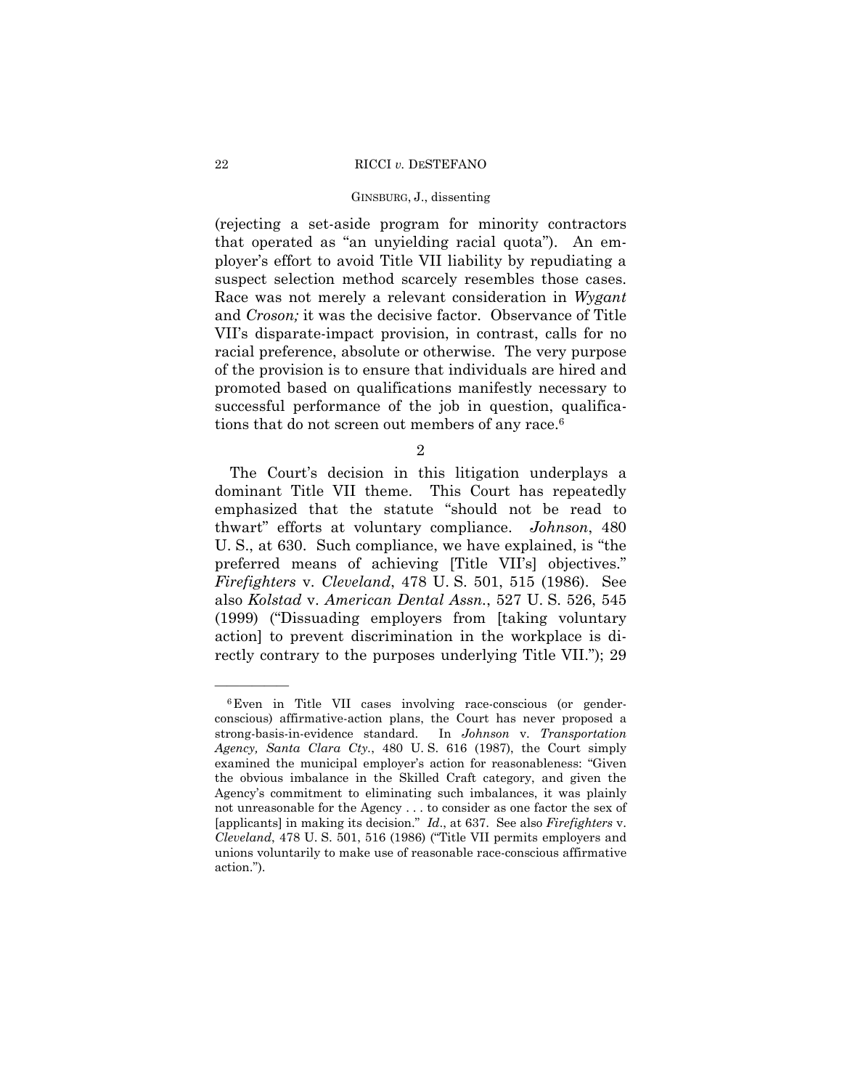# GINSBURG, J., dissenting

(rejecting a set-aside program for minority contractors that operated as "an unyielding racial quota"). An employer's effort to avoid Title VII liability by repudiating a suspect selection method scarcely resembles those cases. Race was not merely a relevant consideration in *Wygant*  and *Croson;* it was the decisive factor. Observance of Title VII's disparate-impact provision, in contrast, calls for no racial preference, absolute or otherwise. The very purpose of the provision is to ensure that individuals are hired and promoted based on qualifications manifestly necessary to successful performance of the job in question, qualifications that do not screen out members of any race.<sup>6</sup>

2

The Court's decision in this litigation underplays a dominant Title VII theme. This Court has repeatedly emphasized that the statute "should not be read to thwart" efforts at voluntary compliance. *Johnson*, 480 U. S., at 630. Such compliance, we have explained, is "the preferred means of achieving [Title VII's] objectives." *Firefighters* v. *Cleveland*, 478 U. S. 501, 515 (1986). See also *Kolstad* v. *American Dental Assn.*, 527 U. S. 526, 545 (1999) ("Dissuading employers from [taking voluntary action] to prevent discrimination in the workplace is directly contrary to the purposes underlying Title VII."); 29

<sup>6</sup>Even in Title VII cases involving race-conscious (or genderconscious) affirmative-action plans, the Court has never proposed a strong-basis-in-evidence standard. In *Johnson* v. *Transportation Agency, Santa Clara Cty.*, 480 U. S. 616 (1987), the Court simply examined the municipal employer's action for reasonableness: "Given the obvious imbalance in the Skilled Craft category, and given the Agency's commitment to eliminating such imbalances, it was plainly not unreasonable for the Agency . . . to consider as one factor the sex of [applicants] in making its decision." *Id*., at 637. See also *Firefighters* v. *Cleveland*, 478 U. S. 501, 516 (1986) ("Title VII permits employers and unions voluntarily to make use of reasonable race-conscious affirmative action.").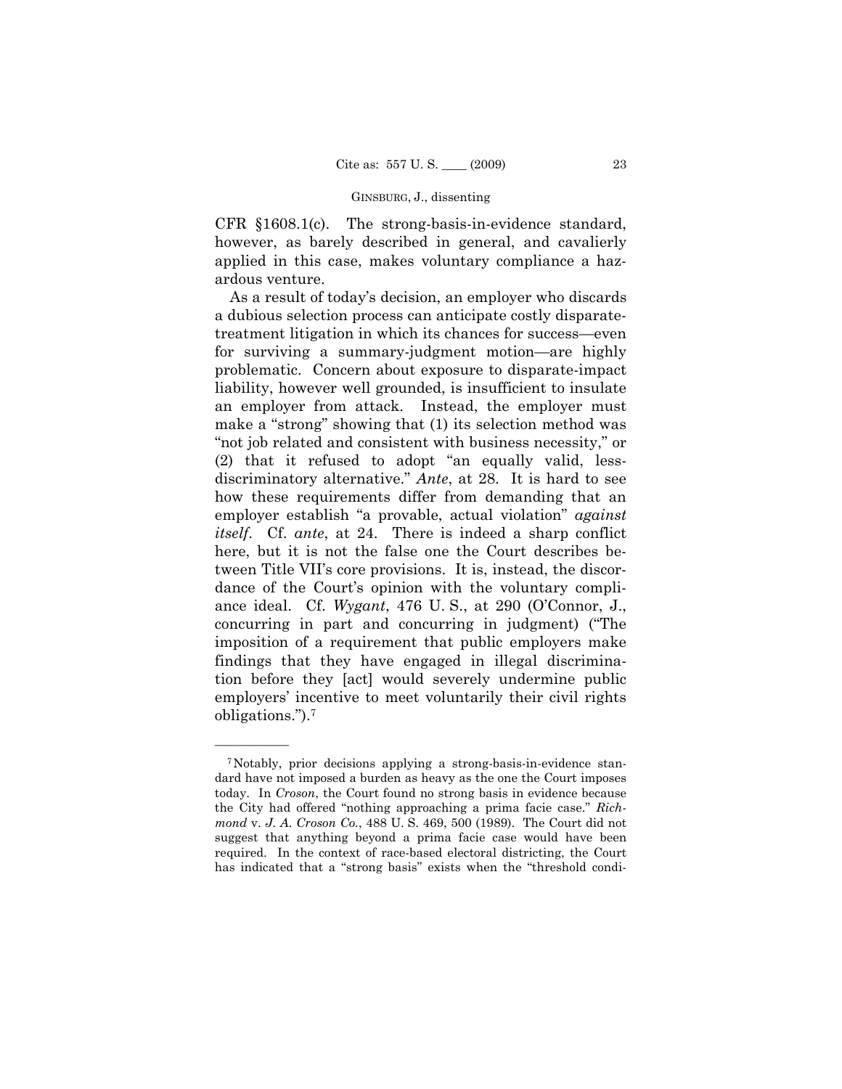CFR §1608.1(c). The strong-basis-in-evidence standard, however, as barely described in general, and cavalierly applied in this case, makes voluntary compliance a hazardous venture.

As a result of today's decision, an employer who discards a dubious selection process can anticipate costly disparatetreatment litigation in which its chances for success—even for surviving a summary-judgment motion—are highly problematic. Concern about exposure to disparate-impact liability, however well grounded, is insufficient to insulate an employer from attack. Instead, the employer must make a "strong" showing that (1) its selection method was "not job related and consistent with business necessity," or (2) that it refused to adopt "an equally valid, lessdiscriminatory alternative." *Ante*, at 28. It is hard to see how these requirements differ from demanding that an employer establish "a provable, actual violation" *against itself*. Cf. *ante*, at 24. There is indeed a sharp conflict here, but it is not the false one the Court describes between Title VII's core provisions. It is, instead, the discordance of the Court's opinion with the voluntary compliance ideal. Cf. *Wygant*, 476 U. S., at 290 (O'Connor, J., concurring in part and concurring in judgment) ("The imposition of a requirement that public employers make findings that they have engaged in illegal discrimination before they [act] would severely undermine public employers' incentive to meet voluntarily their civil rights obligations.").7

<sup>7</sup>Notably, prior decisions applying a strong-basis-in-evidence standard have not imposed a burden as heavy as the one the Court imposes today. In *Croson*, the Court found no strong basis in evidence because the City had offered "nothing approaching a prima facie case." *Richmond* v. *J. A. Croson Co.*, 488 U. S. 469, 500 (1989). The Court did not suggest that anything beyond a prima facie case would have been required. In the context of race-based electoral districting, the Court has indicated that a "strong basis" exists when the "threshold condi-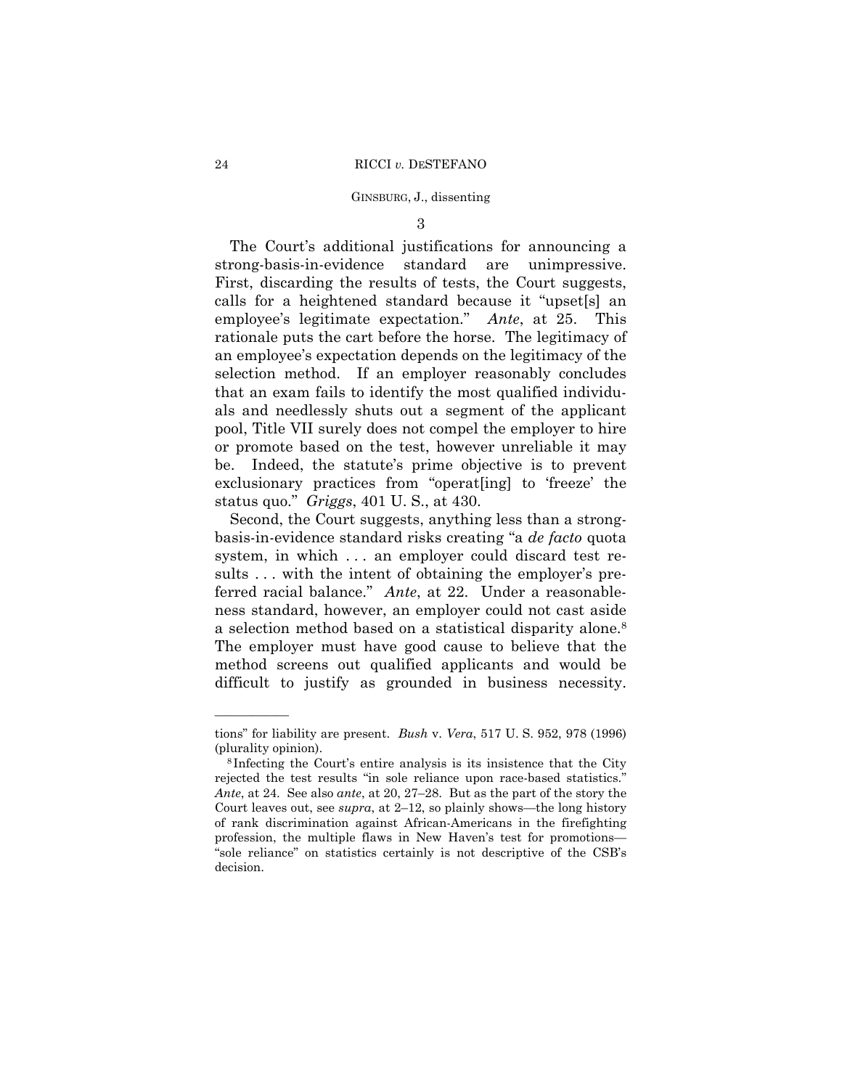3

The Court's additional justifications for announcing a strong-basis-in-evidence standard are unimpressive. First, discarding the results of tests, the Court suggests, calls for a heightened standard because it "upset[s] an employee's legitimate expectation." *Ante*, at 25. This rationale puts the cart before the horse. The legitimacy of an employee's expectation depends on the legitimacy of the selection method. If an employer reasonably concludes that an exam fails to identify the most qualified individuals and needlessly shuts out a segment of the applicant pool, Title VII surely does not compel the employer to hire or promote based on the test, however unreliable it may be. Indeed, the statute's prime objective is to prevent exclusionary practices from "operat[ing] to 'freeze' the status quo." *Griggs*, 401 U. S., at 430.

Second, the Court suggests, anything less than a strongbasis-in-evidence standard risks creating "a *de facto* quota system, in which . . . an employer could discard test results ... with the intent of obtaining the employer's preferred racial balance." *Ante*, at 22. Under a reasonableness standard, however, an employer could not cast aside a selection method based on a statistical disparity alone.8 The employer must have good cause to believe that the method screens out qualified applicants and would be difficult to justify as grounded in business necessity.

tions" for liability are present. *Bush* v. *Vera*, 517 U. S. 952, 978 (1996) (plurality opinion). 8 Infecting the Court's entire analysis is its insistence that the City

rejected the test results "in sole reliance upon race-based statistics." *Ante*, at 24. See also *ante*, at 20, 27–28. But as the part of the story the Court leaves out, see *supra*, at 2–12, so plainly shows—the long history of rank discrimination against African-Americans in the firefighting profession, the multiple flaws in New Haven's test for promotions— "sole reliance" on statistics certainly is not descriptive of the CSB's decision.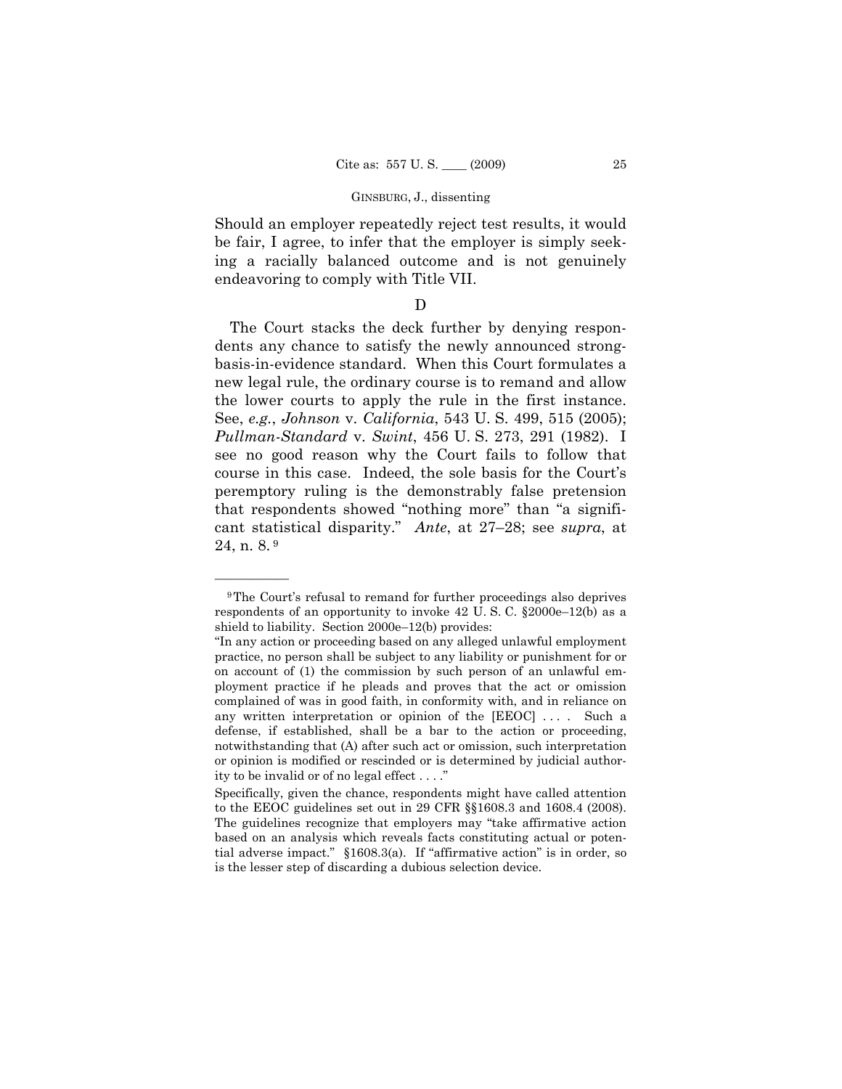Should an employer repeatedly reject test results, it would be fair, I agree, to infer that the employer is simply seeking a racially balanced outcome and is not genuinely endeavoring to comply with Title VII.

# D

The Court stacks the deck further by denying respondents any chance to satisfy the newly announced strongbasis-in-evidence standard. When this Court formulates a new legal rule, the ordinary course is to remand and allow the lower courts to apply the rule in the first instance. See, *e.g.*, *Johnson* v. *California*, 543 U. S. 499, 515 (2005); *Pullman-Standard* v. *Swint*, 456 U. S. 273, 291 (1982). I see no good reason why the Court fails to follow that course in this case. Indeed, the sole basis for the Court's peremptory ruling is the demonstrably false pretension that respondents showed "nothing more" than "a significant statistical disparity." *Ante*, at 27–28; see *supra*, at 24, n. 8. 9

<sup>9</sup>The Court's refusal to remand for further proceedings also deprives respondents of an opportunity to invoke 42 U. S. C. §2000e–12(b) as a shield to liability. Section 2000e–12(b) provides:

<sup>&</sup>quot;In any action or proceeding based on any alleged unlawful employment practice, no person shall be subject to any liability or punishment for or on account of (1) the commission by such person of an unlawful employment practice if he pleads and proves that the act or omission complained of was in good faith, in conformity with, and in reliance on any written interpretation or opinion of the [EEOC] . . . . Such a defense, if established, shall be a bar to the action or proceeding, notwithstanding that (A) after such act or omission, such interpretation or opinion is modified or rescinded or is determined by judicial authority to be invalid or of no legal effect  $\dots$ .

Specifically, given the chance, respondents might have called attention to the EEOC guidelines set out in 29 CFR §§1608.3 and 1608.4 (2008). The guidelines recognize that employers may "take affirmative action based on an analysis which reveals facts constituting actual or potential adverse impact." §1608.3(a). If "affirmative action" is in order, so is the lesser step of discarding a dubious selection device.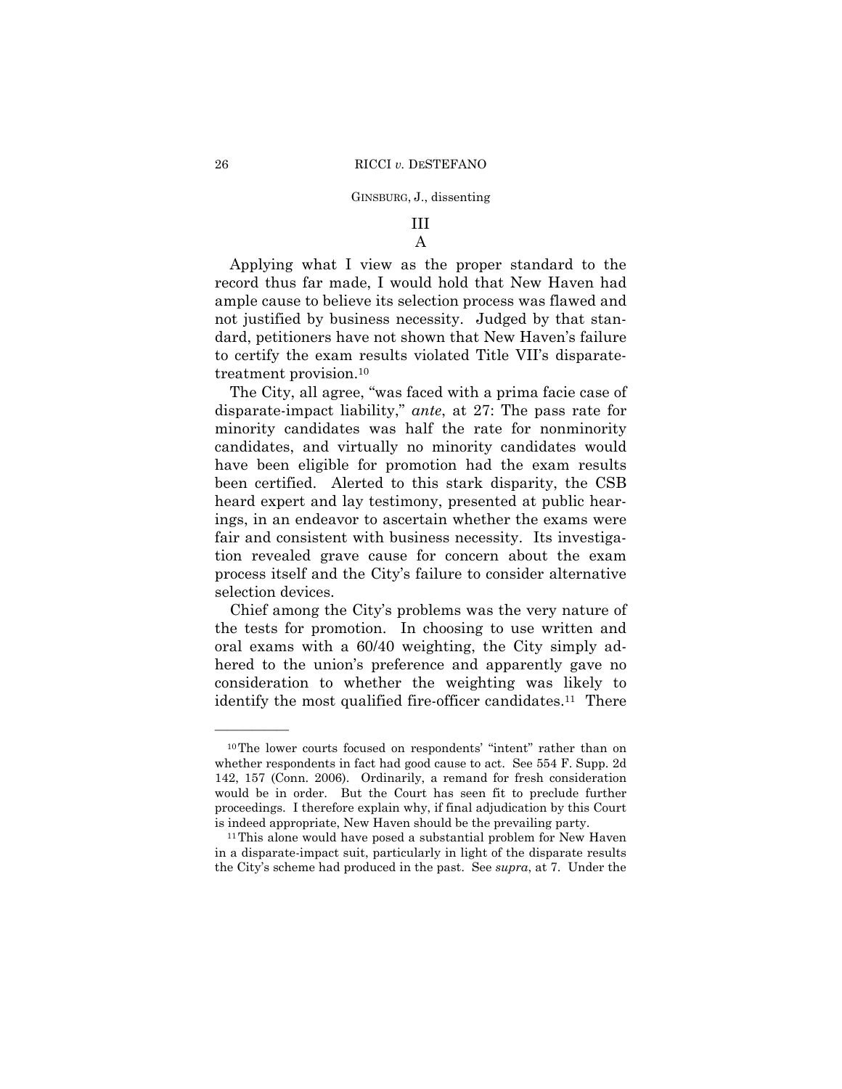# III A

# Applying what I view as the proper standard to the record thus far made, I would hold that New Haven had ample cause to believe its selection process was flawed and not justified by business necessity. Judged by that standard, petitioners have not shown that New Haven's failure to certify the exam results violated Title VII's disparatetreatment provision.<sup>10</sup>

The City, all agree, "was faced with a prima facie case of disparate-impact liability," *ante*, at 27: The pass rate for minority candidates was half the rate for nonminority candidates, and virtually no minority candidates would have been eligible for promotion had the exam results been certified. Alerted to this stark disparity, the CSB heard expert and lay testimony, presented at public hearings, in an endeavor to ascertain whether the exams were fair and consistent with business necessity. Its investigation revealed grave cause for concern about the exam process itself and the City's failure to consider alternative selection devices.

Chief among the City's problems was the very nature of the tests for promotion. In choosing to use written and oral exams with a 60/40 weighting, the City simply adhered to the union's preference and apparently gave no consideration to whether the weighting was likely to identify the most qualified fire-officer candidates.<sup>11</sup> There

<sup>10</sup>The lower courts focused on respondents' "intent" rather than on whether respondents in fact had good cause to act. See 554 F. Supp. 2d 142, 157 (Conn. 2006). Ordinarily, a remand for fresh consideration would be in order. But the Court has seen fit to preclude further proceedings. I therefore explain why, if final adjudication by this Court is indeed appropriate, New Haven should be the prevailing party.<br><sup>11</sup>This alone would have posed a substantial problem for New Haven

in a disparate-impact suit, particularly in light of the disparate results the City's scheme had produced in the past. See *supra*, at 7. Under the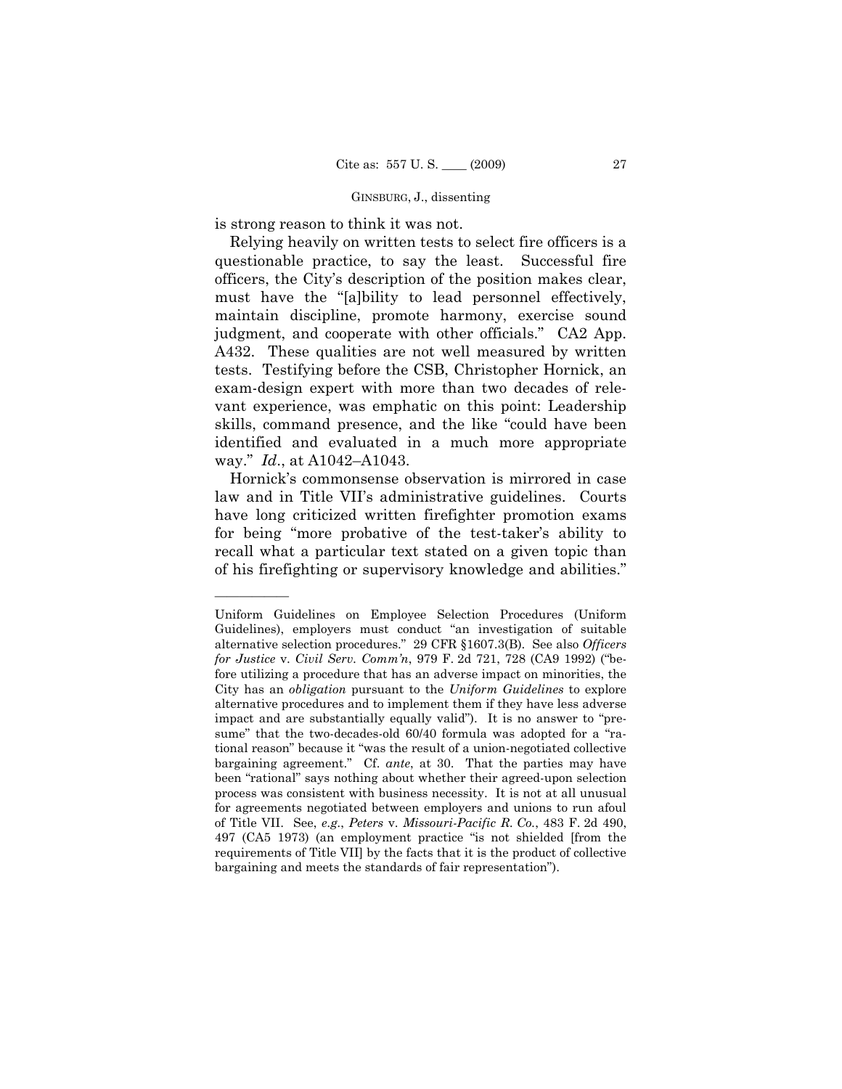is strong reason to think it was not.

——————

Relying heavily on written tests to select fire officers is a questionable practice, to say the least. Successful fire officers, the City's description of the position makes clear, must have the "[a]bility to lead personnel effectively, maintain discipline, promote harmony, exercise sound judgment, and cooperate with other officials." CA2 App. A432. These qualities are not well measured by written tests. Testifying before the CSB, Christopher Hornick, an exam-design expert with more than two decades of relevant experience, was emphatic on this point: Leadership skills, command presence, and the like "could have been identified and evaluated in a much more appropriate way." *Id*., at A1042–A1043.

Hornick's commonsense observation is mirrored in case law and in Title VII's administrative guidelines. Courts have long criticized written firefighter promotion exams for being "more probative of the test-taker's ability to recall what a particular text stated on a given topic than of his firefighting or supervisory knowledge and abilities."

Uniform Guidelines on Employee Selection Procedures (Uniform Guidelines), employers must conduct "an investigation of suitable alternative selection procedures." 29 CFR §1607.3(B). See also *Officers for Justice* v. *Civil Serv. Comm'n*, 979 F. 2d 721, 728 (CA9 1992) ("before utilizing a procedure that has an adverse impact on minorities, the City has an *obligation* pursuant to the *Uniform Guidelines* to explore alternative procedures and to implement them if they have less adverse impact and are substantially equally valid"). It is no answer to "presume" that the two-decades-old 60/40 formula was adopted for a "rational reason" because it "was the result of a union-negotiated collective bargaining agreement." Cf. *ante*, at 30. That the parties may have been "rational" says nothing about whether their agreed-upon selection process was consistent with business necessity. It is not at all unusual for agreements negotiated between employers and unions to run afoul of Title VII. See, *e.g.*, *Peters* v. *Missouri-Pacific R. Co.*, 483 F. 2d 490, 497 (CA5 1973) (an employment practice "is not shielded [from the requirements of Title VII] by the facts that it is the product of collective bargaining and meets the standards of fair representation").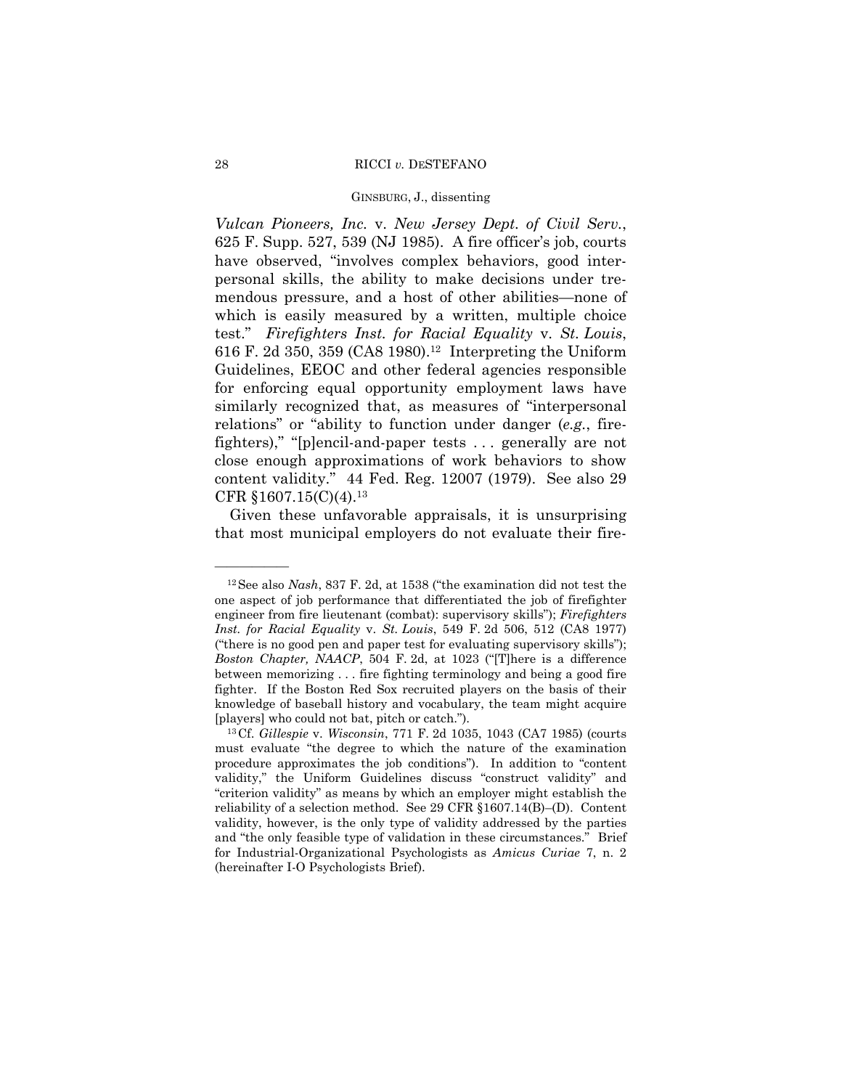# GINSBURG, J., dissenting

*Vulcan Pioneers, Inc.* v. *New Jersey Dept. of Civil Serv.*, 625 F. Supp. 527, 539 (NJ 1985). A fire officer's job, courts have observed, "involves complex behaviors, good interpersonal skills, the ability to make decisions under tremendous pressure, and a host of other abilities—none of which is easily measured by a written, multiple choice test." *Firefighters Inst. for Racial Equality* v. *St. Louis*, 616 F. 2d 350, 359 (CA8 1980).12 Interpreting the Uniform Guidelines, EEOC and other federal agencies responsible for enforcing equal opportunity employment laws have similarly recognized that, as measures of "interpersonal relations" or "ability to function under danger (*e.g.*, firefighters)," "[p]encil-and-paper tests . . . generally are not close enough approximations of work behaviors to show content validity." 44 Fed. Reg. 12007 (1979). See also 29 CFR §1607.15(C)(4).13

Given these unfavorable appraisals, it is unsurprising that most municipal employers do not evaluate their fire-

<sup>12</sup>See also *Nash*, 837 F. 2d, at 1538 ("the examination did not test the one aspect of job performance that differentiated the job of firefighter engineer from fire lieutenant (combat): supervisory skills"); *Firefighters Inst. for Racial Equality* v. *St. Louis*, 549 F. 2d 506, 512 (CA8 1977) ("there is no good pen and paper test for evaluating supervisory skills"); *Boston Chapter, NAACP*, 504 F. 2d, at 1023 ("[T]here is a difference between memorizing . . . fire fighting terminology and being a good fire fighter. If the Boston Red Sox recruited players on the basis of their knowledge of baseball history and vocabulary, the team might acquire [players] who could not bat, pitch or catch."). 13Cf. *Gillespie* v. *Wisconsin*, 771 F. 2d 1035, 1043 (CA7 1985) (courts

must evaluate "the degree to which the nature of the examination procedure approximates the job conditions"). In addition to "content validity," the Uniform Guidelines discuss "construct validity" and "criterion validity" as means by which an employer might establish the reliability of a selection method. See 29 CFR §1607.14(B)–(D). Content validity, however, is the only type of validity addressed by the parties and "the only feasible type of validation in these circumstances." Brief for Industrial-Organizational Psychologists as *Amicus Curiae* 7, n. 2 (hereinafter I-O Psychologists Brief).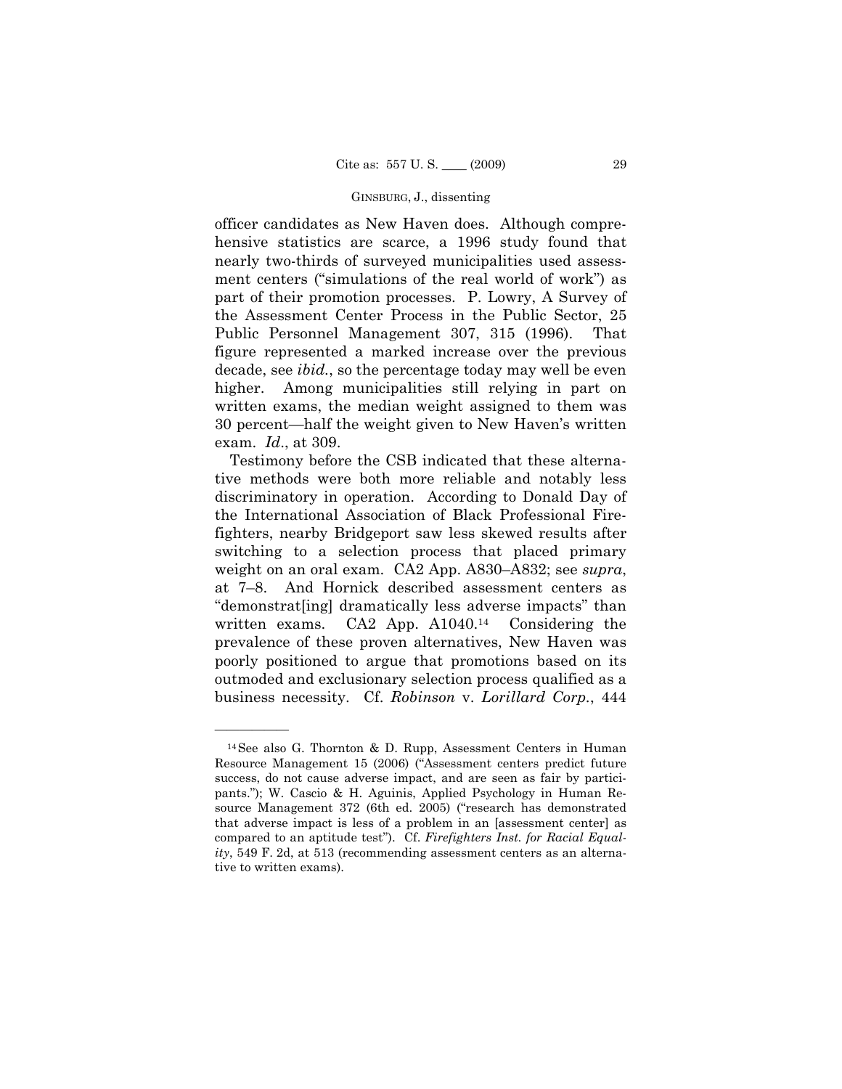officer candidates as New Haven does. Although comprehensive statistics are scarce, a 1996 study found that nearly two-thirds of surveyed municipalities used assessment centers ("simulations of the real world of work") as part of their promotion processes. P. Lowry, A Survey of the Assessment Center Process in the Public Sector, 25 Public Personnel Management 307, 315 (1996). That figure represented a marked increase over the previous decade, see *ibid.*, so the percentage today may well be even higher. Among municipalities still relying in part on written exams, the median weight assigned to them was 30 percent—half the weight given to New Haven's written exam. *Id*., at 309.

Testimony before the CSB indicated that these alternative methods were both more reliable and notably less discriminatory in operation. According to Donald Day of the International Association of Black Professional Firefighters, nearby Bridgeport saw less skewed results after switching to a selection process that placed primary weight on an oral exam. CA2 App. A830–A832; see *supra*, at 7–8. And Hornick described assessment centers as "demonstrat[ing] dramatically less adverse impacts" than written exams. CA2 App. A1040.<sup>14</sup> Considering the prevalence of these proven alternatives, New Haven was poorly positioned to argue that promotions based on its outmoded and exclusionary selection process qualified as a business necessity. Cf. *Robinson* v. *Lorillard Corp.*, 444

<sup>14</sup>See also G. Thornton & D. Rupp, Assessment Centers in Human Resource Management 15 (2006) ("Assessment centers predict future success, do not cause adverse impact, and are seen as fair by participants."); W. Cascio & H. Aguinis, Applied Psychology in Human Resource Management 372 (6th ed. 2005) ("research has demonstrated that adverse impact is less of a problem in an [assessment center] as compared to an aptitude test"). Cf. *Firefighters Inst. for Racial Equality*, 549 F. 2d, at 513 (recommending assessment centers as an alternative to written exams).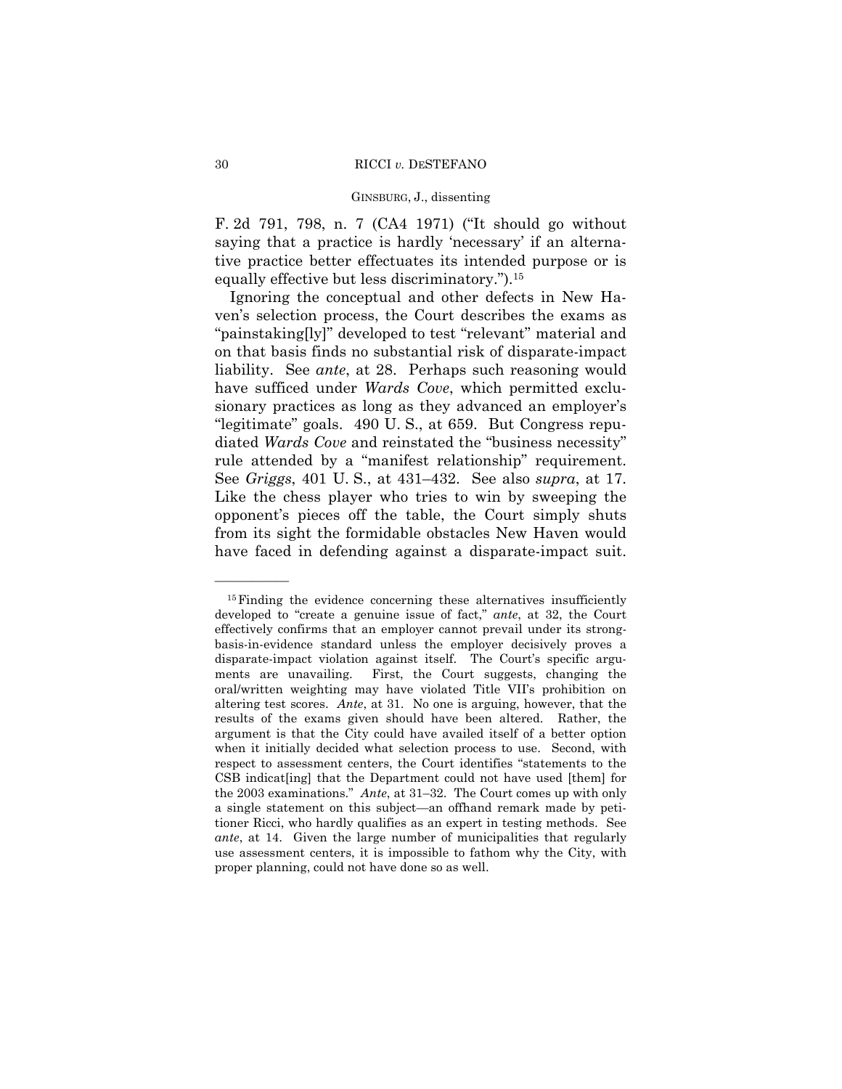F. 2d 791, 798, n. 7 (CA4 1971) ("It should go without saying that a practice is hardly 'necessary' if an alternative practice better effectuates its intended purpose or is equally effective but less discriminatory.").15

Ignoring the conceptual and other defects in New Haven's selection process, the Court describes the exams as "painstaking[ly]" developed to test "relevant" material and on that basis finds no substantial risk of disparate-impact liability. See *ante*, at 28. Perhaps such reasoning would have sufficed under *Wards Cove*, which permitted exclusionary practices as long as they advanced an employer's "legitimate" goals. 490 U. S., at 659. But Congress repudiated *Wards Cove* and reinstated the "business necessity" rule attended by a "manifest relationship" requirement. See *Griggs*, 401 U. S., at 431–432. See also *supra*, at 17. Like the chess player who tries to win by sweeping the opponent's pieces off the table, the Court simply shuts from its sight the formidable obstacles New Haven would have faced in defending against a disparate-impact suit.

<sup>&</sup>lt;sup>15</sup> Finding the evidence concerning these alternatives insufficiently developed to "create a genuine issue of fact," *ante*, at 32, the Court effectively confirms that an employer cannot prevail under its strongbasis-in-evidence standard unless the employer decisively proves a disparate-impact violation against itself. The Court's specific arguments are unavailing. First, the Court suggests, changing the oral/written weighting may have violated Title VII's prohibition on altering test scores. *Ante*, at 31. No one is arguing, however, that the results of the exams given should have been altered. Rather, the argument is that the City could have availed itself of a better option when it initially decided what selection process to use. Second, with respect to assessment centers, the Court identifies "statements to the CSB indicat[ing] that the Department could not have used [them] for the 2003 examinations." *Ante*, at 31–32. The Court comes up with only a single statement on this subject—an offhand remark made by petitioner Ricci, who hardly qualifies as an expert in testing methods. See *ante*, at 14. Given the large number of municipalities that regularly use assessment centers, it is impossible to fathom why the City, with proper planning, could not have done so as well.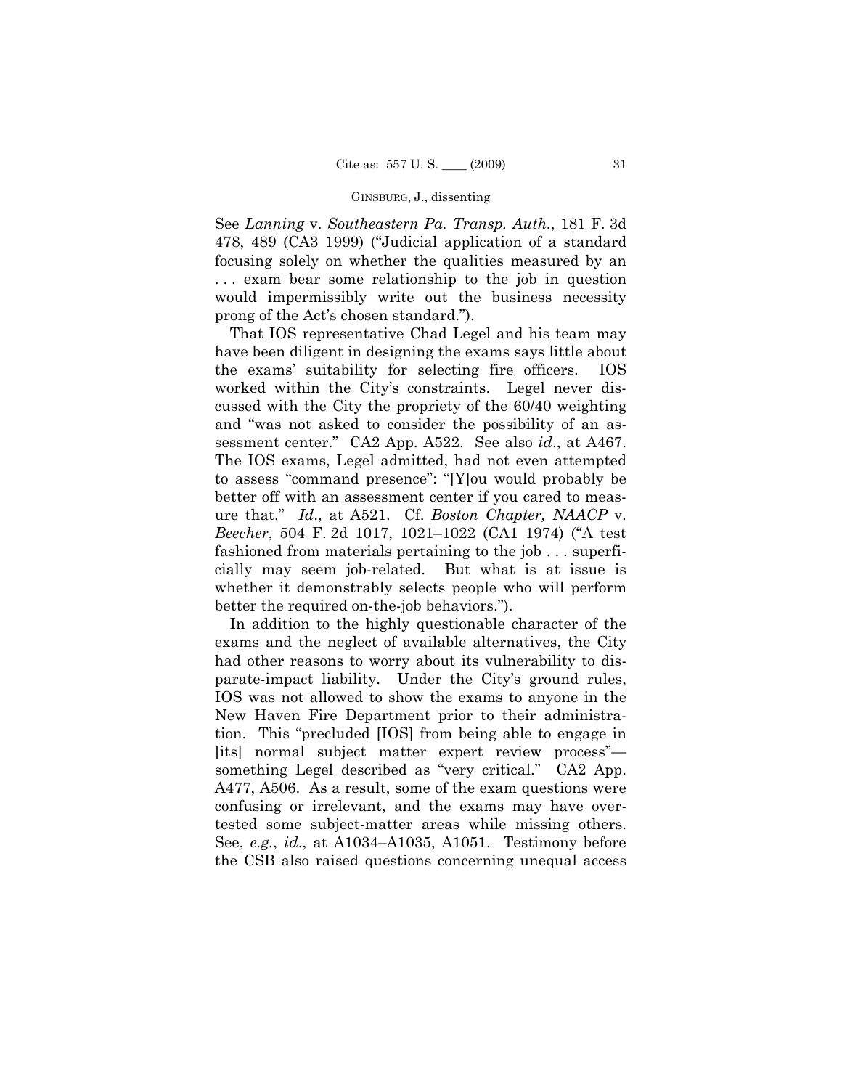See *Lanning* v. *Southeastern Pa. Transp. Auth.*, 181 F. 3d 478, 489 (CA3 1999) ("Judicial application of a standard focusing solely on whether the qualities measured by an . . . exam bear some relationship to the job in question would impermissibly write out the business necessity prong of the Act's chosen standard.").

That IOS representative Chad Legel and his team may have been diligent in designing the exams says little about the exams' suitability for selecting fire officers. IOS worked within the City's constraints. Legel never discussed with the City the propriety of the 60/40 weighting and "was not asked to consider the possibility of an assessment center." CA2 App. A522. See also *id*., at A467. The IOS exams, Legel admitted, had not even attempted to assess "command presence": "[Y]ou would probably be better off with an assessment center if you cared to measure that." *Id*., at A521. Cf. *Boston Chapter, NAACP* v. *Beecher*, 504 F. 2d 1017, 1021–1022 (CA1 1974) ("A test fashioned from materials pertaining to the job . . . superficially may seem job-related. But what is at issue is whether it demonstrably selects people who will perform better the required on-the-job behaviors.").

In addition to the highly questionable character of the exams and the neglect of available alternatives, the City had other reasons to worry about its vulnerability to disparate-impact liability. Under the City's ground rules, IOS was not allowed to show the exams to anyone in the New Haven Fire Department prior to their administration. This "precluded [IOS] from being able to engage in [its] normal subject matter expert review process" something Legel described as "very critical." CA2 App. A477, A506. As a result, some of the exam questions were confusing or irrelevant, and the exams may have overtested some subject-matter areas while missing others. See, *e.g.*, *id*., at A1034–A1035, A1051. Testimony before the CSB also raised questions concerning unequal access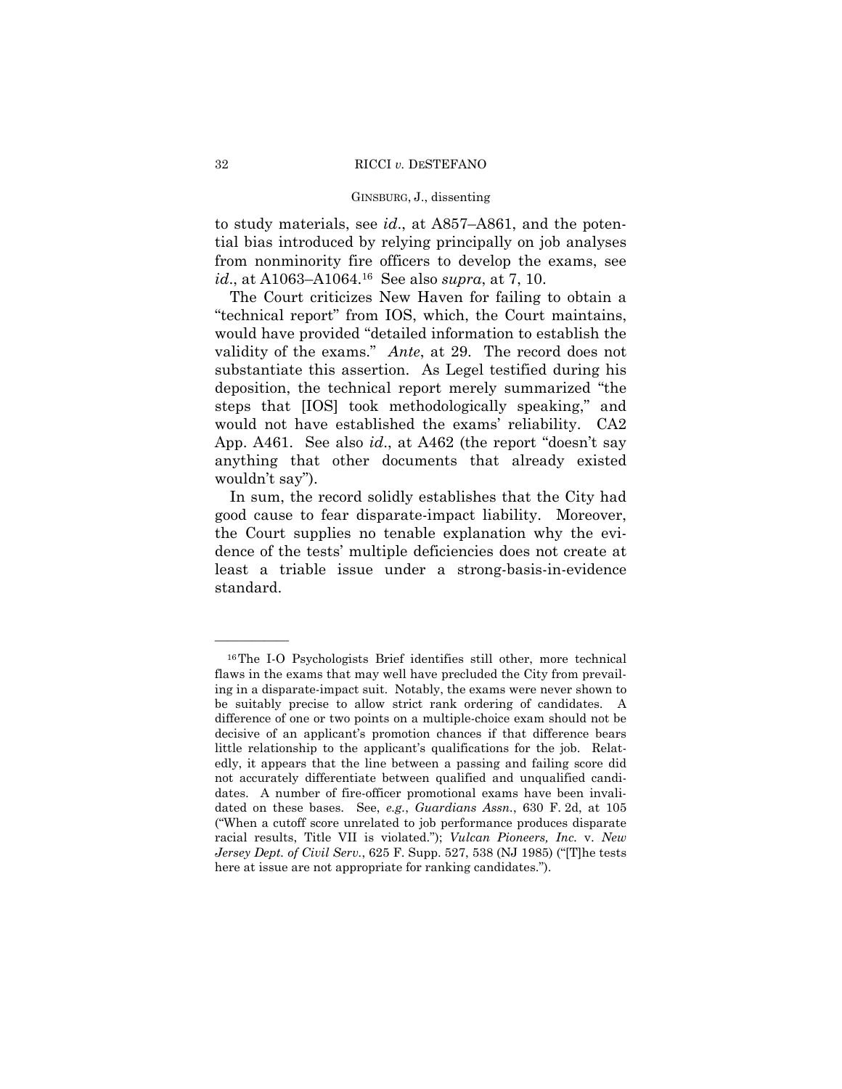to study materials, see *id*., at A857–A861, and the potential bias introduced by relying principally on job analyses from nonminority fire officers to develop the exams, see *id*., at A1063–A1064.16 See also *supra*, at 7, 10.

The Court criticizes New Haven for failing to obtain a "technical report" from IOS, which, the Court maintains, would have provided "detailed information to establish the validity of the exams." *Ante*, at 29. The record does not substantiate this assertion. As Legel testified during his deposition, the technical report merely summarized "the steps that [IOS] took methodologically speaking," and would not have established the exams' reliability. CA2 App. A461. See also *id*., at A462 (the report "doesn't say anything that other documents that already existed wouldn't say").

In sum, the record solidly establishes that the City had good cause to fear disparate-impact liability. Moreover, the Court supplies no tenable explanation why the evidence of the tests' multiple deficiencies does not create at least a triable issue under a strong-basis-in-evidence standard.

<sup>16</sup>The I-O Psychologists Brief identifies still other, more technical flaws in the exams that may well have precluded the City from prevailing in a disparate-impact suit. Notably, the exams were never shown to be suitably precise to allow strict rank ordering of candidates. A difference of one or two points on a multiple-choice exam should not be decisive of an applicant's promotion chances if that difference bears little relationship to the applicant's qualifications for the job. Relatedly, it appears that the line between a passing and failing score did not accurately differentiate between qualified and unqualified candidates. A number of fire-officer promotional exams have been invalidated on these bases. See, *e.g.*, *Guardians Assn.*, 630 F. 2d, at 105 ("When a cutoff score unrelated to job performance produces disparate racial results, Title VII is violated."); *Vulcan Pioneers, Inc.* v. *New Jersey Dept. of Civil Serv.*, 625 F. Supp. 527, 538 (NJ 1985) ("[T]he tests here at issue are not appropriate for ranking candidates.").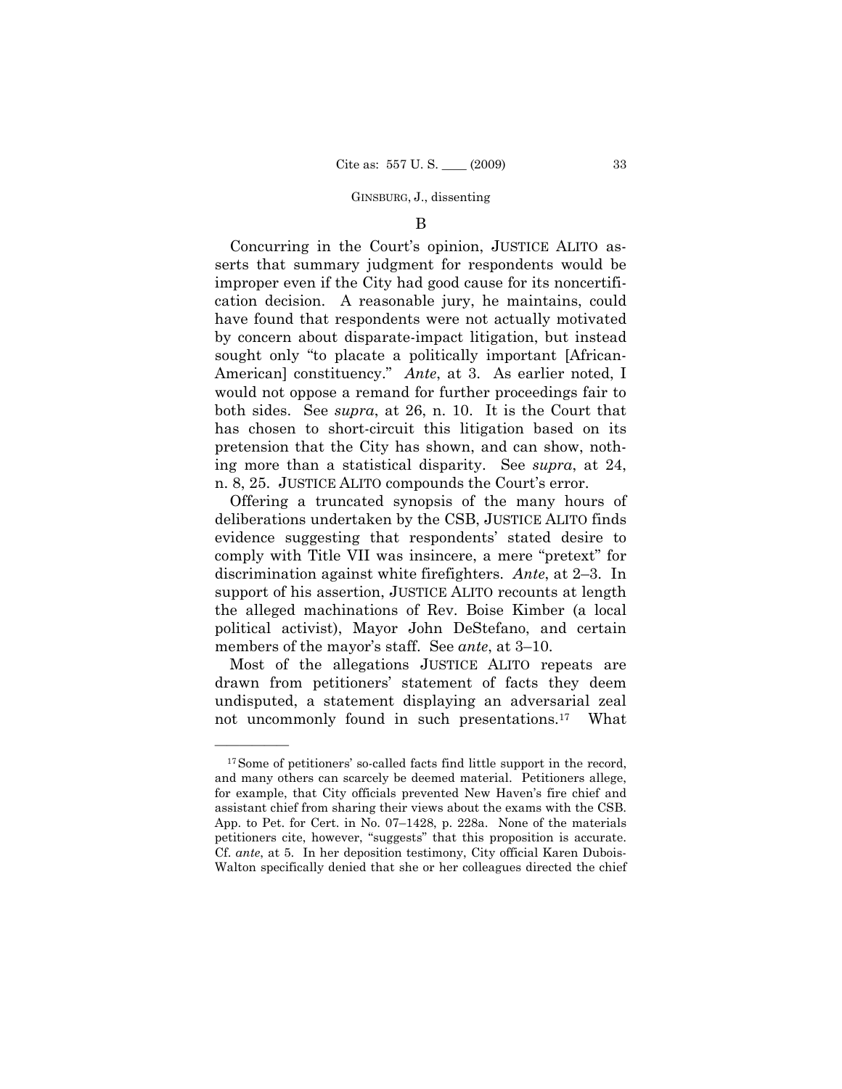# B

Concurring in the Court's opinion, JUSTICE ALITO asserts that summary judgment for respondents would be improper even if the City had good cause for its noncertification decision. A reasonable jury, he maintains, could have found that respondents were not actually motivated by concern about disparate-impact litigation, but instead sought only "to placate a politically important [African-American] constituency." *Ante*, at 3. As earlier noted, I would not oppose a remand for further proceedings fair to both sides. See *supra*, at 26, n. 10. It is the Court that has chosen to short-circuit this litigation based on its pretension that the City has shown, and can show, nothing more than a statistical disparity. See *supra*, at 24, n. 8, 25. JUSTICE ALITO compounds the Court's error.

Offering a truncated synopsis of the many hours of deliberations undertaken by the CSB, JUSTICE ALITO finds evidence suggesting that respondents' stated desire to comply with Title VII was insincere, a mere "pretext" for discrimination against white firefighters. *Ante*, at 2–3. In support of his assertion, JUSTICE ALITO recounts at length the alleged machinations of Rev. Boise Kimber (a local political activist), Mayor John DeStefano, and certain members of the mayor's staff. See *ante*, at 3–10.

Most of the allegations JUSTICE ALITO repeats are drawn from petitioners' statement of facts they deem undisputed, a statement displaying an adversarial zeal not uncommonly found in such presentations.17 What

<sup>17</sup>Some of petitioners' so-called facts find little support in the record, and many others can scarcely be deemed material. Petitioners allege, for example, that City officials prevented New Haven's fire chief and assistant chief from sharing their views about the exams with the CSB. App. to Pet. for Cert. in No. 07–1428, p. 228a. None of the materials petitioners cite, however, "suggests" that this proposition is accurate. Cf. *ante*, at 5. In her deposition testimony, City official Karen Dubois-Walton specifically denied that she or her colleagues directed the chief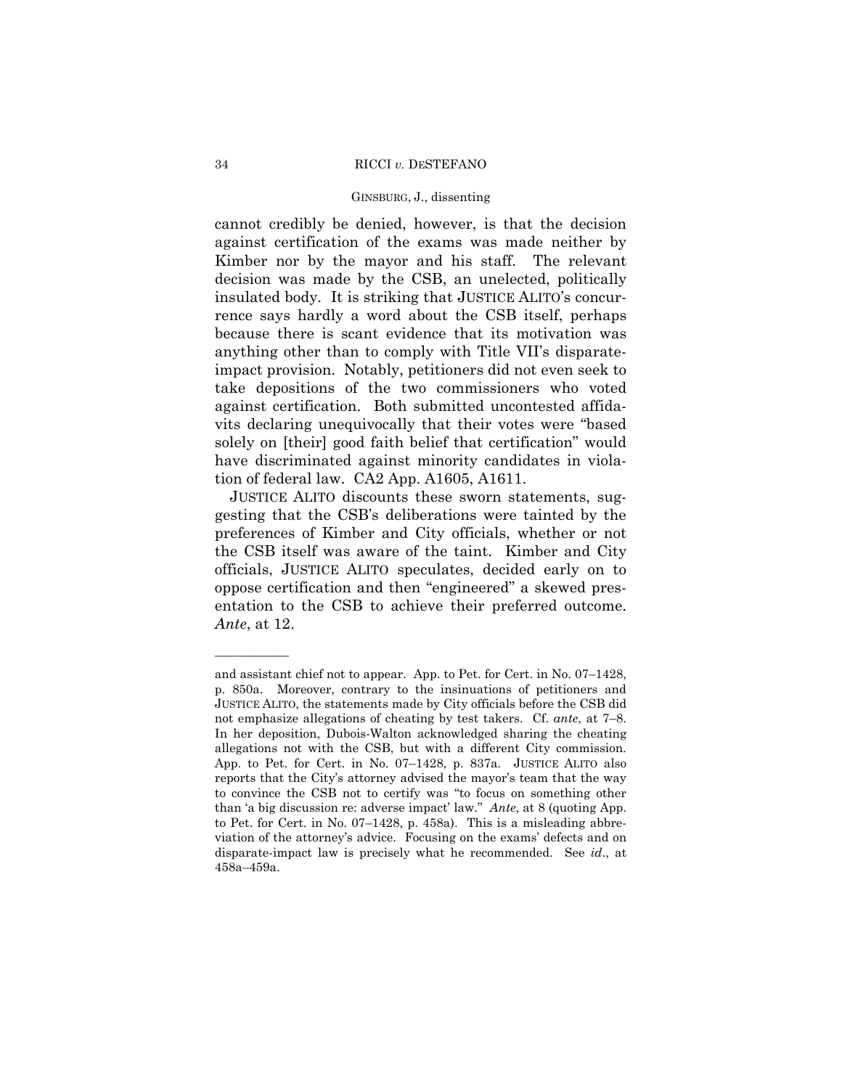# GINSBURG, J., dissenting

cannot credibly be denied, however, is that the decision against certification of the exams was made neither by Kimber nor by the mayor and his staff. The relevant decision was made by the CSB, an unelected, politically insulated body. It is striking that JUSTICE ALITO's concurrence says hardly a word about the CSB itself, perhaps because there is scant evidence that its motivation was anything other than to comply with Title VII's disparateimpact provision. Notably, petitioners did not even seek to take depositions of the two commissioners who voted against certification. Both submitted uncontested affidavits declaring unequivocally that their votes were "based solely on [their] good faith belief that certification" would have discriminated against minority candidates in violation of federal law. CA2 App. A1605, A1611.

JUSTICE ALITO discounts these sworn statements, suggesting that the CSB's deliberations were tainted by the preferences of Kimber and City officials, whether or not the CSB itself was aware of the taint. Kimber and City officials, JUSTICE ALITO speculates, decided early on to oppose certification and then "engineered" a skewed presentation to the CSB to achieve their preferred outcome. *Ante*, at 12.

and assistant chief not to appear. App. to Pet. for Cert. in No. 07–1428, p. 850a. Moreover, contrary to the insinuations of petitioners and JUSTICE ALITO, the statements made by City officials before the CSB did not emphasize allegations of cheating by test takers. Cf. *ante*, at 7–8. In her deposition, Dubois-Walton acknowledged sharing the cheating allegations not with the CSB, but with a different City commission. App. to Pet. for Cert. in No. 07–1428, p. 837a. JUSTICE ALITO also reports that the City's attorney advised the mayor's team that the way to convince the CSB not to certify was "to focus on something other than 'a big discussion re: adverse impact' law." *Ante*, at 8 (quoting App. to Pet. for Cert. in No. 07–1428, p. 458a). This is a misleading abbreviation of the attorney's advice. Focusing on the exams' defects and on disparate-impact law is precisely what he recommended. See *id*., at 458a–459a.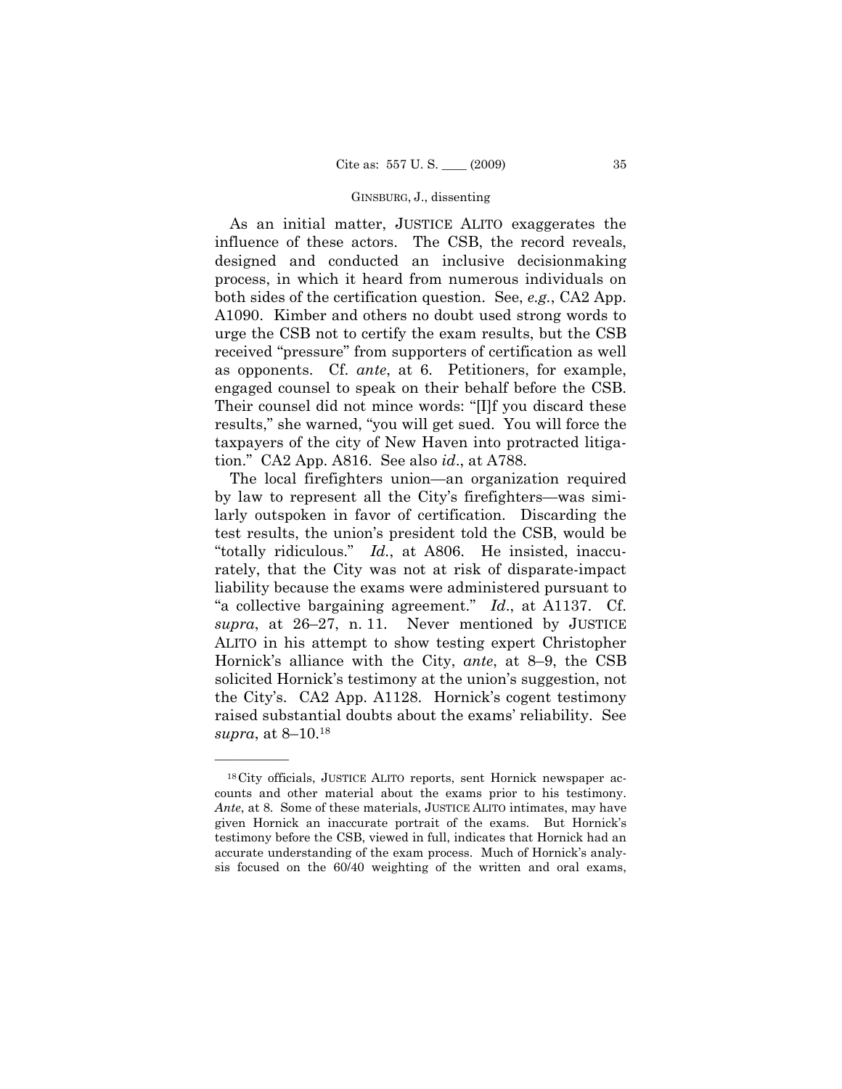As an initial matter, JUSTICE ALITO exaggerates the influence of these actors. The CSB, the record reveals, designed and conducted an inclusive decisionmaking process, in which it heard from numerous individuals on both sides of the certification question. See, *e.g.*, CA2 App. A1090. Kimber and others no doubt used strong words to urge the CSB not to certify the exam results, but the CSB received "pressure" from supporters of certification as well as opponents. Cf. *ante*, at 6. Petitioners, for example, engaged counsel to speak on their behalf before the CSB. Their counsel did not mince words: "[I]f you discard these results," she warned, "you will get sued. You will force the taxpayers of the city of New Haven into protracted litigation." CA2 App. A816. See also *id*., at A788.

The local firefighters union—an organization required by law to represent all the City's firefighters—was similarly outspoken in favor of certification. Discarding the test results, the union's president told the CSB, would be "totally ridiculous." *Id.*, at A806. He insisted, inaccurately, that the City was not at risk of disparate-impact liability because the exams were administered pursuant to "a collective bargaining agreement." *Id*., at A1137. Cf. *supra*, at 26–27, n. 11. Never mentioned by JUSTICE ALITO in his attempt to show testing expert Christopher Hornick's alliance with the City, *ante*, at 8–9, the CSB solicited Hornick's testimony at the union's suggestion, not the City's. CA2 App. A1128. Hornick's cogent testimony raised substantial doubts about the exams' reliability. See *supra*, at 8–10.18

<sup>18</sup>City officials, JUSTICE ALITO reports, sent Hornick newspaper accounts and other material about the exams prior to his testimony. *Ante*, at 8. Some of these materials, JUSTICE ALITO intimates, may have given Hornick an inaccurate portrait of the exams. But Hornick's testimony before the CSB, viewed in full, indicates that Hornick had an accurate understanding of the exam process. Much of Hornick's analysis focused on the 60/40 weighting of the written and oral exams,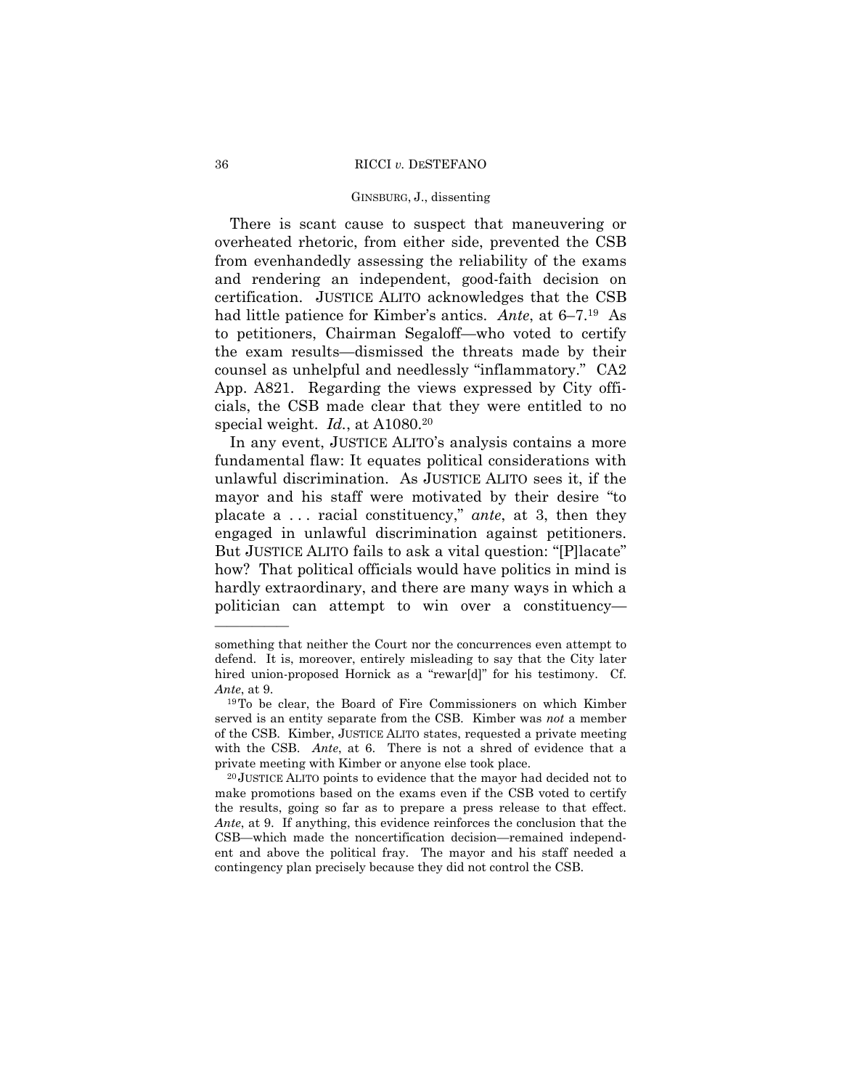# GINSBURG, J., dissenting

There is scant cause to suspect that maneuvering or overheated rhetoric, from either side, prevented the CSB from evenhandedly assessing the reliability of the exams and rendering an independent, good-faith decision on certification. JUSTICE ALITO acknowledges that the CSB had little patience for Kimber's antics. *Ante*, at 6–7.19 As to petitioners, Chairman Segaloff—who voted to certify the exam results—dismissed the threats made by their counsel as unhelpful and needlessly "inflammatory." CA2 App. A821. Regarding the views expressed by City officials, the CSB made clear that they were entitled to no special weight. *Id.*, at A1080.20

In any event, JUSTICE ALITO's analysis contains a more fundamental flaw: It equates political considerations with unlawful discrimination. As JUSTICE ALITO sees it, if the mayor and his staff were motivated by their desire "to placate a . . . racial constituency," *ante*, at 3, then they engaged in unlawful discrimination against petitioners. But JUSTICE ALITO fails to ask a vital question: "[P]lacate" how? That political officials would have politics in mind is hardly extraordinary, and there are many ways in which a politician can attempt to win over a constituency—

something that neither the Court nor the concurrences even attempt to defend. It is, moreover, entirely misleading to say that the City later hired union-proposed Hornick as a "rewar[d]" for his testimony. Cf. *Ante*, at 9. 19To be clear, the Board of Fire Commissioners on which Kimber

served is an entity separate from the CSB. Kimber was *not* a member of the CSB. Kimber, JUSTICE ALITO states, requested a private meeting with the CSB. *Ante*, at 6. There is not a shred of evidence that a private meeting with Kimber or anyone else took place. 20 JUSTICE ALITO points to evidence that the mayor had decided not to

make promotions based on the exams even if the CSB voted to certify the results, going so far as to prepare a press release to that effect. *Ante*, at 9. If anything, this evidence reinforces the conclusion that the CSB—which made the noncertification decision—remained independent and above the political fray. The mayor and his staff needed a contingency plan precisely because they did not control the CSB.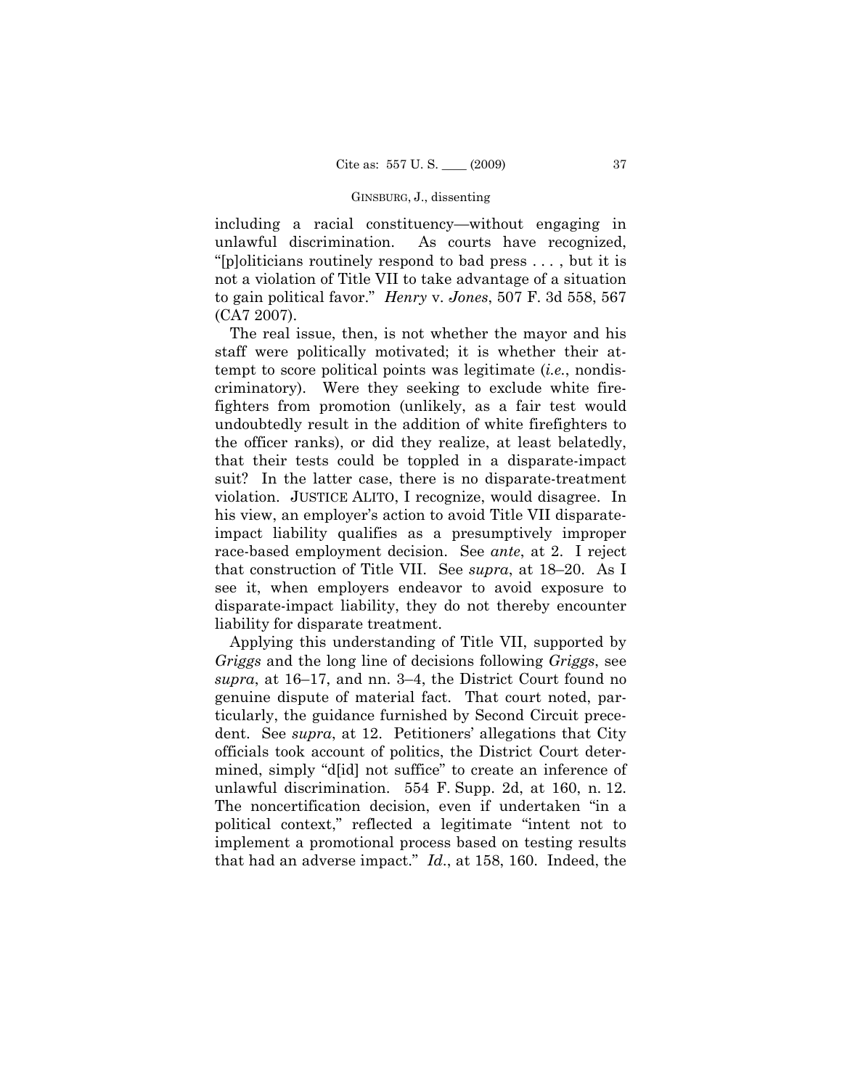including a racial constituency—without engaging in unlawful discrimination. As courts have recognized, "[p]oliticians routinely respond to bad press . . . , but it is not a violation of Title VII to take advantage of a situation to gain political favor." *Henry* v. *Jones*, 507 F. 3d 558, 567 (CA7 2007).

The real issue, then, is not whether the mayor and his staff were politically motivated; it is whether their attempt to score political points was legitimate (*i.e.*, nondiscriminatory). Were they seeking to exclude white firefighters from promotion (unlikely, as a fair test would undoubtedly result in the addition of white firefighters to the officer ranks), or did they realize, at least belatedly, that their tests could be toppled in a disparate-impact suit? In the latter case, there is no disparate-treatment violation. JUSTICE ALITO, I recognize, would disagree. In his view, an employer's action to avoid Title VII disparateimpact liability qualifies as a presumptively improper race-based employment decision. See *ante*, at 2. I reject that construction of Title VII. See *supra*, at 18–20. As I see it, when employers endeavor to avoid exposure to disparate-impact liability, they do not thereby encounter liability for disparate treatment.

Applying this understanding of Title VII, supported by *Griggs* and the long line of decisions following *Griggs*, see *supra*, at 16–17, and nn. 3–4, the District Court found no genuine dispute of material fact. That court noted, particularly, the guidance furnished by Second Circuit precedent. See *supra*, at 12. Petitioners' allegations that City officials took account of politics, the District Court determined, simply "d[id] not suffice" to create an inference of unlawful discrimination. 554 F. Supp. 2d, at 160, n. 12. The noncertification decision, even if undertaken "in a political context," reflected a legitimate "intent not to implement a promotional process based on testing results that had an adverse impact." *Id*., at 158, 160. Indeed, the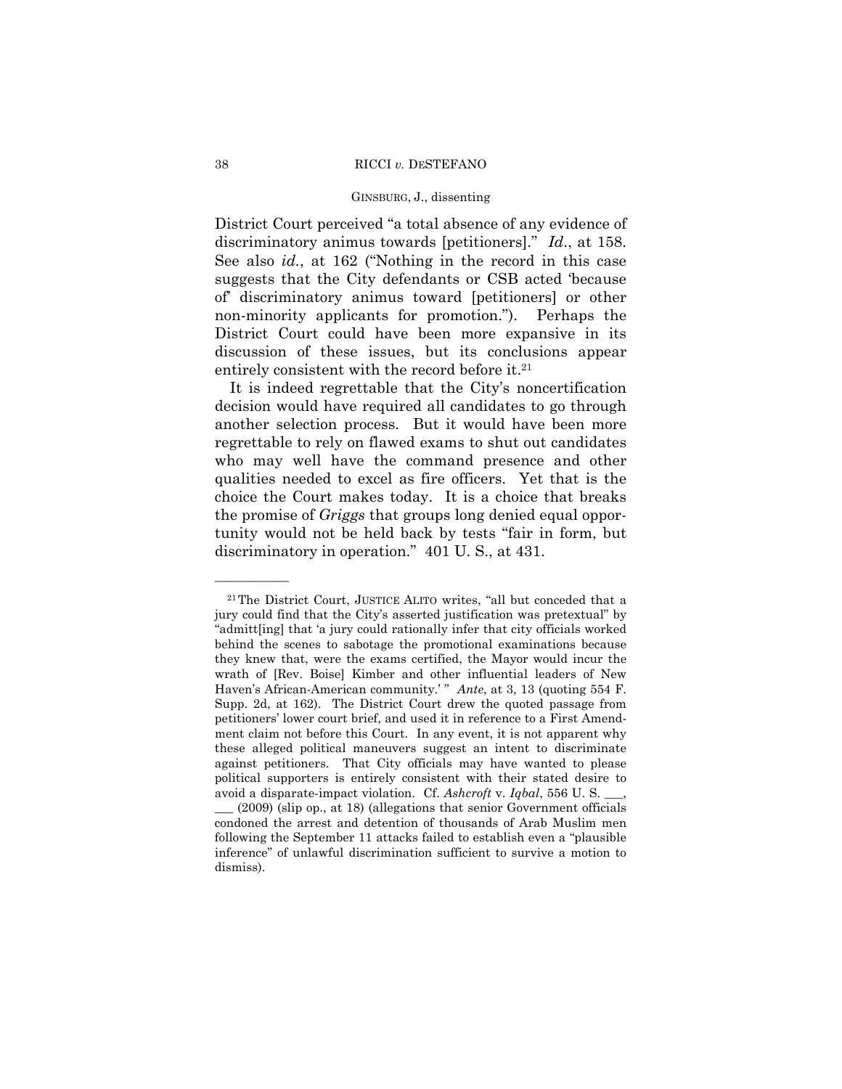# GINSBURG, J., dissenting

District Court perceived "a total absence of any evidence of discriminatory animus towards [petitioners]." *Id*., at 158. See also *id.*, at 162 ("Nothing in the record in this case suggests that the City defendants or CSB acted 'because of' discriminatory animus toward [petitioners] or other non-minority applicants for promotion."). Perhaps the District Court could have been more expansive in its discussion of these issues, but its conclusions appear entirely consistent with the record before it.<sup>21</sup>

It is indeed regrettable that the City's noncertification decision would have required all candidates to go through another selection process. But it would have been more regrettable to rely on flawed exams to shut out candidates who may well have the command presence and other qualities needed to excel as fire officers. Yet that is the choice the Court makes today. It is a choice that breaks the promise of *Griggs* that groups long denied equal opportunity would not be held back by tests "fair in form, but discriminatory in operation." 401 U. S., at 431.

<sup>21</sup>The District Court, JUSTICE ALITO writes, "all but conceded that a jury could find that the City's asserted justification was pretextual" by "admitt[ing] that 'a jury could rationally infer that city officials worked behind the scenes to sabotage the promotional examinations because they knew that, were the exams certified, the Mayor would incur the wrath of [Rev. Boise] Kimber and other influential leaders of New Haven's African-American community.' " *Ante*, at 3, 13 (quoting 554 F. Supp. 2d, at 162). The District Court drew the quoted passage from petitioners' lower court brief, and used it in reference to a First Amendment claim not before this Court. In any event, it is not apparent why these alleged political maneuvers suggest an intent to discriminate against petitioners. That City officials may have wanted to please political supporters is entirely consistent with their stated desire to avoid a disparate-impact violation. Cf. *Ashcroft* v. *Iqbal*, 556 U. S. \_\_\_,

\_\_\_ (2009) (slip op., at 18) (allegations that senior Government officials condoned the arrest and detention of thousands of Arab Muslim men following the September 11 attacks failed to establish even a "plausible inference" of unlawful discrimination sufficient to survive a motion to dismiss).